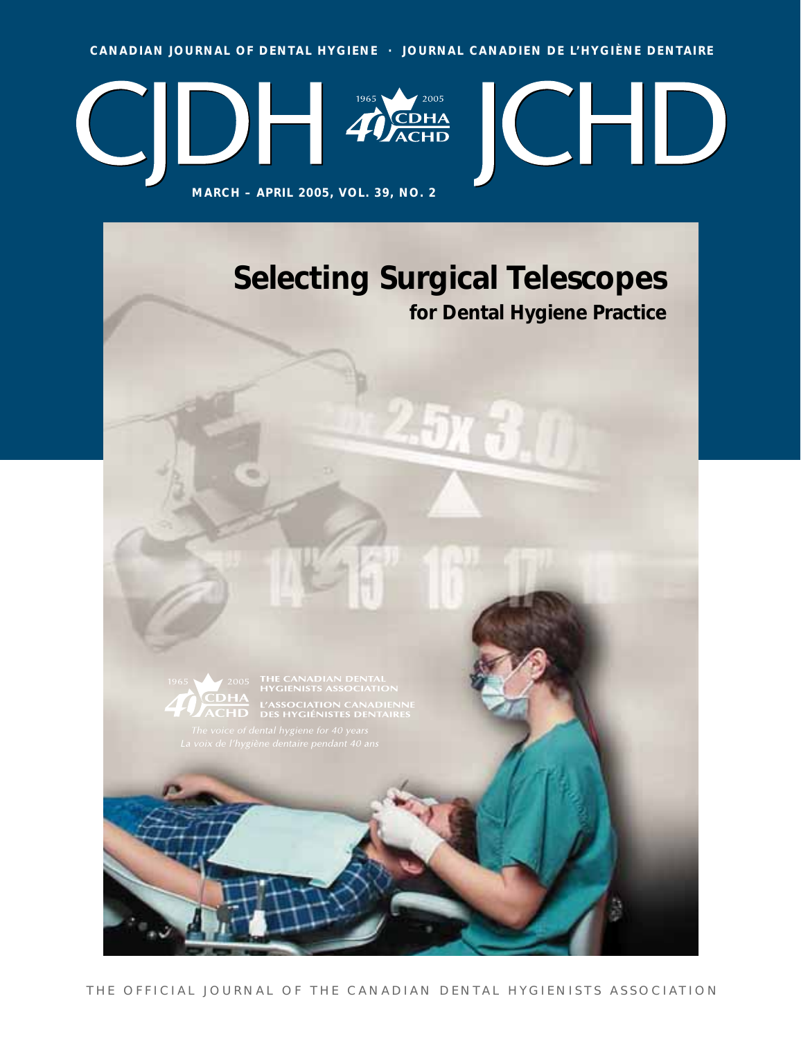**CANADIAN JOURNAL OF DENTAL HYGIENE · JOURNAL CANADIEN DE L'HYGIÈNE DENTAIRE**



# **Selecting Surgical Telescopes for Dental Hygiene Practice**



**COHA L'ASSOCIATION CANADIENN<br>ACHD DES HYGIÉNISTES DENTAIRE**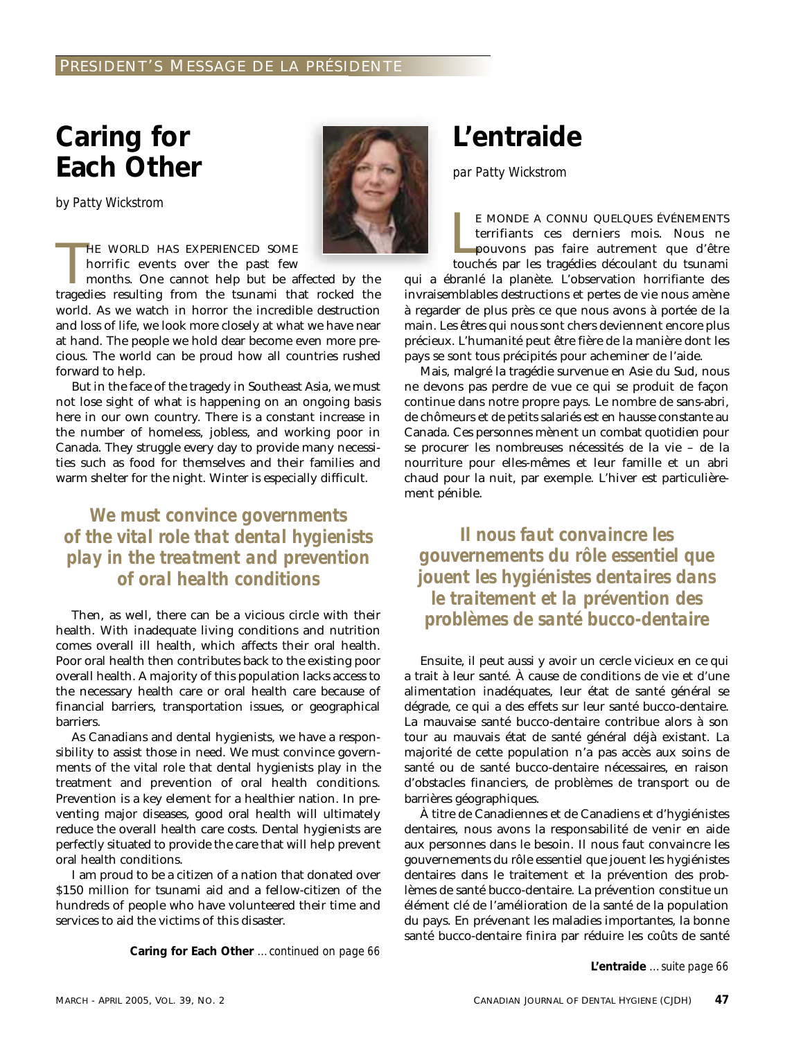## **Caring for Each Other**

*by Patty Wickstrom*

HE WORLD HAS EXPERIENCED SOME<br>horrific events over the past few<br>months. One cannot help but be affected by the<br>tragedies resulting from the tsunami that rocked the HE WORLD HAS EXPERIENCED SOME horrific events over the past few

months. One cannot help but be affected by the world. As we watch in horror the incredible destruction and loss of life, we look more closely at what we have near at hand. The people we hold dear become even more precious. The world can be proud how all countries rushed forward to help.

But in the face of the tragedy in Southeast Asia, we must not lose sight of what is happening on an ongoing basis here in our own country. There is a constant increase in the number of homeless, jobless, and working poor in Canada. They struggle every day to provide many necessities such as food for themselves and their families and warm shelter for the night. Winter is especially difficult.

*We must convince governments of the vital role that dental hygienists play in the treatment and prevention of oral health conditions*

Then, as well, there can be a vicious circle with their health. With inadequate living conditions and nutrition comes overall ill health, which affects their oral health. Poor oral health then contributes back to the existing poor overall health. A majority of this population lacks access to the necessary health care or oral health care because of financial barriers, transportation issues, or geographical barriers.

As Canadians and dental hygienists, we have a responsibility to assist those in need. We must convince governments of the vital role that dental hygienists play in the treatment and prevention of oral health conditions. Prevention is a key element for a healthier nation. In preventing major diseases, good oral health will ultimately reduce the overall health care costs. Dental hygienists are perfectly situated to provide the care that will help prevent oral health conditions.

I am proud to be a citizen of a nation that donated over \$150 million for tsunami aid and a fellow-citizen of the hundreds of people who have volunteered their time and services to aid the victims of this disaster.

**Caring for Each Other** *…continued on page 66*

# **L'entraide**

*par Patty Wickstrom*

E MONDE A CONNU QUELQUES ÉVÉNEMENTS<br>terrifiants ces derniers mois. Nous ne<br>pouvons pas faire autrement que d'être<br>touchés par les tragédies découlant du tsunami E MONDE A CONNU QUELQUES ÉVÉNEMENTS terrifiants ces derniers mois. Nous ne pouvons pas faire autrement que d'être qui a ébranlé la planète. L'observation horrifiante des invraisemblables destructions et pertes de vie nous amène à regarder de plus près ce que nous avons à portée de la

main. Les êtres qui nous sont chers deviennent encore plus précieux. L'humanité peut être fière de la manière dont les pays se sont tous précipités pour acheminer de l'aide. Mais, malgré la tragédie survenue en Asie du Sud, nous ne devons pas perdre de vue ce qui se produit de façon

continue dans notre propre pays. Le nombre de sans-abri, de chômeurs et de petits salariés est en hausse constante au Canada. Ces personnes mènent un combat quotidien pour se procurer les nombreuses nécessités de la vie – de la nourriture pour elles-mêmes et leur famille et un abri chaud pour la nuit, par exemple. L'hiver est particulièrement pénible.

*Il nous faut convaincre les gouvernements du rôle essentiel que jouent les hygiénistes dentaires dans le traitement et la prévention des problèmes de santé bucco-dentaire*

Ensuite, il peut aussi y avoir un cercle vicieux en ce qui a trait à leur santé. À cause de conditions de vie et d'une alimentation inadéquates, leur état de santé général se dégrade, ce qui a des effets sur leur santé bucco-dentaire. La mauvaise santé bucco-dentaire contribue alors à son tour au mauvais état de santé général déjà existant. La majorité de cette population n'a pas accès aux soins de santé ou de santé bucco-dentaire nécessaires, en raison d'obstacles financiers, de problèmes de transport ou de barrières géographiques.

À titre de Canadiennes et de Canadiens et d'hygiénistes dentaires, nous avons la responsabilité de venir en aide aux personnes dans le besoin. Il nous faut convaincre les gouvernements du rôle essentiel que jouent les hygiénistes dentaires dans le traitement et la prévention des problèmes de santé bucco-dentaire. La prévention constitue un élément clé de l'amélioration de la santé de la population du pays. En prévenant les maladies importantes, la bonne santé bucco-dentaire finira par réduire les coûts de santé

**L'entraide** *…suite page 66*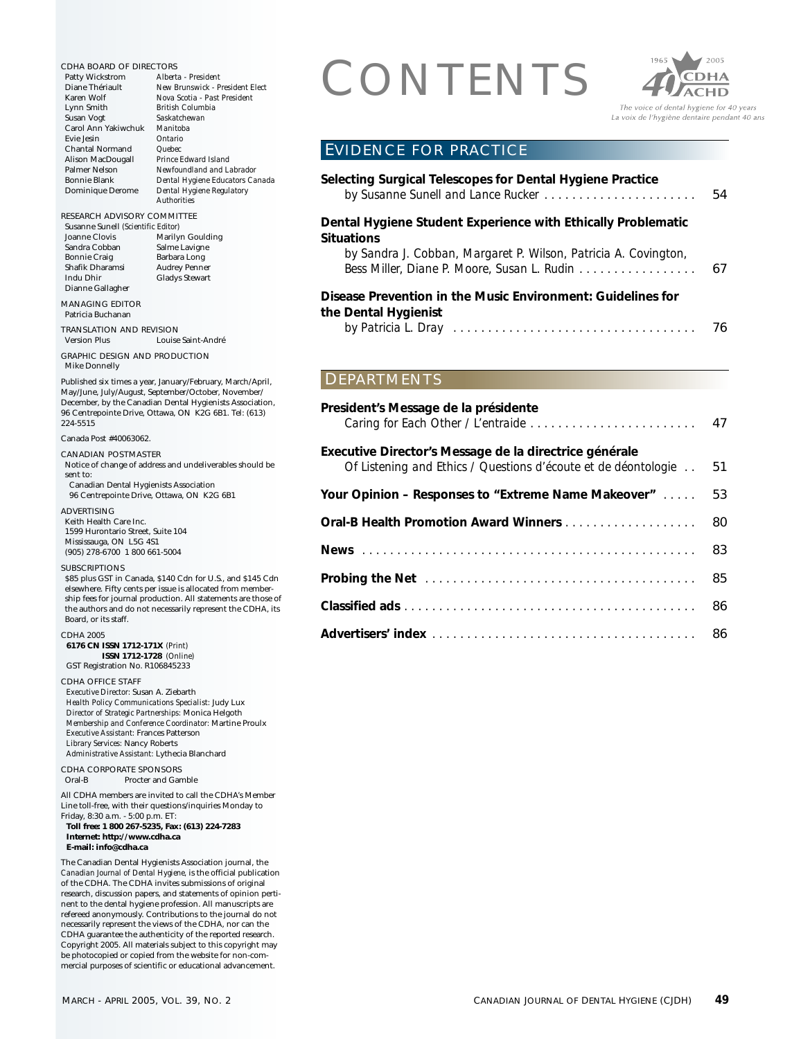CDHA BOARD OF DIRECTORS<br>
Patty Wickstrom Alberta - President<br>
Diane Theiriault New Brunswick - President Elect<br>
Lynn Smith<br>
Lynn Smith<br>
British Columbia Patty Wickstrom *Alberta - President* Diane Thériault *New Brunswick - President Elect* Karen Wolf *Nova Scotia - Past President* Lynn Smith *British Columbia* Saskatchewan<br>Manitoba Carol Ann Yakiwchuk *Manitol*<br>Evie Jesin *Ontario* Evie Jesin *Ontario* Chantal Normand<br>Alison MacDougall Alison MacDougall *Prince Edward Island* Palmer Nelson *Newfoundland and Labrador* Bonnie Blank *Dental Hygiene Educators Canada* Dominique Derome *Dental Hygiene Regulatory Authorities* RESEARCH ADVISORY COMMITTEE Susanne Sunell *(Scientific Editor)* Joanne Clovis Marilyn Goulding<br>Sandra Cobban Salme Lavigne Sandra Cobban<br>Bonnie Craig Barbara Long Shafik Dharamsi Audrey Penner<br>Indu Dhir Gladys Stewart Gladys Stewart Dianne Gallagher MANAGING EDITOR Patricia Buchanan TRANSLATION AND REVISION Version Plus Louise Saint-André GRAPHIC DESIGN AND PRODUCTION Mike Donnelly Published six times a year, January/February, March/April, May/June, July/August, September/October, November/ December, by the Canadian Dental Hygienists Association, 96 Centrepointe Drive, Ottawa, ON K2G 6B1. Tel: (613) 224-5515 Canada Post #40063062. CANADIAN POSTMASTER Notice of change of address and undeliverables should be sent to: Canadian Dental Hygienists Association 96 Centrepointe Drive, Ottawa, ON K2G 6B1 ADVERTISING Keith Health Care Inc. 1599 Hurontario Street, Suite 104 Mississauga, ON L5G 4S1 (905) 278-6700 1 800 661-5004 SUBSCRIPTIONS \$85 plus GST in Canada, \$140 Cdn for U.S., and \$145 Cdn elsewhere. Fifty cents per issue is allocated from membership fees for journal production. All statements are those of the authors and do not necessarily represent the CDHA, its Board, or its staff. CDHA 2005 **6176 CN ISSN 1712-171X** *(Print)* **ISSN 1712-1728** *(Online)* GST Registration No. R106845233 CDHA OFFICE STAFF *Executive Director:* Susan A. Ziebarth *Health Policy Communications Specialist:* Judy Lux *Director of Strategic Partnerships:* Monica Helgoth *Membership and Conference Coordinator:* Martine Proulx *Executive Assistant:* Frances Patterson *Library Services:* Nancy Roberts *Administrative Assistant:* Lythecia Blanchard CDHA CORPORATE SPONSORS<br>Oral-B Procter and Gan Procter and Gamble All CDHA members are invited to call the CDHA's Member Line toll-free, with their questions/inquiries Monday to Friday, 8:30 a.m. - 5:00 p.m. ET: **Toll free: 1 800 267-5235, Fax: (613) 224-7283 Internet: http://www.cdha.ca E-mail: info@cdha.ca** The Canadian Dental Hygienists Association journal, the *Canadian Journal of Dental Hygiene,* is the official publication of the CDHA. The CDHA invites submissions of original research, discussion papers, and statements of opinion pertinent to the dental hygiene profession. All manuscripts are refereed anonymously. Contributions to the journal do not necessarily represent the views of the CDHA, nor can the CDHA guarantee the authenticity of the reported research. Copyright 2005. All materials subject to this copyright may be photocopied or copied from the website for non-com-**Situations the Dental Hygienist** DEPARTMENTS

mercial purposes of scientific or educational advancement.



EVIDENCE FOR PRACTICE

| Selecting Surgical Telescopes for Dental Hygiene Practice       | 54 |
|-----------------------------------------------------------------|----|
| Dental Hygiene Student Experience with Ethically Problematic    |    |
| Situations                                                      |    |
| by Sandra J. Cobban, Margaret P. Wilson, Patricia A. Covington, |    |
| Bess Miller, Diane P. Moore, Susan L. Rudin 67                  |    |
| Disease Prevention in the Music Environment: Guidelines for     |    |
| the Dental Hygienist                                            |    |
|                                                                 | 76 |

| President's Message de la présidente                                                                                     |    |
|--------------------------------------------------------------------------------------------------------------------------|----|
| Executive Director's Message de la directrice générale<br>Of Listening and Ethics / Questions d'écoute et de déontologie | 51 |
| Your Opinion – Responses to "Extreme Name Makeover"                                                                      | 53 |
|                                                                                                                          | 80 |
|                                                                                                                          |    |
|                                                                                                                          |    |
|                                                                                                                          |    |
|                                                                                                                          | 86 |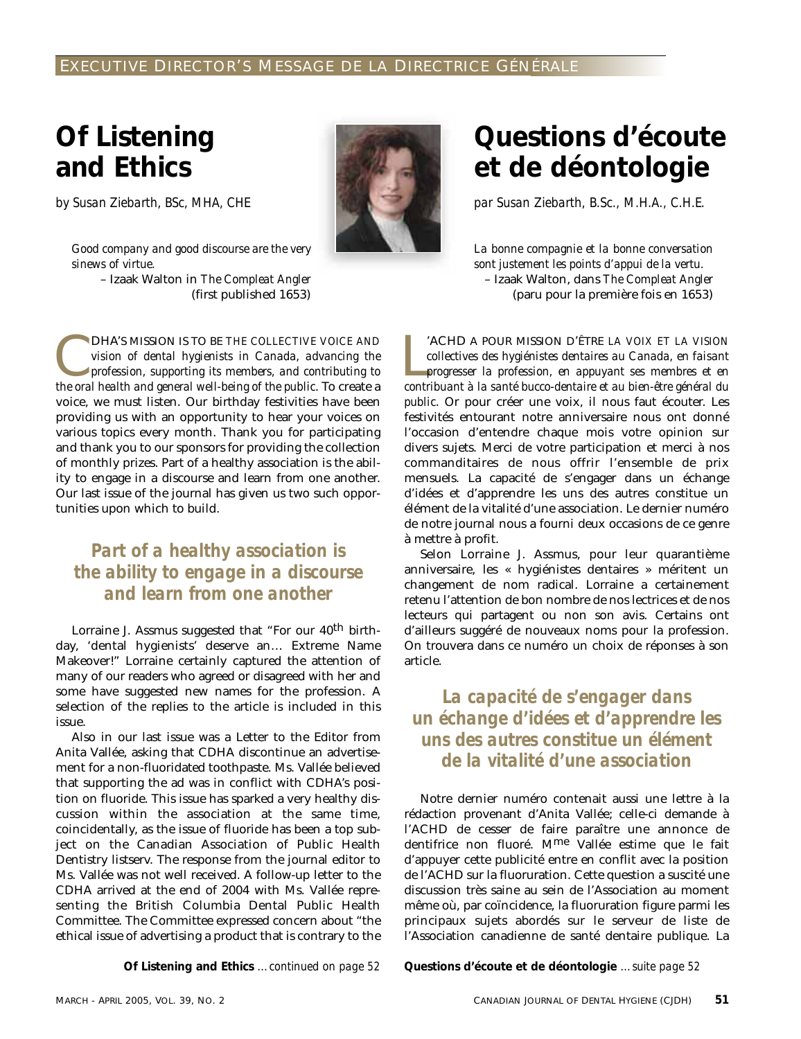## **Of Listening and Ethics**

*by Susan Ziebarth, BSc, MHA, CHE*

*Good company and good discourse are the very sinews of virtue.*

– Izaak Walton in *The Compleat Angler* (first published 1653)

DHA'S MISSION IS TO BE *THE COLLECTIVE VOICE AND*<br>vision of dental hygienists in Canada, advancing the<br>profession, supporting its members, and contributing to<br>the oral health and general well-being of the public. To create *vision of dental hygienists in Canada, advancing the profession, supporting its members, and contributing to the oral health and general well-being of the public*. To create a voice, we must listen. Our birthday festivities have been providing us with an opportunity to hear your voices on various topics every month. Thank you for participating and thank you to our sponsors for providing the collection of monthly prizes. Part of a healthy association is the ability to engage in a discourse and learn from one another. Our last issue of the journal has given us two such opportunities upon which to build.

### *Part of a healthy association is the ability to engage in a discourse and learn from one another*

Lorraine J. Assmus suggested that "For our 40<sup>th</sup> birthday, 'dental hygienists' deserve an… Extreme Name Makeover!" Lorraine certainly captured the attention of many of our readers who agreed or disagreed with her and some have suggested new names for the profession. A selection of the replies to the article is included in this issue.

Also in our last issue was a Letter to the Editor from Anita Vallée, asking that CDHA discontinue an advertisement for a non-fluoridated toothpaste. Ms. Vallée believed that supporting the ad was in conflict with CDHA's position on fluoride. This issue has sparked a very healthy discussion within the association at the same time, coincidentally, as the issue of fluoride has been a top subject on the Canadian Association of Public Health Dentistry listserv. The response from the journal editor to Ms. Vallée was not well received. A follow-up letter to the CDHA arrived at the end of 2004 with Ms. Vallée representing the British Columbia Dental Public Health Committee. The Committee expressed concern about "the ethical issue of advertising a product that is contrary to the

## **Questions d'écoute et de déontologie**

*par Susan Ziebarth, B.Sc., M.H.A., C.H.E.*

*La bonne compagnie et la bonne conversation sont justement les points d'appui de la vertu.* – Izaak Walton, dans *The Compleat Angler* (paru pour la première fois en 1653)

<sup>'</sup>ACHD A POUR MISSION D'ÊTRE *LA VOIX ET LA VISION*<br> *collectives des hygiénistes dentaires au Canada, en faisant<br>
progresser la profession, en appuyant ses membres et en<br>
contribuant à la santé bucco-dentaire et au bien-*'ACHD A POUR MISSION D'ÊTRE *LA VOIX ET LA VISION collectives des hygiénistes dentaires au Canada, en faisant progresser la profession, en appuyant ses membres et en public*. Or pour créer une voix, il nous faut écouter. Les festivités entourant notre anniversaire nous ont donné l'occasion d'entendre chaque mois votre opinion sur divers sujets. Merci de votre participation et merci à nos commanditaires de nous offrir l'ensemble de prix mensuels. La capacité de s'engager dans un échange d'idées et d'apprendre les uns des autres constitue un élément de la vitalité d'une association. Le dernier numéro de notre journal nous a fourni deux occasions de ce genre à mettre à profit.

Selon Lorraine J. Assmus, pour leur quarantième anniversaire, les « hygiénistes dentaires » méritent un changement de nom radical. Lorraine a certainement retenu l'attention de bon nombre de nos lectrices et de nos lecteurs qui partagent ou non son avis. Certains ont d'ailleurs suggéré de nouveaux noms pour la profession. On trouvera dans ce numéro un choix de réponses à son article.

### *La capacité de s'engager dans un échange d'idées et d'apprendre les uns des autres constitue un élément de la vitalité d'une association*

Notre dernier numéro contenait aussi une lettre à la rédaction provenant d'Anita Vallée; celle-ci demande à l'ACHD de cesser de faire paraître une annonce de dentifrice non fluoré. Mme Vallée estime que le fait d'appuyer cette publicité entre en conflit avec la position de l'ACHD sur la fluoruration. Cette question a suscité une discussion très saine au sein de l'Association au moment même où, par coïncidence, la fluoruration figure parmi les principaux sujets abordés sur le serveur de liste de l'Association canadienne de santé dentaire publique. La

**Of Listening and Ethics** *…continued on page 52* **Questions d'écoute et de déontologie** *…suite page 52*

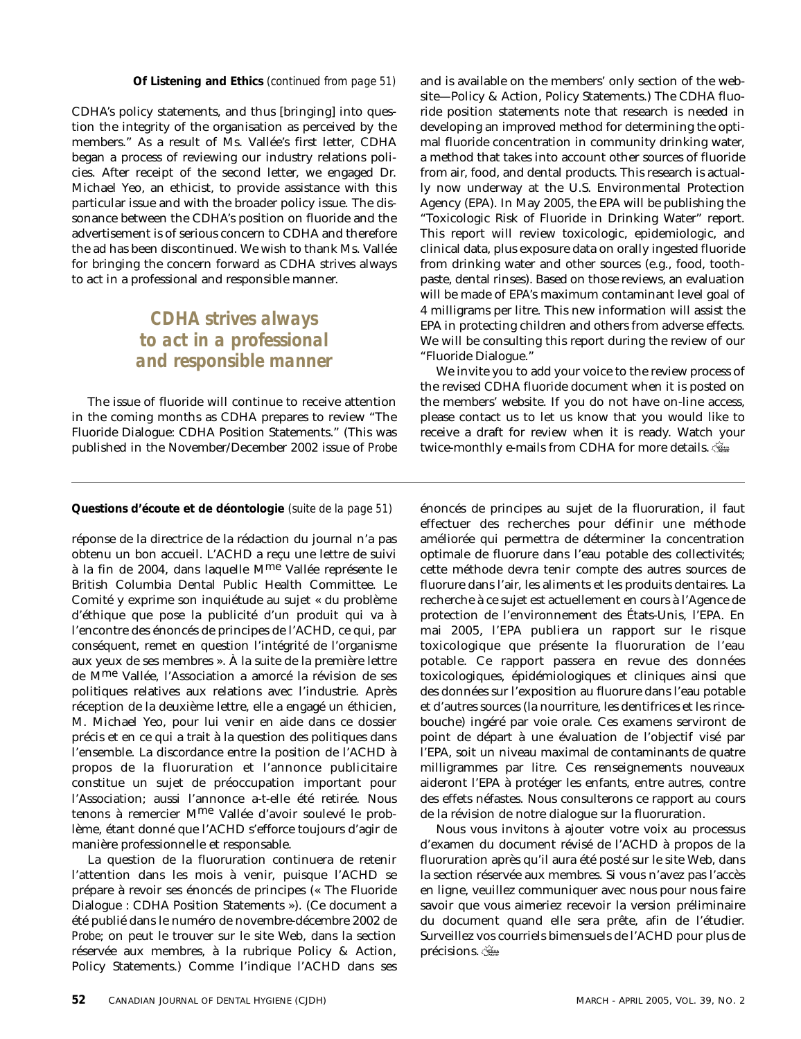CDHA's policy statements, and thus [bringing] into question the integrity of the organisation as perceived by the members." As a result of Ms. Vallée's first letter, CDHA began a process of reviewing our industry relations policies. After receipt of the second letter, we engaged Dr. Michael Yeo, an ethicist, to provide assistance with this particular issue and with the broader policy issue. The dissonance between the CDHA's position on fluoride and the advertisement is of serious concern to CDHA and therefore the ad has been discontinued. We wish to thank Ms. Vallée for bringing the concern forward as CDHA strives always to act in a professional and responsible manner.

### *CDHA strives always to act in a professional and responsible manner*

The issue of fluoride will continue to receive attention in the coming months as CDHA prepares to review "The Fluoride Dialogue: CDHA Position Statements." (This was published in the November/December 2002 issue of *Probe*

**Of Listening and Ethics** *(continued from page 51)* and is available on the members' only section of the website—Policy & Action, Policy Statements.) The CDHA fluoride position statements note that research is needed in developing an improved method for determining the optimal fluoride concentration in community drinking water, a method that takes into account other sources of fluoride from air, food, and dental products. This research is actually now underway at the U.S. Environmental Protection Agency (EPA). In May 2005, the EPA will be publishing the "Toxicologic Risk of Fluoride in Drinking Water" report. This report will review toxicologic, epidemiologic, and clinical data, plus exposure data on orally ingested fluoride from drinking water and other sources (e.g., food, toothpaste, dental rinses). Based on those reviews, an evaluation will be made of EPA's maximum contaminant level goal of 4 milligrams per litre. This new information will assist the EPA in protecting children and others from adverse effects. We will be consulting this report during the review of our "Fluoride Dialogue."

> We invite you to add your voice to the review process of the revised CDHA fluoride document when it is posted on the members' website. If you do not have on-line access, please contact us to let us know that you would like to receive a draft for review when it is ready. Watch your twice-monthly e-mails from CDHA for more details.

#### **Questions d'écoute et de déontologie** *(suite de la page 51)* énoncés de principes au sujet de la fluoruration, il faut

réponse de la directrice de la rédaction du journal n'a pas obtenu un bon accueil. L'ACHD a reçu une lettre de suivi à la fin de 2004, dans laquelle Mme Vallée représente le British Columbia Dental Public Health Committee. Le Comité y exprime son inquiétude au sujet « du problème d'éthique que pose la publicité d'un produit qui va à l'encontre des énoncés de principes de l'ACHD, ce qui, par conséquent, remet en question l'intégrité de l'organisme aux yeux de ses membres ». À la suite de la première lettre de Mme Vallée, l'Association a amorcé la révision de ses politiques relatives aux relations avec l'industrie. Après réception de la deuxième lettre, elle a engagé un éthicien, M. Michael Yeo, pour lui venir en aide dans ce dossier précis et en ce qui a trait à la question des politiques dans l'ensemble. La discordance entre la position de l'ACHD à propos de la fluoruration et l'annonce publicitaire constitue un sujet de préoccupation important pour l'Association; aussi l'annonce a-t-elle été retirée. Nous tenons à remercier Mme Vallée d'avoir soulevé le problème, étant donné que l'ACHD s'efforce toujours d'agir de manière professionnelle et responsable.

La question de la fluoruration continuera de retenir l'attention dans les mois à venir, puisque l'ACHD se prépare à revoir ses énoncés de principes (« The Fluoride Dialogue : CDHA Position Statements »). (Ce document a été publié dans le numéro de novembre-décembre 2002 de *Probe*; on peut le trouver sur le site Web, dans la section réservée aux membres, à la rubrique Policy & Action, Policy Statements.) Comme l'indique l'ACHD dans ses effectuer des recherches pour définir une méthode améliorée qui permettra de déterminer la concentration optimale de fluorure dans l'eau potable des collectivités; cette méthode devra tenir compte des autres sources de fluorure dans l'air, les aliments et les produits dentaires. La recherche à ce sujet est actuellement en cours à l'Agence de protection de l'environnement des États-Unis, l'EPA. En mai 2005, l'EPA publiera un rapport sur le risque toxicologique que présente la fluoruration de l'eau potable. Ce rapport passera en revue des données toxicologiques, épidémiologiques et cliniques ainsi que des données sur l'exposition au fluorure dans l'eau potable et d'autres sources (la nourriture, les dentifrices et les rincebouche) ingéré par voie orale. Ces examens serviront de point de départ à une évaluation de l'objectif visé par l'EPA, soit un niveau maximal de contaminants de quatre milligrammes par litre. Ces renseignements nouveaux aideront l'EPA à protéger les enfants, entre autres, contre des effets néfastes. Nous consulterons ce rapport au cours de la révision de notre dialogue sur la fluoruration.

Nous vous invitons à ajouter votre voix au processus d'examen du document révisé de l'ACHD à propos de la fluoruration après qu'il aura été posté sur le site Web, dans la section réservée aux membres. Si vous n'avez pas l'accès en ligne, veuillez communiquer avec nous pour nous faire savoir que vous aimeriez recevoir la version préliminaire du document quand elle sera prête, afin de l'étudier. Surveillez vos courriels bimensuels de l'ACHD pour plus de précisions.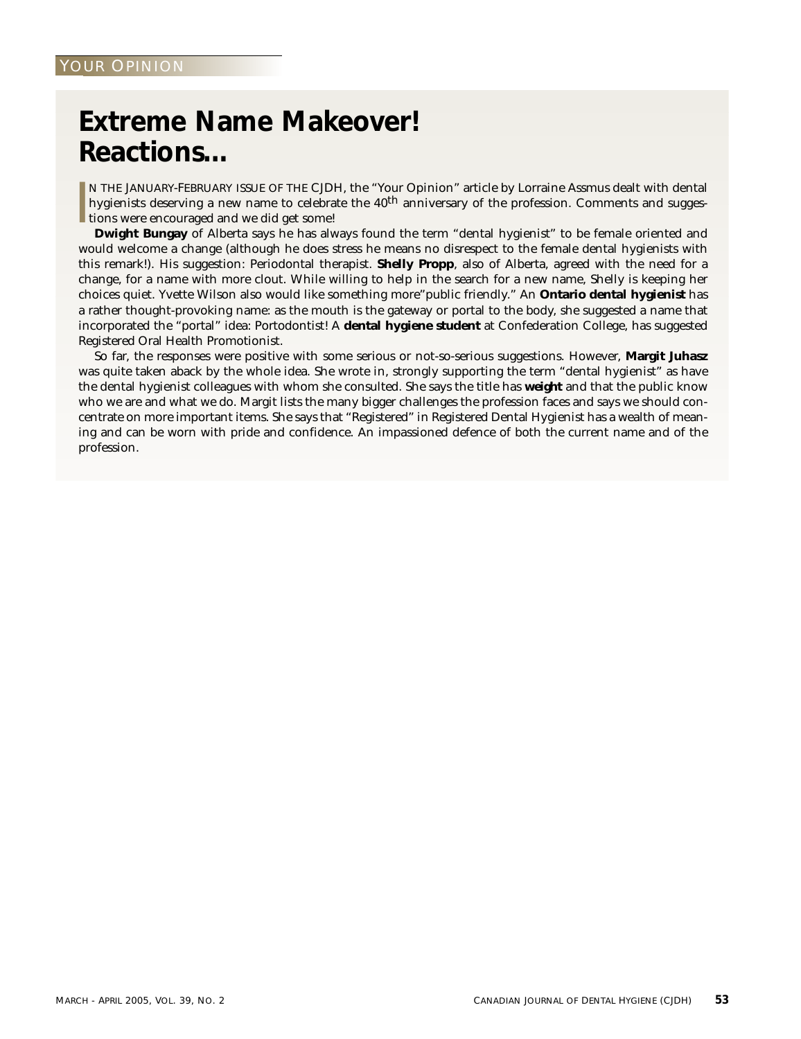# **Extreme Name Makeover! Reactions…**

I N THE JANUARY-FEBRUARY ISSUE OF THE CJDH, the "Your Opinion" article by Lorraine Assmus dealt with dental hygienists deserving a new name to celebrate the  $40<sup>th</sup>$  anniversary of the profession. Comments and suggestions were encouraged and we did get some!

**Dwight Bungay** of Alberta says he has always found the term "dental hygienist" to be female oriented and would welcome a change (although he does stress he means no disrespect to the female dental hygienists with this remark!). His suggestion: Periodontal therapist. **Shelly Propp**, also of Alberta, agreed with the need for a change, for a name with more clout. While willing to help in the search for a new name, Shelly is keeping her choices quiet. Yvette Wilson also would like something more"public friendly." An **Ontario dental hygienist** has a rather thought-provoking name: as the mouth is the gateway or portal to the body, she suggested a name that incorporated the "portal" idea: Portodontist! A **dental hygiene student** at Confederation College, has suggested Registered Oral Health Promotionist.

So far, the responses were positive with some serious or not-so-serious suggestions. However, **Margit Juhasz** was quite taken aback by the whole idea. She wrote in, strongly supporting the term "dental hygienist" as have the dental hygienist colleagues with whom she consulted. She says the title has *weight* and that the public know who we are and what we do. Margit lists the many bigger challenges the profession faces and says we should concentrate on more important items. She says that "Registered" in Registered Dental Hygienist has a wealth of meaning and can be worn with pride and confidence. An impassioned defence of both the current name and of the profession.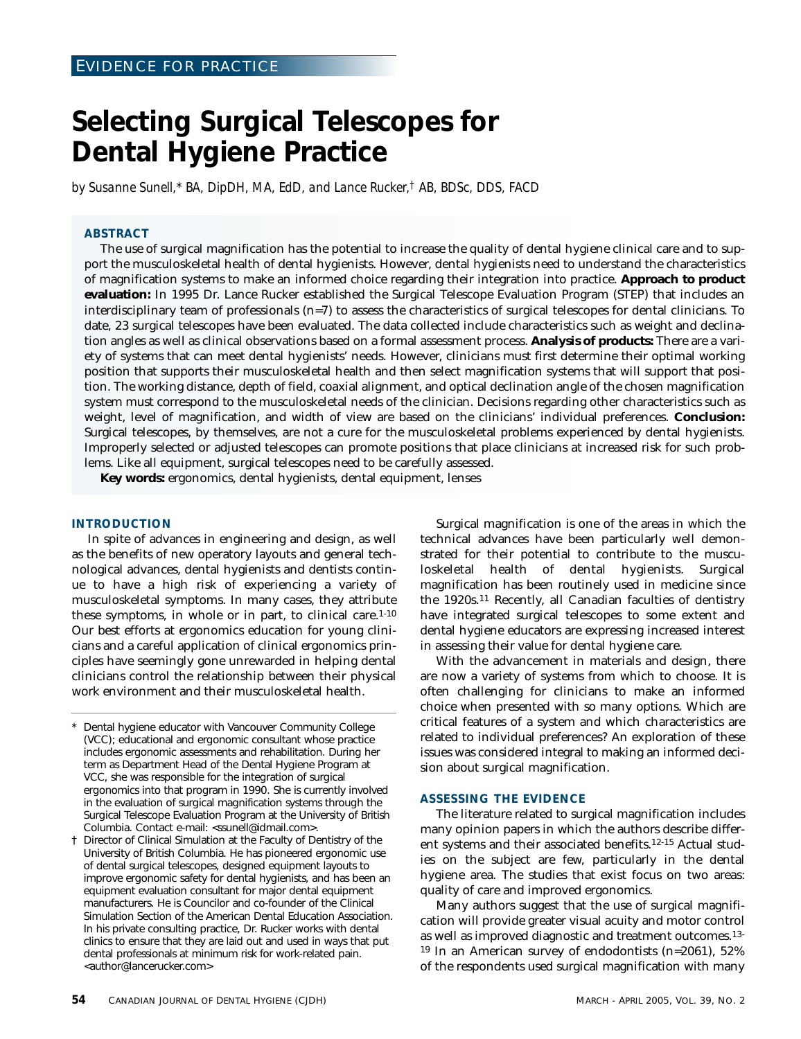## **Selecting Surgical Telescopes for Dental Hygiene Practice**

*by Susanne Sunell,\* BA, DipDH, MA, EdD, and Lance Rucker,† AB, BDSc, DDS, FACD*

#### **ABSTRACT**

The use of surgical magnification has the potential to increase the quality of dental hygiene clinical care and to support the musculoskeletal health of dental hygienists. However, dental hygienists need to understand the characteristics of magnification systems to make an informed choice regarding their integration into practice. **Approach to product evaluation:** In 1995 Dr. Lance Rucker established the Surgical Telescope Evaluation Program (STEP) that includes an interdisciplinary team of professionals (n=7) to assess the characteristics of surgical telescopes for dental clinicians. To date, 23 surgical telescopes have been evaluated. The data collected include characteristics such as weight and declination angles as well as clinical observations based on a formal assessment process. **Analysis of products:** There are a variety of systems that can meet dental hygienists' needs. However, clinicians must first determine their optimal working position that supports their musculoskeletal health and then select magnification systems that will support that position. The working distance, depth of field, coaxial alignment, and optical declination angle of the chosen magnification system must correspond to the musculoskeletal needs of the clinician. Decisions regarding other characteristics such as weight, level of magnification, and width of view are based on the clinicians' individual preferences. **Conclusion:** Surgical telescopes, by themselves, are not a cure for the musculoskeletal problems experienced by dental hygienists. Improperly selected or adjusted telescopes can promote positions that place clinicians at increased risk for such problems. Like all equipment, surgical telescopes need to be carefully assessed.

**Key words:** ergonomics, dental hygienists, dental equipment, lenses

#### **INTRODUCTION**

In spite of advances in engineering and design, as well as the benefits of new operatory layouts and general technological advances, dental hygienists and dentists continue to have a high risk of experiencing a variety of musculoskeletal symptoms. In many cases, they attribute these symptoms, in whole or in part, to clinical care.1-10 Our best efforts at ergonomics education for young clinicians and a careful application of clinical ergonomics principles have seemingly gone unrewarded in helping dental clinicians control the relationship between their physical work environment and their musculoskeletal health.

- Dental hygiene educator with Vancouver Community College (VCC); educational and ergonomic consultant whose practice includes ergonomic assessments and rehabilitation. During her term as Department Head of the Dental Hygiene Program at VCC, she was responsible for the integration of surgical ergonomics into that program in 1990. She is currently involved in the evaluation of surgical magnification systems through the Surgical Telescope Evaluation Program at the University of British Columbia. Contact e-mail: <ssunell@idmail.com>.
- † Director of Clinical Simulation at the Faculty of Dentistry of the University of British Columbia. He has pioneered ergonomic use of dental surgical telescopes, designed equipment layouts to improve ergonomic safety for dental hygienists, and has been an equipment evaluation consultant for major dental equipment manufacturers. He is Councilor and co-founder of the Clinical Simulation Section of the American Dental Education Association. In his private consulting practice, Dr. Rucker works with dental clinics to ensure that they are laid out and used in ways that put dental professionals at minimum risk for work-related pain. <author@lancerucker.com>

Surgical magnification is one of the areas in which the technical advances have been particularly well demonstrated for their potential to contribute to the musculoskeletal health of dental hygienists. Surgical magnification has been routinely used in medicine since the 1920s.11 Recently, all Canadian faculties of dentistry have integrated surgical telescopes to some extent and dental hygiene educators are expressing increased interest in assessing their value for dental hygiene care.

With the advancement in materials and design, there are now a variety of systems from which to choose. It is often challenging for clinicians to make an informed choice when presented with so many options. Which are critical features of a system and which characteristics are related to individual preferences? An exploration of these issues was considered integral to making an informed decision about surgical magnification.

#### **ASSESSING THE EVIDENCE**

The literature related to surgical magnification includes many opinion papers in which the authors describe different systems and their associated benefits.12-15 Actual studies on the subject are few, particularly in the dental hygiene area. The studies that exist focus on two areas: quality of care and improved ergonomics.

Many authors suggest that the use of surgical magnification will provide greater visual acuity and motor control as well as improved diagnostic and treatment outcomes.13- 19 In an American survey of endodontists (n=2061), 52% of the respondents used surgical magnification with many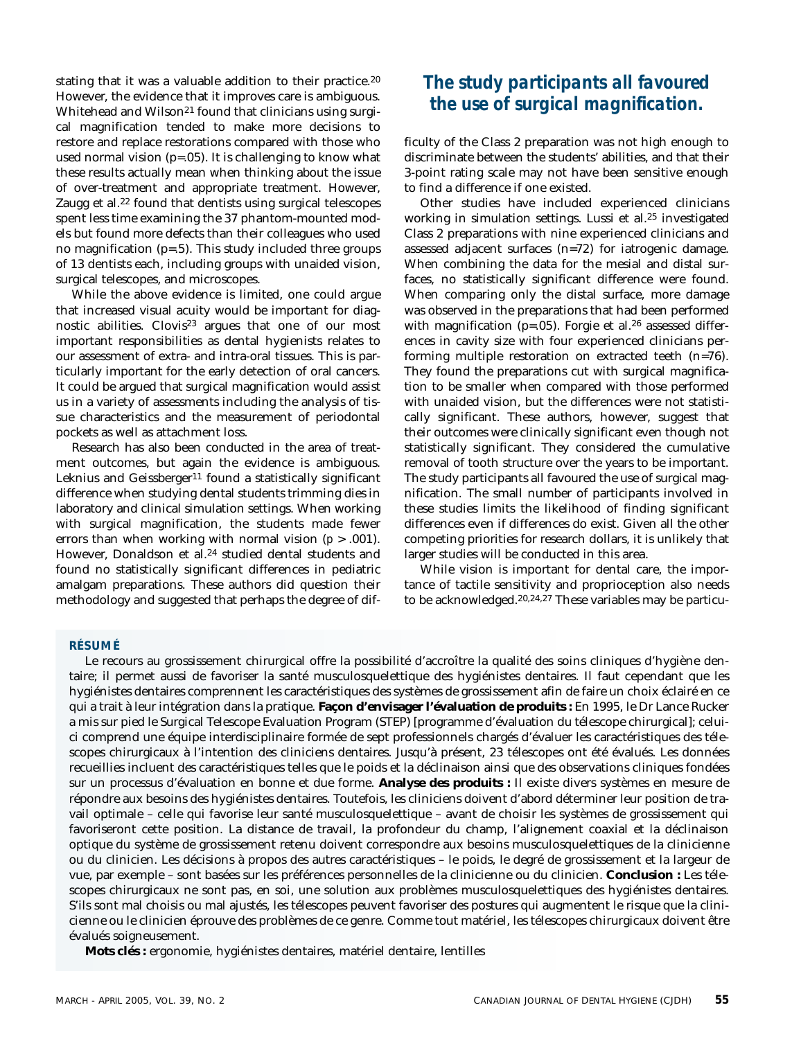stating that it was a valuable addition to their practice.<sup>20</sup> However, the evidence that it improves care is ambiguous. Whitehead and Wilson<sup>21</sup> found that clinicians using surgical magnification tended to make more decisions to restore and replace restorations compared with those who used normal vision (p=.05). It is challenging to know what these results actually mean when thinking about the issue of over-treatment and appropriate treatment. However, Zaugg et al.22 found that dentists using surgical telescopes spent less time examining the 37 phantom-mounted models but found more defects than their colleagues who used no magnification (p=.5). This study included three groups of 13 dentists each, including groups with unaided vision, surgical telescopes, and microscopes.

While the above evidence is limited, one could argue that increased visual acuity would be important for diagnostic abilities. Clovis23 argues that one of our most important responsibilities as dental hygienists relates to our assessment of extra- and intra-oral tissues. This is particularly important for the early detection of oral cancers. It could be argued that surgical magnification would assist us in a variety of assessments including the analysis of tissue characteristics and the measurement of periodontal pockets as well as attachment loss.

Research has also been conducted in the area of treatment outcomes, but again the evidence is ambiguous. Leknius and Geissberger<sup>11</sup> found a statistically significant difference when studying dental students trimming dies in laboratory and clinical simulation settings. When working with surgical magnification, the students made fewer errors than when working with normal vision (*p* > .001). However, Donaldson et al.<sup>24</sup> studied dental students and found no statistically significant differences in pediatric amalgam preparations. These authors did question their methodology and suggested that perhaps the degree of dif-

### *The study participants all favoured the use of surgical magnification.*

ficulty of the Class 2 preparation was not high enough to discriminate between the students' abilities, and that their 3-point rating scale may not have been sensitive enough to find a difference if one existed.

Other studies have included experienced clinicians working in simulation settings. Lussi et al.25 investigated Class 2 preparations with nine experienced clinicians and assessed adjacent surfaces (n=72) for iatrogenic damage. When combining the data for the mesial and distal surfaces, no statistically significant difference were found. When comparing only the distal surface, more damage was observed in the preparations that had been performed with magnification ( $p=.05$ ). Forgie et al.<sup>26</sup> assessed differences in cavity size with four experienced clinicians performing multiple restoration on extracted teeth (n=76). They found the preparations cut with surgical magnification to be smaller when compared with those performed with unaided vision, but the differences were not statistically significant. These authors, however, suggest that their outcomes were clinically significant even though not statistically significant. They considered the cumulative removal of tooth structure over the years to be important. The study participants all favoured the use of surgical magnification. The small number of participants involved in these studies limits the likelihood of finding significant differences even if differences do exist. Given all the other competing priorities for research dollars, it is unlikely that larger studies will be conducted in this area.

While vision is important for dental care, the importance of tactile sensitivity and proprioception also needs to be acknowledged.20,24,27 These variables may be particu-

#### **RÉSUMÉ**

Le recours au grossissement chirurgical offre la possibilité d'accroître la qualité des soins cliniques d'hygiène dentaire; il permet aussi de favoriser la santé musculosquelettique des hygiénistes dentaires. Il faut cependant que les hygiénistes dentaires comprennent les caractéristiques des systèmes de grossissement afin de faire un choix éclairé en ce qui a trait à leur intégration dans la pratique. **Façon d'envisager l'évaluation de produits :** En 1995, le Dr Lance Rucker a mis sur pied le Surgical Telescope Evaluation Program (STEP) [programme d'évaluation du télescope chirurgical]; celuici comprend une équipe interdisciplinaire formée de sept professionnels chargés d'évaluer les caractéristiques des télescopes chirurgicaux à l'intention des cliniciens dentaires. Jusqu'à présent, 23 télescopes ont été évalués. Les données recueillies incluent des caractéristiques telles que le poids et la déclinaison ainsi que des observations cliniques fondées sur un processus d'évaluation en bonne et due forme. **Analyse des produits :** Il existe divers systèmes en mesure de répondre aux besoins des hygiénistes dentaires. Toutefois, les cliniciens doivent d'abord déterminer leur position de travail optimale – celle qui favorise leur santé musculosquelettique – avant de choisir les systèmes de grossissement qui favoriseront cette position. La distance de travail, la profondeur du champ, l'alignement coaxial et la déclinaison optique du système de grossissement retenu doivent correspondre aux besoins musculosquelettiques de la clinicienne ou du clinicien. Les décisions à propos des autres caractéristiques – le poids, le degré de grossissement et la largeur de vue, par exemple – sont basées sur les préférences personnelles de la clinicienne ou du clinicien. **Conclusion :** Les télescopes chirurgicaux ne sont pas, en soi, une solution aux problèmes musculosquelettiques des hygiénistes dentaires. S'ils sont mal choisis ou mal ajustés, les télescopes peuvent favoriser des postures qui augmentent le risque que la clinicienne ou le clinicien éprouve des problèmes de ce genre. Comme tout matériel, les télescopes chirurgicaux doivent être évalués soigneusement.

**Mots clés :** ergonomie, hygiénistes dentaires, matériel dentaire, lentilles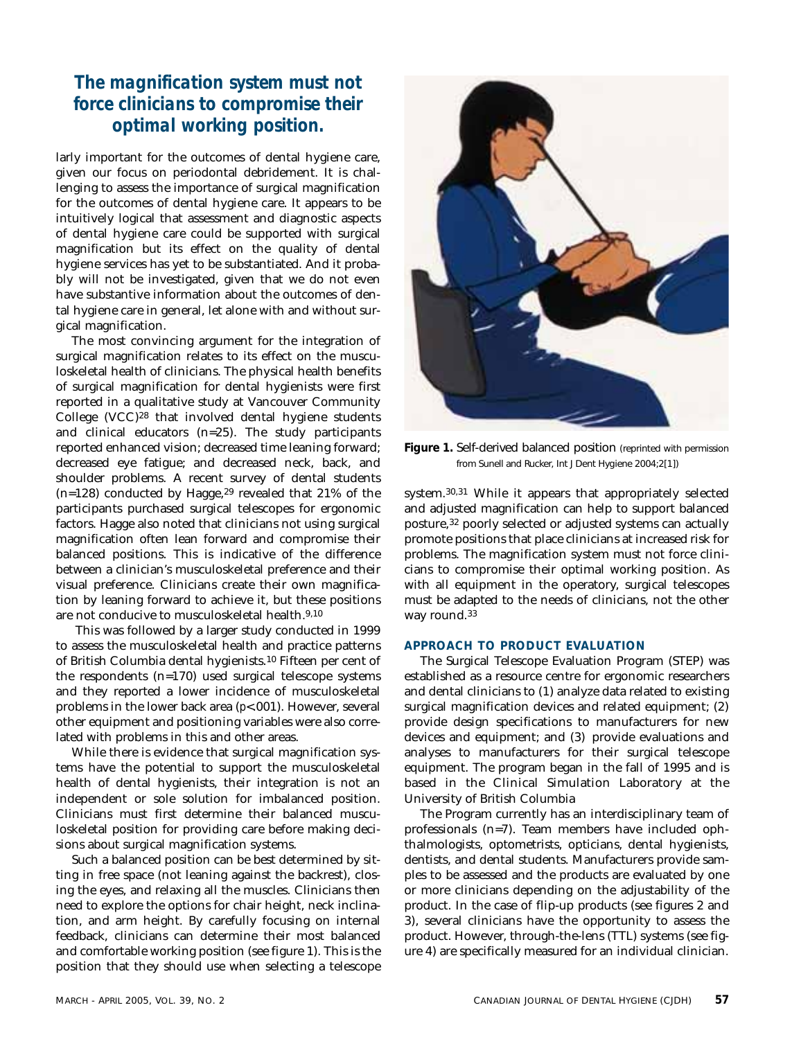### *The magnification system must not force clinicians to compromise their optimal working position.*

larly important for the outcomes of dental hygiene care, given our focus on periodontal debridement. It is challenging to assess the importance of surgical magnification for the outcomes of dental hygiene care. It appears to be intuitively logical that assessment and diagnostic aspects of dental hygiene care could be supported with surgical magnification but its effect on the quality of dental hygiene services has yet to be substantiated. And it probably will not be investigated, given that we do not even have substantive information about the outcomes of dental hygiene care in general, let alone with and without surgical magnification.

The most convincing argument for the integration of surgical magnification relates to its effect on the musculoskeletal health of clinicians. The physical health benefits of surgical magnification for dental hygienists were first reported in a qualitative study at Vancouver Community College (VCC)28 that involved dental hygiene students and clinical educators (n=25). The study participants reported enhanced vision; decreased time leaning forward; decreased eye fatigue; and decreased neck, back, and shoulder problems. A recent survey of dental students  $(n=128)$  conducted by Hagge,<sup>29</sup> revealed that 21% of the participants purchased surgical telescopes for ergonomic factors. Hagge also noted that clinicians not using surgical magnification often lean forward and compromise their balanced positions. This is indicative of the difference between a clinician's musculoskeletal preference and their visual preference. Clinicians create their own magnification by leaning forward to achieve it, but these positions are not conducive to musculoskeletal health.9,10

This was followed by a larger study conducted in 1999 to assess the musculoskeletal health and practice patterns of British Columbia dental hygienists.10 Fifteen per cent of the respondents (n=170) used surgical telescope systems and they reported a lower incidence of musculoskeletal problems in the lower back area (*p*<.001). However, several other equipment and positioning variables were also correlated with problems in this and other areas.

While there is evidence that surgical magnification systems have the potential to support the musculoskeletal health of dental hygienists, their integration is not an independent or sole solution for imbalanced position. Clinicians must first determine their balanced musculoskeletal position for providing care before making decisions about surgical magnification systems.

Such a balanced position can be best determined by sitting in free space (not leaning against the backrest), closing the eyes, and relaxing all the muscles. Clinicians then need to explore the options for chair height, neck inclination, and arm height. By carefully focusing on internal feedback, clinicians can determine their most balanced and comfortable working position (see figure 1). This is the position that they should use when selecting a telescope



**Figure 1.** Self-derived balanced position (reprinted with permission from Sunell and Rucker, Int J Dent Hygiene 2004;2[1])

system.30,31 While it appears that appropriately selected and adjusted magnification can help to support balanced posture,32 poorly selected or adjusted systems can actually promote positions that place clinicians at increased risk for problems. The magnification system must not force clinicians to compromise their optimal working position. As with all equipment in the operatory, surgical telescopes must be adapted to the needs of clinicians, not the other way round.33

#### **APPROACH TO PRODUCT EVALUATION**

The Surgical Telescope Evaluation Program (STEP) was established as a resource centre for ergonomic researchers and dental clinicians to (1) analyze data related to existing surgical magnification devices and related equipment; (2) provide design specifications to manufacturers for new devices and equipment; and (3) provide evaluations and analyses to manufacturers for their surgical telescope equipment. The program began in the fall of 1995 and is based in the Clinical Simulation Laboratory at the University of British Columbia

The Program currently has an interdisciplinary team of professionals (n=7). Team members have included ophthalmologists, optometrists, opticians, dental hygienists, dentists, and dental students. Manufacturers provide samples to be assessed and the products are evaluated by one or more clinicians depending on the adjustability of the product. In the case of flip-up products (see figures 2 and 3), several clinicians have the opportunity to assess the product. However, through-the-lens (TTL) systems (see figure 4) are specifically measured for an individual clinician.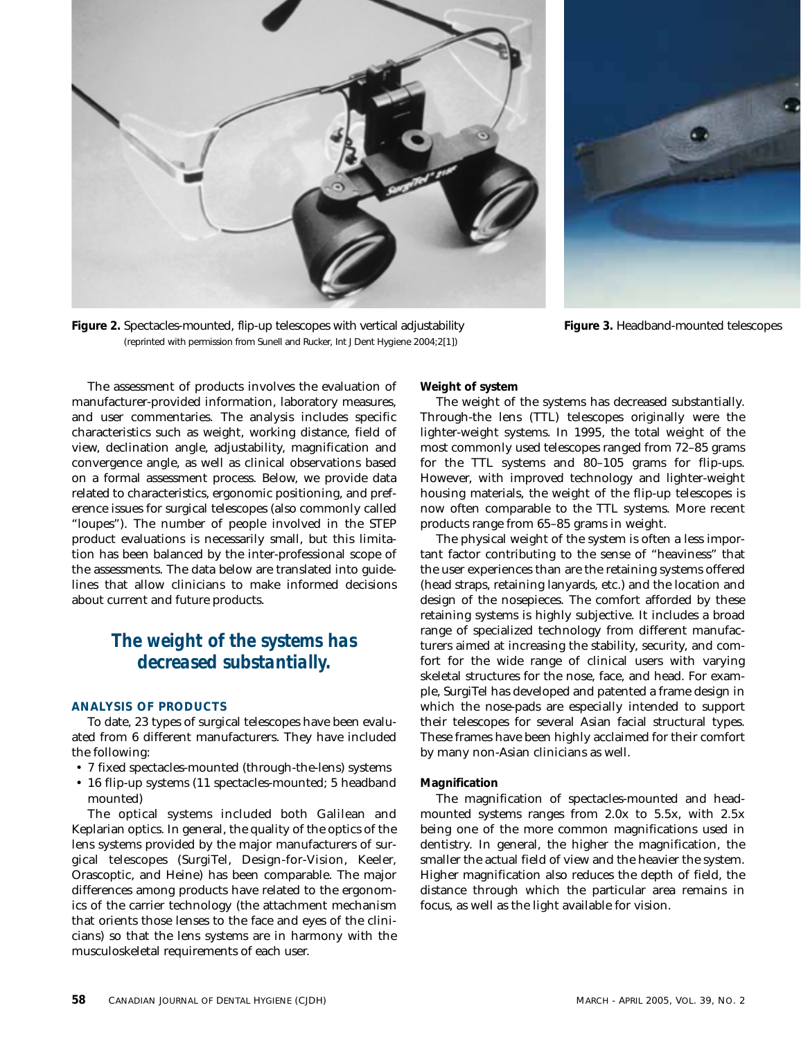

**Figure 2.** Spectacles-mounted, flip-up telescopes with vertical adjustability (reprinted with permission from Sunell and Rucker, Int J Dent Hygiene 2004;2[1])



**Figure 3.** Headband-mounted telescopes

The assessment of products involves the evaluation of manufacturer-provided information, laboratory measures, and user commentaries. The analysis includes specific characteristics such as weight, working distance, field of view, declination angle, adjustability, magnification and convergence angle, as well as clinical observations based on a formal assessment process. Below, we provide data related to characteristics, ergonomic positioning, and preference issues for surgical telescopes (also commonly called "loupes"). The number of people involved in the STEP product evaluations is necessarily small, but this limitation has been balanced by the inter-professional scope of the assessments. The data below are translated into guidelines that allow clinicians to make informed decisions about current and future products.

### *The weight of the systems has decreased substantially.*

#### **ANALYSIS OF PRODUCTS**

To date, 23 types of surgical telescopes have been evaluated from 6 different manufacturers. They have included the following:

- 7 fixed spectacles-mounted (through-the-lens) systems
- 16 flip-up systems (11 spectacles-mounted; 5 headband mounted)

The optical systems included both Galilean and Keplarian optics. In general, the quality of the optics of the lens systems provided by the major manufacturers of surgical telescopes (SurgiTel, Design-for-Vision, Keeler, Orascoptic, and Heine) has been comparable. The major differences among products have related to the ergonomics of the carrier technology (the attachment mechanism that orients those lenses to the face and eyes of the clinicians) so that the lens systems are in harmony with the musculoskeletal requirements of each user.

**Weight of system**

The weight of the systems has decreased substantially. Through-the lens (TTL) telescopes originally were the lighter-weight systems. In 1995, the total weight of the most commonly used telescopes ranged from 72–85 grams for the TTL systems and 80–105 grams for flip-ups. However, with improved technology and lighter-weight housing materials, the weight of the flip-up telescopes is now often comparable to the TTL systems. More recent products range from 65–85 grams in weight.

The physical weight of the system is often a less important factor contributing to the sense of "heaviness" that the user experiences than are the retaining systems offered (head straps, retaining lanyards, etc.) and the location and design of the nosepieces. The comfort afforded by these retaining systems is highly subjective. It includes a broad range of specialized technology from different manufacturers aimed at increasing the stability, security, and comfort for the wide range of clinical users with varying skeletal structures for the nose, face, and head. For example, SurgiTel has developed and patented a frame design in which the nose-pads are especially intended to support their telescopes for several Asian facial structural types. These frames have been highly acclaimed for their comfort by many non-Asian clinicians as well.

### **Magnification**

The magnification of spectacles-mounted and headmounted systems ranges from 2.0x to 5.5x, with 2.5x being one of the more common magnifications used in dentistry. In general, the higher the magnification, the smaller the actual field of view and the heavier the system. Higher magnification also reduces the depth of field, the distance through which the particular area remains in focus, as well as the light available for vision.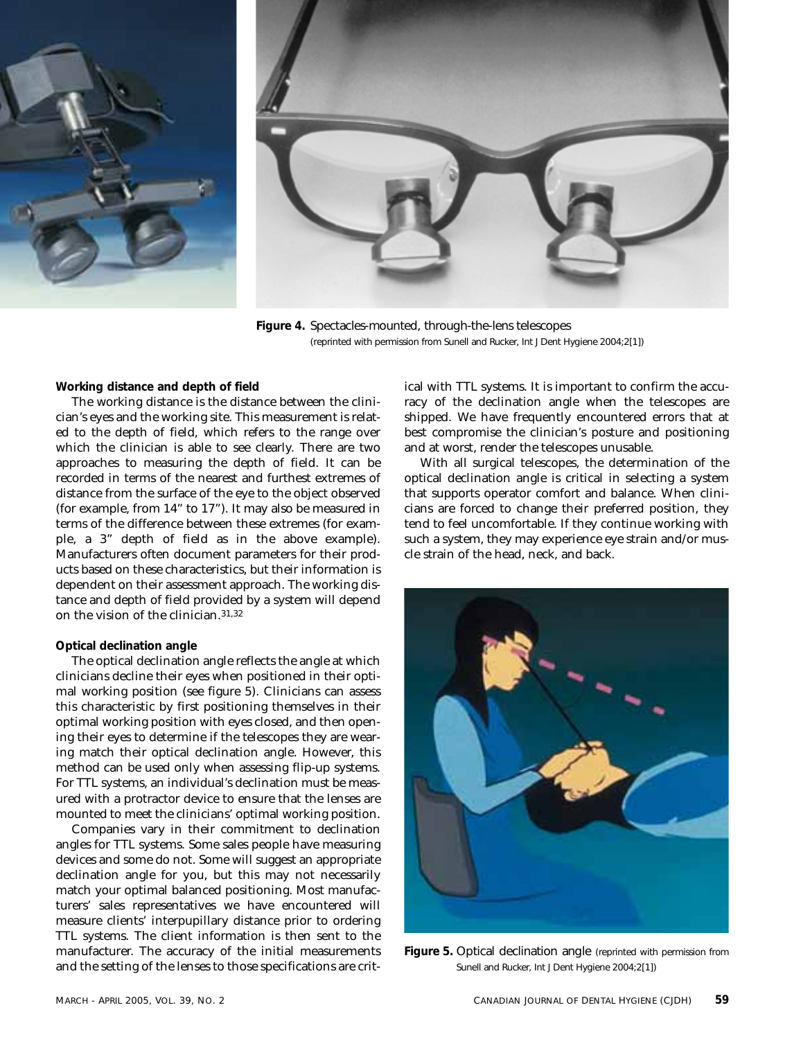



**Figure 4.** Spectacles-mounted, through-the-lens telescopes (reprinted with permission from Sunell and Rucker, Int J Dent Hygiene 2004;2[1])

**Working distance and depth of field** 

The working distance is the distance between the clinician's eyes and the working site. This measurement is related to the depth of field, which refers to the range over which the clinician is able to see clearly. There are two approaches to measuring the depth of field. It can be recorded in terms of the nearest and furthest extremes of distance from the surface of the eye to the object observed (for example, from 14" to 17"). It may also be measured in terms of the difference between these extremes (for example, a 3" depth of field as in the above example). Manufacturers often document parameters for their products based on these characteristics, but their information is dependent on their assessment approach. The working distance and depth of field provided by a system will depend on the vision of the clinician.31,32

#### **Optical declination angle**

The optical declination angle reflects the angle at which clinicians decline their eyes when positioned in their optimal working position (see figure 5). Clinicians can assess this characteristic by first positioning themselves in their optimal working position with eyes closed, and then opening their eyes to determine if the telescopes they are wearing match their optical declination angle. However, this method can be used only when assessing flip-up systems. For TTL systems, an individual's declination must be measured with a protractor device to ensure that the lenses are mounted to meet the clinicians' optimal working position.

Companies vary in their commitment to declination angles for TTL systems. Some sales people have measuring devices and some do not. Some will suggest an appropriate declination angle for you, but this may not necessarily match your optimal balanced positioning. Most manufacturers' sales representatives we have encountered will measure clients' interpupillary distance prior to ordering TTL systems. The client information is then sent to the manufacturer. The accuracy of the initial measurements and the setting of the lenses to those specifications are critical with TTL systems. It is important to confirm the accuracy of the declination angle when the telescopes are shipped. We have frequently encountered errors that at best compromise the clinician's posture and positioning and at worst, render the telescopes unusable.

With all surgical telescopes, the determination of the optical declination angle is critical in selecting a system that supports operator comfort and balance. When clinicians are forced to change their preferred position, they tend to feel uncomfortable. If they continue working with such a system, they may experience eye strain and/or muscle strain of the head, neck, and back.



**Figure 5.** Optical declination angle (reprinted with permission from Sunell and Rucker, Int J Dent Hygiene 2004;2[1])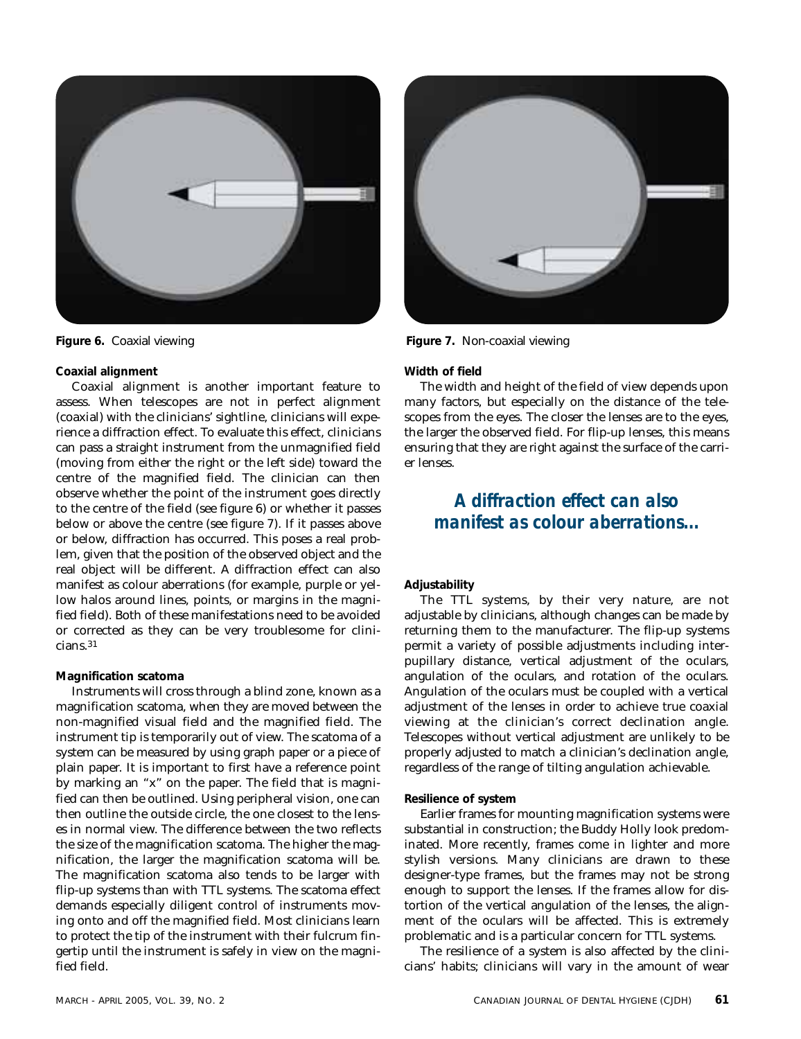

#### **Coaxial alignment**

Coaxial alignment is another important feature to assess. When telescopes are not in perfect alignment (coaxial) with the clinicians' sightline, clinicians will experience a diffraction effect. To evaluate this effect, clinicians can pass a straight instrument from the unmagnified field (moving from either the right or the left side) toward the centre of the magnified field. The clinician can then observe whether the point of the instrument goes directly to the centre of the field (see figure 6) or whether it passes below or above the centre (see figure 7). If it passes above or below, diffraction has occurred. This poses a real problem, given that the position of the observed object and the real object will be different. A diffraction effect can also manifest as colour aberrations (for example, purple or yellow halos around lines, points, or margins in the magnified field). Both of these manifestations need to be avoided or corrected as they can be very troublesome for clinicians.31

#### **Magnification scatoma**

Instruments will cross through a blind zone, known as a magnification scatoma, when they are moved between the non-magnified visual field and the magnified field. The instrument tip is temporarily out of view. The scatoma of a system can be measured by using graph paper or a piece of plain paper. It is important to first have a reference point by marking an "x" on the paper. The field that is magnified can then be outlined. Using peripheral vision, one can then outline the outside circle, the one closest to the lenses in normal view. The difference between the two reflects the size of the magnification scatoma. The higher the magnification, the larger the magnification scatoma will be. The magnification scatoma also tends to be larger with flip-up systems than with TTL systems. The scatoma effect demands especially diligent control of instruments moving onto and off the magnified field. Most clinicians learn to protect the tip of the instrument with their fulcrum fingertip until the instrument is safely in view on the magnified field.



**Figure 6.** Coaxial viewing **Figure 7.** Non-coaxial viewing

#### **Width of field**

The width and height of the field of view depends upon many factors, but especially on the distance of the telescopes from the eyes. The closer the lenses are to the eyes, the larger the observed field. For flip-up lenses, this means ensuring that they are right against the surface of the carrier lenses.

### *A diffraction effect can also manifest as colour aberrations...*

#### **Adjustability**

The TTL systems, by their very nature, are not adjustable by clinicians, although changes can be made by returning them to the manufacturer. The flip-up systems permit a variety of possible adjustments including interpupillary distance, vertical adjustment of the oculars, angulation of the oculars, and rotation of the oculars. Angulation of the oculars must be coupled with a vertical adjustment of the lenses in order to achieve true coaxial viewing at the clinician's correct declination angle. Telescopes without vertical adjustment are unlikely to be properly adjusted to match a clinician's declination angle, regardless of the range of tilting angulation achievable.

#### **Resilience of system**

Earlier frames for mounting magnification systems were substantial in construction; the Buddy Holly look predominated. More recently, frames come in lighter and more stylish versions. Many clinicians are drawn to these designer-type frames, but the frames may not be strong enough to support the lenses. If the frames allow for distortion of the vertical angulation of the lenses, the alignment of the oculars will be affected. This is extremely problematic and is a particular concern for TTL systems.

The resilience of a system is also affected by the clinicians' habits; clinicians will vary in the amount of wear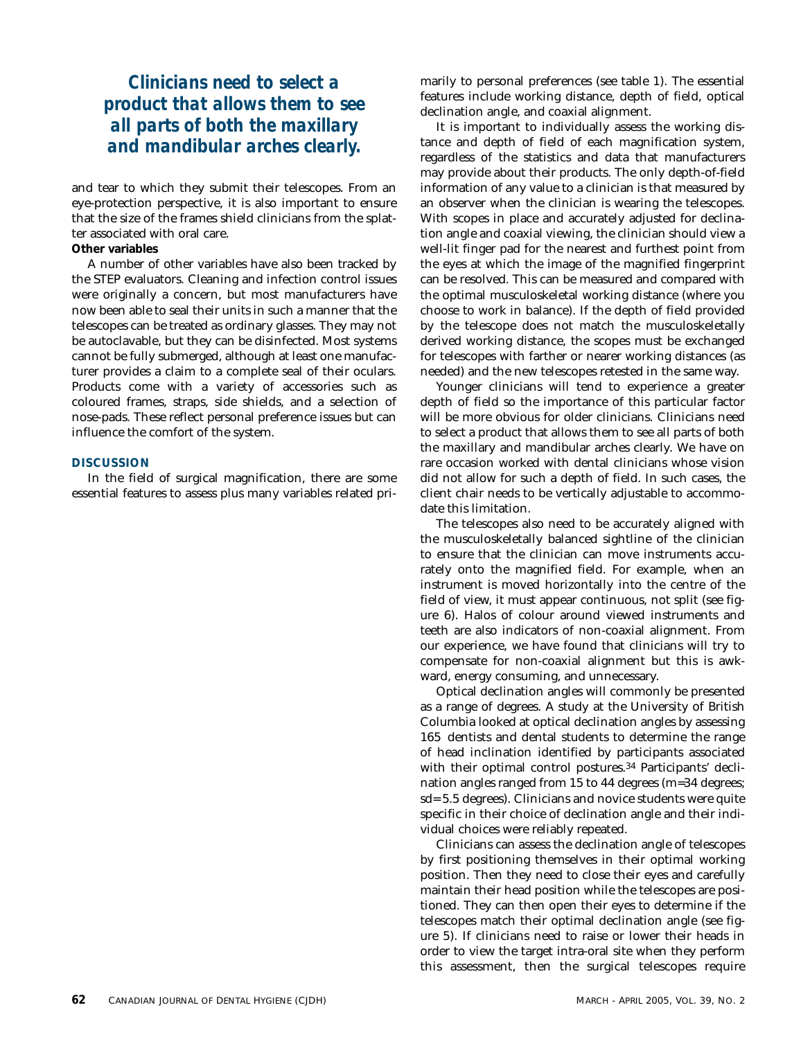### *Clinicians need to select a product that allows them to see all parts of both the maxillary and mandibular arches clearly.*

and tear to which they submit their telescopes. From an eye-protection perspective, it is also important to ensure that the size of the frames shield clinicians from the splatter associated with oral care.

#### **Other variables**

A number of other variables have also been tracked by the STEP evaluators. Cleaning and infection control issues were originally a concern, but most manufacturers have now been able to seal their units in such a manner that the telescopes can be treated as ordinary glasses. They may not be autoclavable, but they can be disinfected. Most systems cannot be fully submerged, although at least one manufacturer provides a claim to a complete seal of their oculars. Products come with a variety of accessories such as coloured frames, straps, side shields, and a selection of nose-pads. These reflect personal preference issues but can influence the comfort of the system.

#### **DISCUSSION**

In the field of surgical magnification, there are some essential features to assess plus many variables related primarily to personal preferences (see table 1). The essential features include working distance, depth of field, optical declination angle, and coaxial alignment.

It is important to individually assess the working distance and depth of field of each magnification system, regardless of the statistics and data that manufacturers may provide about their products. The only depth-of-field information of any value to a clinician is that measured by an observer when the clinician is wearing the telescopes. With scopes in place and accurately adjusted for declination angle and coaxial viewing, the clinician should view a well-lit finger pad for the nearest and furthest point from the eyes at which the image of the magnified fingerprint can be resolved. This can be measured and compared with the optimal musculoskeletal working distance (where you choose to work in balance). If the depth of field provided by the telescope does not match the musculoskeletally derived working distance, the scopes must be exchanged for telescopes with farther or nearer working distances (as needed) and the new telescopes retested in the same way.

Younger clinicians will tend to experience a greater depth of field so the importance of this particular factor will be more obvious for older clinicians. Clinicians need to select a product that allows them to see all parts of both the maxillary and mandibular arches clearly. We have on rare occasion worked with dental clinicians whose vision did not allow for such a depth of field. In such cases, the client chair needs to be vertically adjustable to accommodate this limitation.

The telescopes also need to be accurately aligned with the musculoskeletally balanced sightline of the clinician to ensure that the clinician can move instruments accurately onto the magnified field. For example, when an instrument is moved horizontally into the centre of the field of view, it must appear continuous, not split (see figure 6). Halos of colour around viewed instruments and teeth are also indicators of non-coaxial alignment. From our experience, we have found that clinicians will try to compensate for non-coaxial alignment but this is awkward, energy consuming, and unnecessary.

Optical declination angles will commonly be presented as a range of degrees. A study at the University of British Columbia looked at optical declination angles by assessing 165 dentists and dental students to determine the range of head inclination identified by participants associated with their optimal control postures.<sup>34</sup> Participants' declination angles ranged from 15 to 44 degrees (m=34 degrees; sd= 5.5 degrees). Clinicians and novice students were quite specific in their choice of declination angle and their individual choices were reliably repeated.

Clinicians can assess the declination angle of telescopes by first positioning themselves in their optimal working position. Then they need to close their eyes and carefully maintain their head position while the telescopes are positioned. They can then open their eyes to determine if the telescopes match their optimal declination angle (see figure 5). If clinicians need to raise or lower their heads in order to view the target intra-oral site when they perform this assessment, then the surgical telescopes require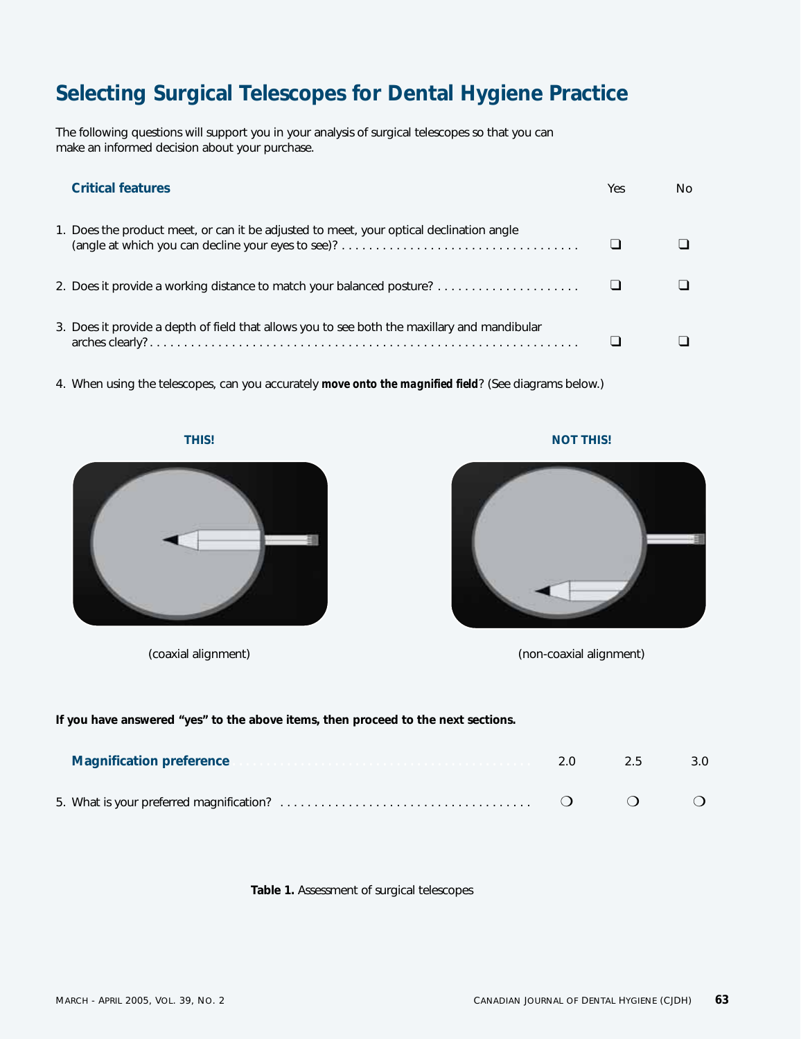## **Selecting Surgical Telescopes for Dental Hygiene Practice**

The following questions will support you in your analysis of surgical telescopes so that you can make an informed decision about your purchase.

| <b>Critical features</b>                                                                     | Yes | N٥ |
|----------------------------------------------------------------------------------------------|-----|----|
| 1. Does the product meet, or can it be adjusted to meet, your optical declination angle      |     |    |
| 2. Does it provide a working distance to match your balanced posture?                        |     |    |
| 3. Does it provide a depth of field that allows you to see both the maxillary and mandibular |     |    |

4. When using the telescopes, can you accurately *move onto the magnified field*? (See diagrams below.)

**THIS! NOT THIS!**



(coaxial alignment) (non-coaxial alignment)

### **If you have answered "yes" to the above items, then proceed to the next sections.**

| <b>Magnification preference</b> | 2.0 | 2.5 | 3.0 |
|---------------------------------|-----|-----|-----|
|                                 |     |     |     |

#### **Table 1.** Assessment of surgical telescopes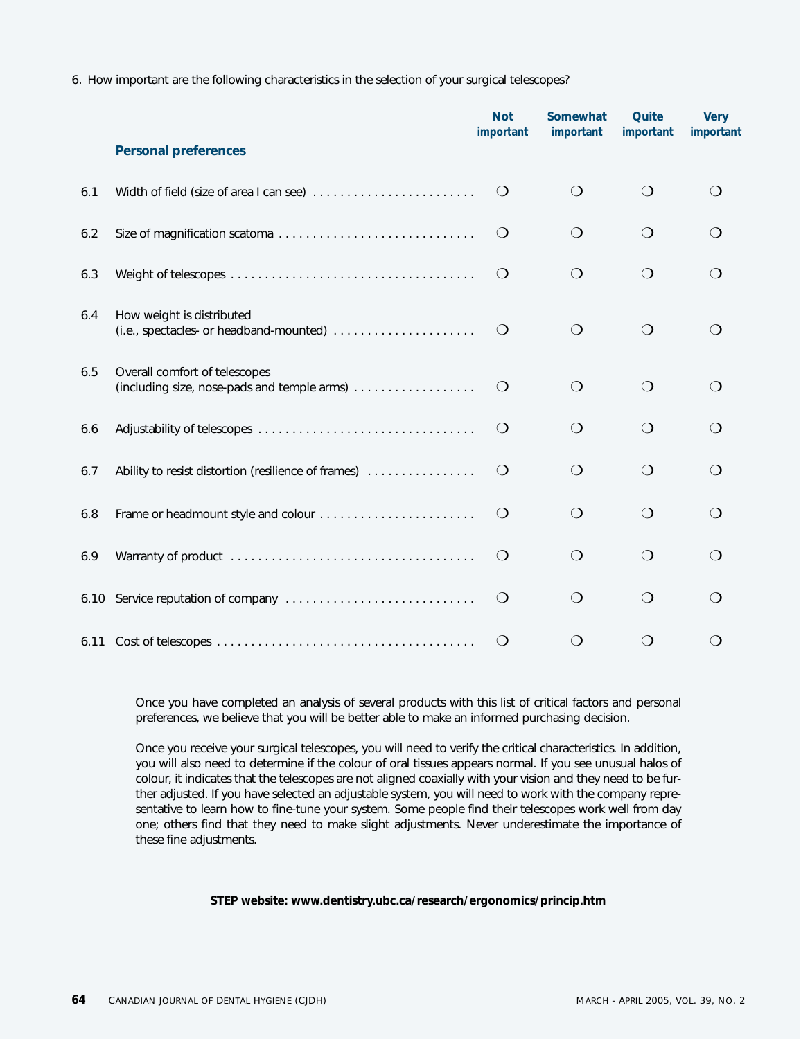6. How important are the following characteristics in the selection of your surgical telescopes?

|     |                                                                              | <b>Not</b><br>important | Somewhat<br>important | Quite<br>important | <b>Very</b><br>important        |
|-----|------------------------------------------------------------------------------|-------------------------|-----------------------|--------------------|---------------------------------|
|     | <b>Personal preferences</b>                                                  |                         |                       |                    |                                 |
| 6.1 | Width of field (size of area I can see)                                      | $\bigcirc$              | $\bigcirc$            | $\bigcirc$         | 0                               |
| 6.2 |                                                                              | $\bigcirc$              | $\bigcirc$            | $\bigcirc$         | $\left( \right)$                |
| 6.3 |                                                                              | $\bigcirc$              | $\bigcirc$            | $\bigcirc$         | ∩                               |
| 6.4 | How weight is distributed                                                    | $\circlearrowleft$      | $\bigcirc$            | $\bigcirc$         | $\left( \ \right)$              |
| 6.5 | Overall comfort of telescopes<br>(including size, nose-pads and temple arms) | $\bigcirc$              | $\bigcirc$            | $\bigcirc$         | $\left(\begin{array}{c}\right)$ |
| 6.6 |                                                                              | $\bigcirc$              | $\bigcirc$            | $\bigcirc$         | ∩                               |
| 6.7 | Ability to resist distortion (resilience of frames)                          | $\bigcirc$              | $\bigcirc$            | $\bigcirc$         | ◯                               |
| 6.8 | Frame or headmount style and colour                                          | $\bigcirc$              | $\bigcirc$            | $\bigcirc$         | ◯                               |
| 6.9 |                                                                              | $\bigcirc$              | $\bigcirc$            | $\bigcirc$         | ∩                               |
|     |                                                                              | $\bigcirc$              | $\bigcirc$            | $\bigcirc$         | ∩                               |
|     |                                                                              | $\bigcirc$              | $\bigcirc$            | $\bigcirc$         | ◯                               |

Once you have completed an analysis of several products with this list of critical factors and personal preferences, we believe that you will be better able to make an informed purchasing decision.

Once you receive your surgical telescopes, you will need to verify the critical characteristics. In addition, you will also need to determine if the colour of oral tissues appears normal. If you see unusual halos of colour, it indicates that the telescopes are not aligned coaxially with your vision and they need to be further adjusted. If you have selected an adjustable system, you will need to work with the company representative to learn how to fine-tune your system. Some people find their telescopes work well from day one; others find that they need to make slight adjustments. Never underestimate the importance of these fine adjustments.

#### **STEP website: www.dentistry.ubc.ca/research/ergonomics/princip.htm**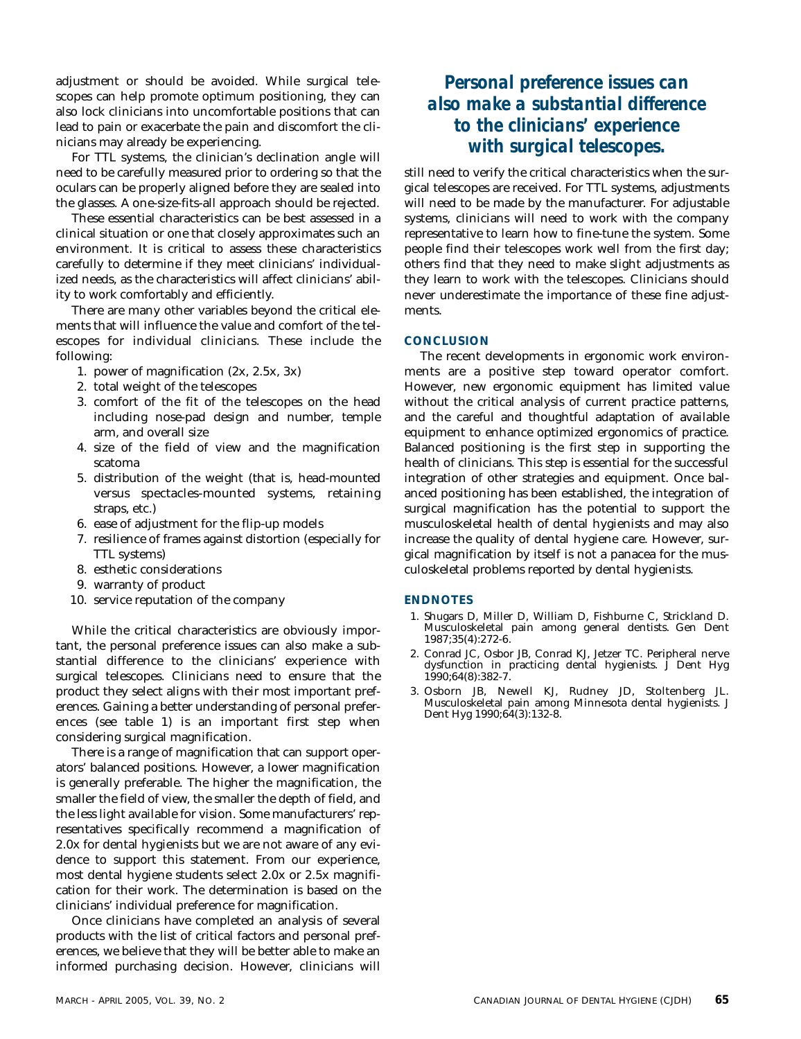adjustment or should be avoided. While surgical telescopes can help promote optimum positioning, they can also lock clinicians into uncomfortable positions that can lead to pain or exacerbate the pain and discomfort the clinicians may already be experiencing.

For TTL systems, the clinician's declination angle will need to be carefully measured prior to ordering so that the oculars can be properly aligned before they are sealed into the glasses. A one-size-fits-all approach should be rejected.

These essential characteristics can be best assessed in a clinical situation or one that closely approximates such an environment. It is critical to assess these characteristics carefully to determine if they meet clinicians' individualized needs, as the characteristics will affect clinicians' ability to work comfortably and efficiently.

There are many other variables beyond the critical elements that will influence the value and comfort of the telescopes for individual clinicians. These include the following:

- 1. power of magnification (2x, 2.5x, 3x)
- 2. total weight of the telescopes
- 3. comfort of the fit of the telescopes on the head including nose-pad design and number, temple arm, and overall size
- 4. size of the field of view and the magnification scatoma
- 5. distribution of the weight (that is, head-mounted versus spectacles-mounted systems, retaining straps, etc.)
- 6. ease of adjustment for the flip-up models
- 7. resilience of frames against distortion (especially for TTL systems)
- 8. esthetic considerations
- 9. warranty of product
- 10. service reputation of the company

While the critical characteristics are obviously important, the personal preference issues can also make a substantial difference to the clinicians' experience with surgical telescopes. Clinicians need to ensure that the product they select aligns with their most important preferences. Gaining a better understanding of personal preferences (see table 1) is an important first step when considering surgical magnification.

There is a range of magnification that can support operators' balanced positions. However, a lower magnification is generally preferable. The higher the magnification, the smaller the field of view, the smaller the depth of field, and the less light available for vision. Some manufacturers' representatives specifically recommend a magnification of 2.0x for dental hygienists but we are not aware of any evidence to support this statement. From our experience, most dental hygiene students select 2.0x or 2.5x magnification for their work. The determination is based on the clinicians' individual preference for magnification.

Once clinicians have completed an analysis of several products with the list of critical factors and personal preferences, we believe that they will be better able to make an informed purchasing decision. However, clinicians will

### *Personal preference issues can also make a substantial difference to the clinicians' experience with surgical telescopes.*

still need to verify the critical characteristics when the surgical telescopes are received. For TTL systems, adjustments will need to be made by the manufacturer. For adjustable systems, clinicians will need to work with the company representative to learn how to fine-tune the system. Some people find their telescopes work well from the first day; others find that they need to make slight adjustments as they learn to work with the telescopes. Clinicians should never underestimate the importance of these fine adjustments.

#### **CONCLUSION**

The recent developments in ergonomic work environments are a positive step toward operator comfort. However, new ergonomic equipment has limited value without the critical analysis of current practice patterns, and the careful and thoughtful adaptation of available equipment to enhance optimized ergonomics of practice. Balanced positioning is the first step in supporting the health of clinicians. This step is essential for the successful integration of other strategies and equipment. Once balanced positioning has been established, the integration of surgical magnification has the potential to support the musculoskeletal health of dental hygienists and may also increase the quality of dental hygiene care. However, surgical magnification by itself is not a panacea for the musculoskeletal problems reported by dental hygienists.

#### **ENDNOTES**

- 1. Shugars D, Miller D, William D, Fishburne C, Strickland D. Musculoskeletal pain among general dentists. Gen Dent 1987;35(4):272-6.
- 2. Conrad JC, Osbor JB, Conrad KJ, Jetzer TC. Peripheral nerve dysfunction in practicing dental hygienists. J Dent Hyg 1990;64(8):382-7.
- 3. Osborn JB, Newell KJ, Rudney JD, Stoltenberg JL. Musculoskeletal pain among Minnesota dental hygienists. J Dent Hyg 1990;64(3):132-8.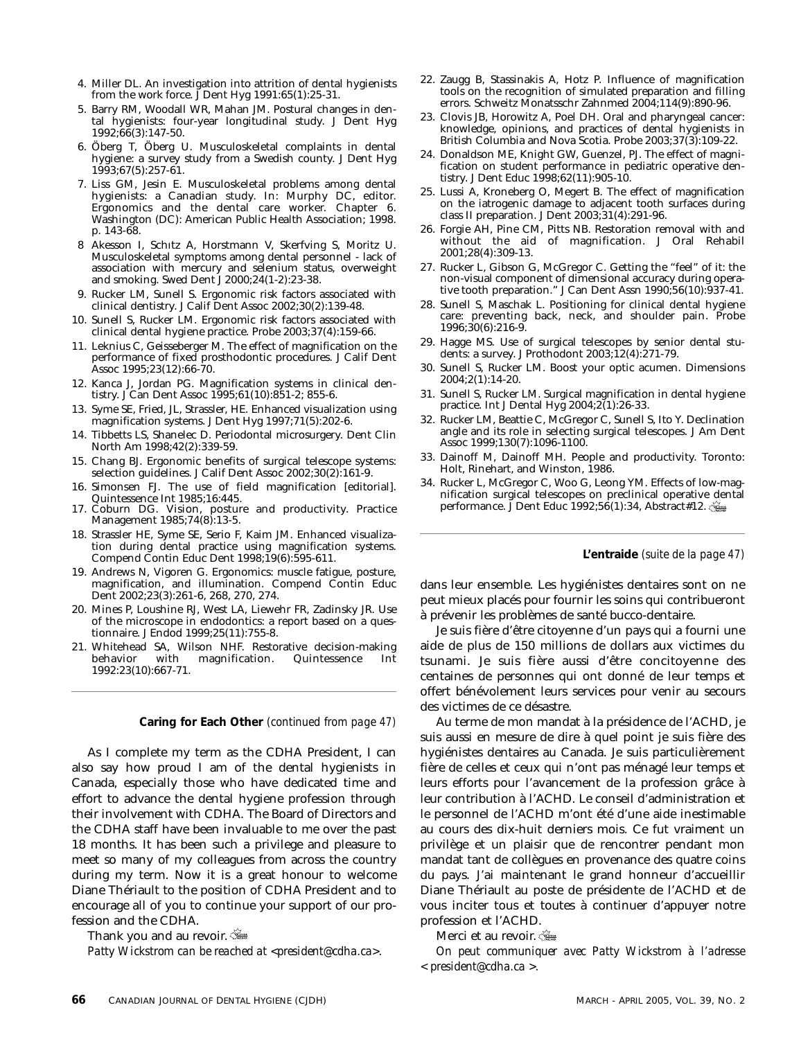- 4. Miller DL. An investigation into attrition of dental hygienists from the work force. J Dent Hyg 1991:65(1):25-31.
- 5. Barry RM, Woodall WR, Mahan JM. Postural changes in dental hygienists: four-year longitudinal study. J Dent Hyg 1992;66(3):147-50.
- 6. Öberg T, Öberg U. Musculoskeletal complaints in dental hygiene: a survey study from a Swedish county. J Dent Hyg 1993;67(5):257-61.
- 7. Liss GM, Jesin E. Musculoskeletal problems among dental hygienists: a Canadian study. In: Murphy DC, editor. Ergonomics and the dental care worker. Chapter 6. Washington (DC): American Public Health Association; 1998. p. 143-68.
- 8 Akesson I, Schıtz A, Horstmann V, Skerfving S, Moritz U. Musculoskeletal symptoms among dental personnel - lack of association with mercury and selenium status, overweight and smoking. Swed Dent J 2000;24(1-2):23-38.
- 9. Rucker LM, Sunell S. Ergonomic risk factors associated with clinical dentistry. J Calif Dent Assoc 2002;30(2):139-48.
- 10. Sunell S, Rucker LM. Ergonomic risk factors associated with clinical dental hygiene practice. Probe 2003;37(4):159-66.
- 11. Leknius C, Geisseberger M. The effect of magnification on the performance of fixed prosthodontic procedures. J Calif Dent Assoc 1995;23(12):66-70.
- 12. Kanca J, Jordan PG. Magnification systems in clinical dentistry. J Can Dent Assoc 1995;61(10):851-2; 855-6.
- 13. Syme SE, Fried, JL, Strassler, HE. Enhanced visualization using magnification systems. J Dent Hyg 1997;71(5):202-6.
- 14. Tibbetts LS, Shanelec D. Periodontal microsurgery. Dent Clin North Am 1998;42(2):339-59.
- 15. Chang BJ. Ergonomic benefits of surgical telescope systems: selection guidelines. J Calif Dent Assoc 2002;30(2):161-9.
- 16. Simonsen FJ. The use of field magnification [editorial]. Quintessence Int 1985;16:445.
- 17. Coburn DG. Vision, posture and productivity. Practice Management 1985;74(8):13-5.
- 18. Strassler HE, Syme SE, Serio F, Kaim JM. Enhanced visualization during dental practice using magnification systems. Compend Contin Educ Dent 1998;19(6):595-611.
- 19. Andrews N, Vigoren G. Ergonomics: muscle fatigue, posture, magnification, and illumination. Compend Contin Educ Dent 2002;23(3):261-6, 268, 270, 274.
- 20. Mines P, Loushine RJ, West LA, Liewehr FR, Zadinsky JR. Use of the microscope in endodontics: a report based on a questionnaire. J Endod 1999;25(11):755-8.
- 21. Whitehead SA, Wilson NHF. Restorative decision-making behavior with magnification. Quintessence Int 1992:23(10):667-71.

**Caring for Each Other** *(continued from page 47)*

As I complete my term as the CDHA President, I can also say how proud I am of the dental hygienists in Canada, especially those who have dedicated time and effort to advance the dental hygiene profession through their involvement with CDHA. The Board of Directors and the CDHA staff have been invaluable to me over the past 18 months. It has been such a privilege and pleasure to meet so many of my colleagues from across the country during my term. Now it is a great honour to welcome Diane Thériault to the position of CDHA President and to encourage all of you to continue your support of our profession and the CDHA.

Thank you and au revoir.

*Patty Wickstrom can be reached at <president@cdha.ca>.*

- 22. Zaugg B, Stassinakis A, Hotz P. Influence of magnification tools on the recognition of simulated preparation and filling errors. Schweitz Monatsschr Zahnmed 2004;114(9):890-96.
- 23. Clovis JB, Horowitz A, Poel DH. Oral and pharyngeal cancer: knowledge, opinions, and practices of dental hygienists in British Columbia and Nova Scotia. Probe 2003;37(3):109-22.
- 24. Donaldson ME, Knight GW, Guenzel, PJ. The effect of magnification on student performance in pediatric operative dentistry. J Dent Educ 1998;62(11):905-10.
- 25. Lussi A, Kroneberg O, Megert B. The effect of magnification on the iatrogenic damage to adjacent tooth surfaces during class II preparation. J Dent 2003;31(4):291-96.
- 26. Forgie AH, Pine CM, Pitts NB. Restoration removal with and without the aid of magnification. J Oral Rehabil 2001;28(4):309-13.
- 27. Rucker L, Gibson G, McGregor C. Getting the "feel" of it: the non-visual component of dimensional accuracy during operative tooth preparation." J Can Dent Assn 1990;56(10):937-41.
- 28. Sunell S, Maschak L. Positioning for clinical dental hygiene care: preventing back, neck, and shoulder pain. Probe 1996;30(6):216-9.
- 29. Hagge MS. Use of surgical telescopes by senior dental students: a survey. J Prothodont 2003;12(4):271-79.
- 30. Sunell S, Rucker LM. Boost your optic acumen. Dimensions 2004;2(1):14-20.
- 31. Sunell S, Rucker LM. Surgical magnification in dental hygiene practice. Int J Dental Hyg 2004;2(1):26-33.
- 32. Rucker LM, Beattie C, McGregor C, Sunell S, Ito Y. Declination angle and its role in selecting surgical telescopes. J Am Dent Assoc 1999;130(7):1096-1100.
- 33. Dainoff M, Dainoff MH. People and productivity. Toronto: Holt, Rinehart, and Winston, 1986.
- 34. Rucker L, McGregor C, Woo G, Leong YM. Effects of low-magnification surgical telescopes on preclinical operative dental performance. J Dent Educ 1992;56(1):34, Abstract#12.

**L'entraide** *(suite de la page 47)*

dans leur ensemble. Les hygiénistes dentaires sont on ne peut mieux placés pour fournir les soins qui contribueront à prévenir les problèmes de santé bucco-dentaire.

Je suis fière d'être citoyenne d'un pays qui a fourni une aide de plus de 150 millions de dollars aux victimes du tsunami. Je suis fière aussi d'être concitoyenne des centaines de personnes qui ont donné de leur temps et offert bénévolement leurs services pour venir au secours des victimes de ce désastre.

Au terme de mon mandat à la présidence de l'ACHD, je suis aussi en mesure de dire à quel point je suis fière des hygiénistes dentaires au Canada. Je suis particulièrement fière de celles et ceux qui n'ont pas ménagé leur temps et leurs efforts pour l'avancement de la profession grâce à leur contribution à l'ACHD. Le conseil d'administration et le personnel de l'ACHD m'ont été d'une aide inestimable au cours des dix-huit derniers mois. Ce fut vraiment un privilège et un plaisir que de rencontrer pendant mon mandat tant de collègues en provenance des quatre coins du pays. J'ai maintenant le grand honneur d'accueillir Diane Thériault au poste de présidente de l'ACHD et de vous inciter tous et toutes à continuer d'appuyer notre profession et l'ACHD.

Merci et au revoir.

*On peut communiquer avec Patty Wickstrom à l'adresse < president@cdha.ca >.*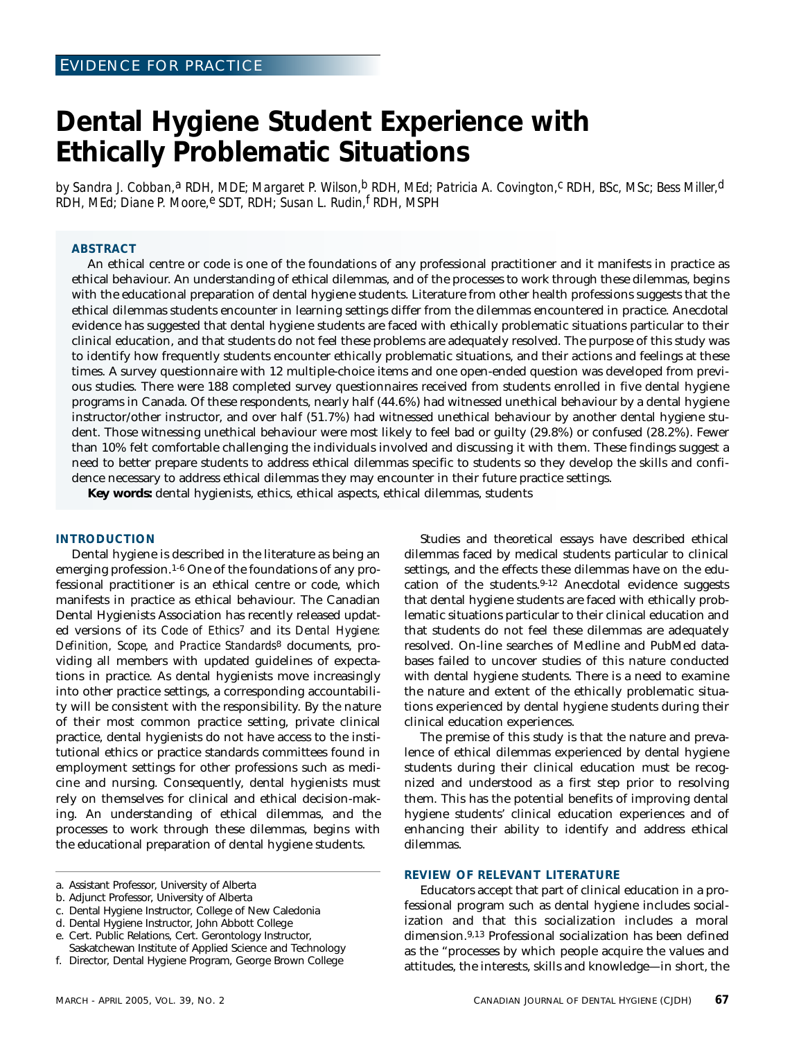## **Dental Hygiene Student Experience with Ethically Problematic Situations**

*by Sandra J. Cobban,a RDH, MDE; Margaret P. Wilson,b RDH, MEd; Patricia A. Covington,c RDH, BSc, MSc; Bess Miller,d RDH, MEd; Diane P. Moore,e SDT, RDH; Susan L. Rudin,f RDH, MSPH*

#### **ABSTRACT**

An ethical centre or code is one of the foundations of any professional practitioner and it manifests in practice as ethical behaviour. An understanding of ethical dilemmas, and of the processes to work through these dilemmas, begins with the educational preparation of dental hygiene students. Literature from other health professions suggests that the ethical dilemmas students encounter in learning settings differ from the dilemmas encountered in practice. Anecdotal evidence has suggested that dental hygiene students are faced with ethically problematic situations particular to their clinical education, and that students do not feel these problems are adequately resolved. The purpose of this study was to identify how frequently students encounter ethically problematic situations, and their actions and feelings at these times. A survey questionnaire with 12 multiple-choice items and one open-ended question was developed from previous studies. There were 188 completed survey questionnaires received from students enrolled in five dental hygiene programs in Canada. Of these respondents, nearly half (44.6%) had witnessed unethical behaviour by a dental hygiene instructor/other instructor, and over half (51.7%) had witnessed unethical behaviour by another dental hygiene student. Those witnessing unethical behaviour were most likely to feel bad or guilty (29.8%) or confused (28.2%). Fewer than 10% felt comfortable challenging the individuals involved and discussing it with them. These findings suggest a need to better prepare students to address ethical dilemmas specific to students so they develop the skills and confidence necessary to address ethical dilemmas they may encounter in their future practice settings.

**Key words:** dental hygienists, ethics, ethical aspects, ethical dilemmas, students

#### **INTRODUCTION**

Dental hygiene is described in the literature as being an emerging profession.1-6 One of the foundations of any professional practitioner is an ethical centre or code, which manifests in practice as ethical behaviour. The Canadian Dental Hygienists Association has recently released updated versions of its *Code of Ethics*7 and its *Dental Hygiene: Definition, Scope, and Practice Standards*8 documents, providing all members with updated guidelines of expectations in practice. As dental hygienists move increasingly into other practice settings, a corresponding accountability will be consistent with the responsibility. By the nature of their most common practice setting, private clinical practice, dental hygienists do not have access to the institutional ethics or practice standards committees found in employment settings for other professions such as medicine and nursing. Consequently, dental hygienists must rely on themselves for clinical and ethical decision-making. An understanding of ethical dilemmas, and the processes to work through these dilemmas, begins with the educational preparation of dental hygiene students.

Studies and theoretical essays have described ethical dilemmas faced by medical students particular to clinical settings, and the effects these dilemmas have on the education of the students.9-12 Anecdotal evidence suggests that dental hygiene students are faced with ethically problematic situations particular to their clinical education and that students do not feel these dilemmas are adequately resolved. On-line searches of Medline and PubMed databases failed to uncover studies of this nature conducted with dental hygiene students. There is a need to examine the nature and extent of the ethically problematic situations experienced by dental hygiene students during their clinical education experiences.

The premise of this study is that the nature and prevalence of ethical dilemmas experienced by dental hygiene students during their clinical education must be recognized and understood as a first step prior to resolving them. This has the potential benefits of improving dental hygiene students' clinical education experiences and of enhancing their ability to identify and address ethical dilemmas.

#### **REVIEW OF RELEVANT LITERATURE**

Educators accept that part of clinical education in a professional program such as dental hygiene includes socialization and that this socialization includes a moral dimension.9,13 Professional socialization has been defined as the "processes by which people acquire the values and attitudes, the interests, skills and knowledge—in short, the

a. Assistant Professor, University of Alberta

b. Adjunct Professor, University of Alberta

c. Dental Hygiene Instructor, College of New Caledonia

d. Dental Hygiene Instructor, John Abbott College

e. Cert. Public Relations, Cert. Gerontology Instructor,

Saskatchewan Institute of Applied Science and Technology

f. Director, Dental Hygiene Program, George Brown College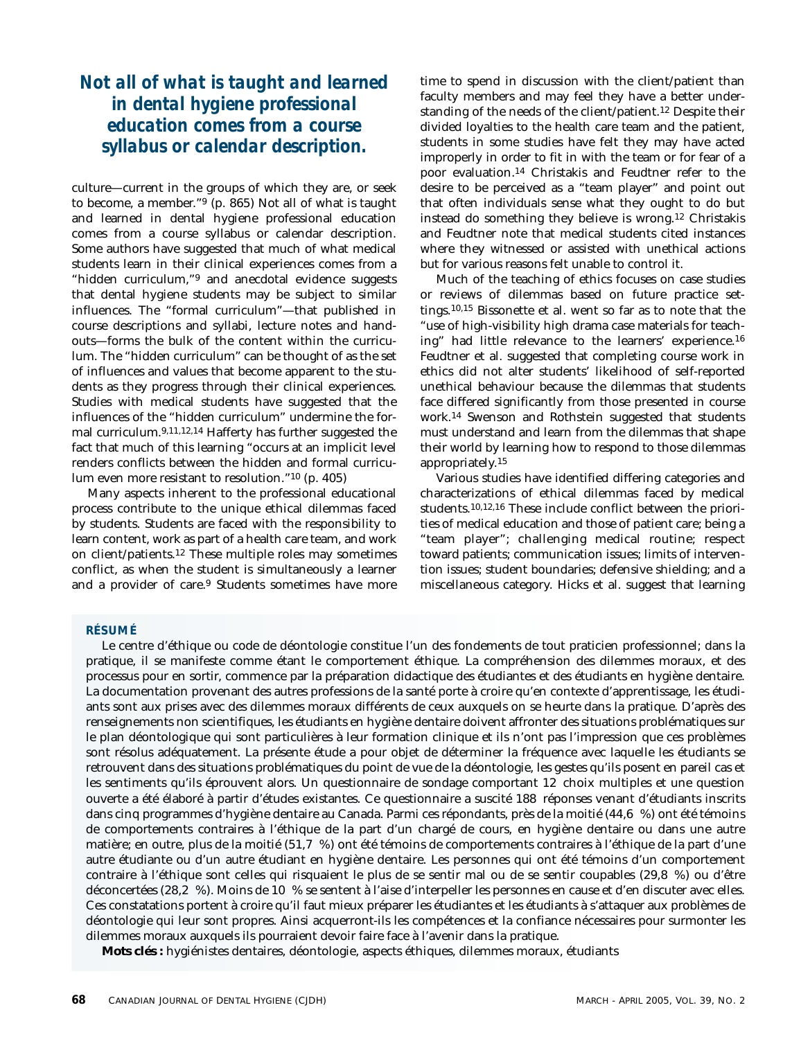### *Not all of what is taught and learned in dental hygiene professional education comes from a course syllabus or calendar description.*

culture—current in the groups of which they are, or seek to become, a member."9 (p. 865) Not all of what is taught and learned in dental hygiene professional education comes from a course syllabus or calendar description. Some authors have suggested that much of what medical students learn in their clinical experiences comes from a "hidden curriculum,"9 and anecdotal evidence suggests that dental hygiene students may be subject to similar influences. The "formal curriculum"—that published in course descriptions and syllabi, lecture notes and handouts—forms the bulk of the content within the curriculum. The "hidden curriculum" can be thought of as the set of influences and values that become apparent to the students as they progress through their clinical experiences. Studies with medical students have suggested that the influences of the "hidden curriculum" undermine the formal curriculum.9,11,12,14 Hafferty has further suggested the fact that much of this learning "occurs at an implicit level renders conflicts between the hidden and formal curriculum even more resistant to resolution."10 (p. 405)

Many aspects inherent to the professional educational process contribute to the unique ethical dilemmas faced by students. Students are faced with the responsibility to learn content, work as part of a health care team, and work on client/patients.12 These multiple roles may sometimes conflict, as when the student is simultaneously a learner and a provider of care.<sup>9</sup> Students sometimes have more time to spend in discussion with the client/patient than faculty members and may feel they have a better understanding of the needs of the client/patient.12 Despite their divided loyalties to the health care team and the patient, students in some studies have felt they may have acted improperly in order to fit in with the team or for fear of a poor evaluation.14 Christakis and Feudtner refer to the desire to be perceived as a "team player" and point out that often individuals sense what they ought to do but instead do something they believe is wrong.12 Christakis and Feudtner note that medical students cited instances where they witnessed or assisted with unethical actions but for various reasons felt unable to control it.

Much of the teaching of ethics focuses on case studies or reviews of dilemmas based on future practice settings.10,15 Bissonette et al. went so far as to note that the "use of high-visibility high drama case materials for teaching" had little relevance to the learners' experience.16 Feudtner et al. suggested that completing course work in ethics did not alter students' likelihood of self-reported unethical behaviour because the dilemmas that students face differed significantly from those presented in course work.14 Swenson and Rothstein suggested that students must understand and learn from the dilemmas that shape their world by learning how to respond to those dilemmas appropriately.15

Various studies have identified differing categories and characterizations of ethical dilemmas faced by medical students.10,12,16 These include conflict between the priorities of medical education and those of patient care; being a "team player"; challenging medical routine; respect toward patients; communication issues; limits of intervention issues; student boundaries; defensive shielding; and a miscellaneous category. Hicks et al. suggest that learning

#### **RÉSUMÉ**

Le centre d'éthique ou code de déontologie constitue l'un des fondements de tout praticien professionnel; dans la pratique, il se manifeste comme étant le comportement éthique. La compréhension des dilemmes moraux, et des processus pour en sortir, commence par la préparation didactique des étudiantes et des étudiants en hygiène dentaire. La documentation provenant des autres professions de la santé porte à croire qu'en contexte d'apprentissage, les étudiants sont aux prises avec des dilemmes moraux différents de ceux auxquels on se heurte dans la pratique. D'après des renseignements non scientifiques, les étudiants en hygiène dentaire doivent affronter des situations problématiques sur le plan déontologique qui sont particulières à leur formation clinique et ils n'ont pas l'impression que ces problèmes sont résolus adéquatement. La présente étude a pour objet de déterminer la fréquence avec laquelle les étudiants se retrouvent dans des situations problématiques du point de vue de la déontologie, les gestes qu'ils posent en pareil cas et les sentiments qu'ils éprouvent alors. Un questionnaire de sondage comportant 12 choix multiples et une question ouverte a été élaboré à partir d'études existantes. Ce questionnaire a suscité 188 réponses venant d'étudiants inscrits dans cinq programmes d'hygiène dentaire au Canada. Parmi ces répondants, près de la moitié (44,6 %) ont été témoins de comportements contraires à l'éthique de la part d'un chargé de cours, en hygiène dentaire ou dans une autre matière; en outre, plus de la moitié (51,7 %) ont été témoins de comportements contraires à l'éthique de la part d'une autre étudiante ou d'un autre étudiant en hygiène dentaire. Les personnes qui ont été témoins d'un comportement contraire à l'éthique sont celles qui risquaient le plus de se sentir mal ou de se sentir coupables (29,8 %) ou d'être déconcertées (28,2 %). Moins de 10 % se sentent à l'aise d'interpeller les personnes en cause et d'en discuter avec elles. Ces constatations portent à croire qu'il faut mieux préparer les étudiantes et les étudiants à s'attaquer aux problèmes de déontologie qui leur sont propres. Ainsi acquerront-ils les compétences et la confiance nécessaires pour surmonter les dilemmes moraux auxquels ils pourraient devoir faire face à l'avenir dans la pratique.

**Mots clés :** hygiénistes dentaires, déontologie, aspects éthiques, dilemmes moraux, étudiants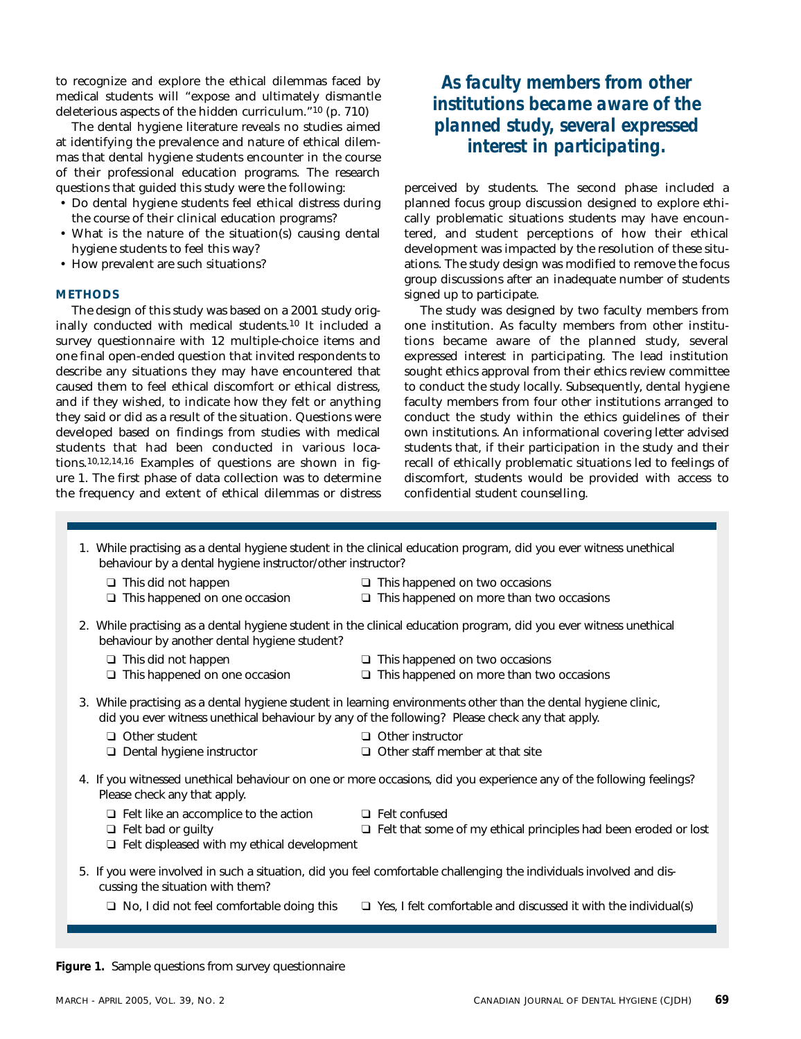to recognize and explore the ethical dilemmas faced by medical students will "expose and ultimately dismantle deleterious aspects of the hidden curriculum."10 (p. 710)

The dental hygiene literature reveals no studies aimed at identifying the prevalence and nature of ethical dilemmas that dental hygiene students encounter in the course of their professional education programs. The research questions that guided this study were the following:

- Do dental hygiene students feel ethical distress during the course of their clinical education programs?
- What is the nature of the situation(s) causing dental hygiene students to feel this way?
- How prevalent are such situations?

#### **METHODS**

The design of this study was based on a 2001 study originally conducted with medical students.10 It included a survey questionnaire with 12 multiple-choice items and one final open-ended question that invited respondents to describe any situations they may have encountered that caused them to feel ethical discomfort or ethical distress, and if they wished, to indicate how they felt or anything they said or did as a result of the situation. Questions were developed based on findings from studies with medical students that had been conducted in various locations.10,12,14,16 Examples of questions are shown in figure 1. The first phase of data collection was to determine the frequency and extent of ethical dilemmas or distress

### *As faculty members from other institutions became aware of the planned study, several expressed interest in participating.*

perceived by students. The second phase included a planned focus group discussion designed to explore ethically problematic situations students may have encountered, and student perceptions of how their ethical development was impacted by the resolution of these situations. The study design was modified to remove the focus group discussions after an inadequate number of students signed up to participate.

The study was designed by two faculty members from one institution. As faculty members from other institutions became aware of the planned study, several expressed interest in participating. The lead institution sought ethics approval from their ethics review committee to conduct the study locally. Subsequently, dental hygiene faculty members from four other institutions arranged to conduct the study within the ethics guidelines of their own institutions. An informational covering letter advised students that, if their participation in the study and their recall of ethically problematic situations led to feelings of discomfort, students would be provided with access to confidential student counselling.

- 1. While practising as a dental hygiene student in the clinical education program, did you ever witness unethical behaviour by a dental hygiene instructor/other instructor?
	-
	-
	- **□** This did not happen <br>□ This happened on one occasion □ This happened on more than two
		- □ This happened on more than two occasions
- 2. While practising as a dental hygiene student in the clinical education program, did you ever witness unethical behaviour by another dental hygiene student?
	-
	-
	- ❑ This did not happen ❑ This happened on two occasions
	- ❑ This happened on one occasion ❑ This happened on more than two occasions
- 3. While practising as a dental hygiene student in learning environments other than the dental hygiene clinic, did you ever witness unethical behaviour by any of the following? Please check any that apply.
	- ❑ Other student ❑ Other instructor
	- ❑ Dental hygiene instructor ❑ Other staff member at that site
- 
- 4. If you witnessed unethical behaviour on one or more occasions, did you experience any of the following feelings? Please check any that apply.
	- ❑ Felt like an accomplice to the action ❑ Felt confused
		-
		- □ Felt that some of my ethical principles had been eroded or lost
	- ❑ Felt displeased with my ethical development
- 5. If you were involved in such a situation, did you feel comfortable challenging the individuals involved and discussing the situation with them?
	- ❑ No, I did not feel comfortable doing this ❑ Yes, I felt comfortable and discussed it with the individual(s)

**Figure 1.** Sample questions from survey questionnaire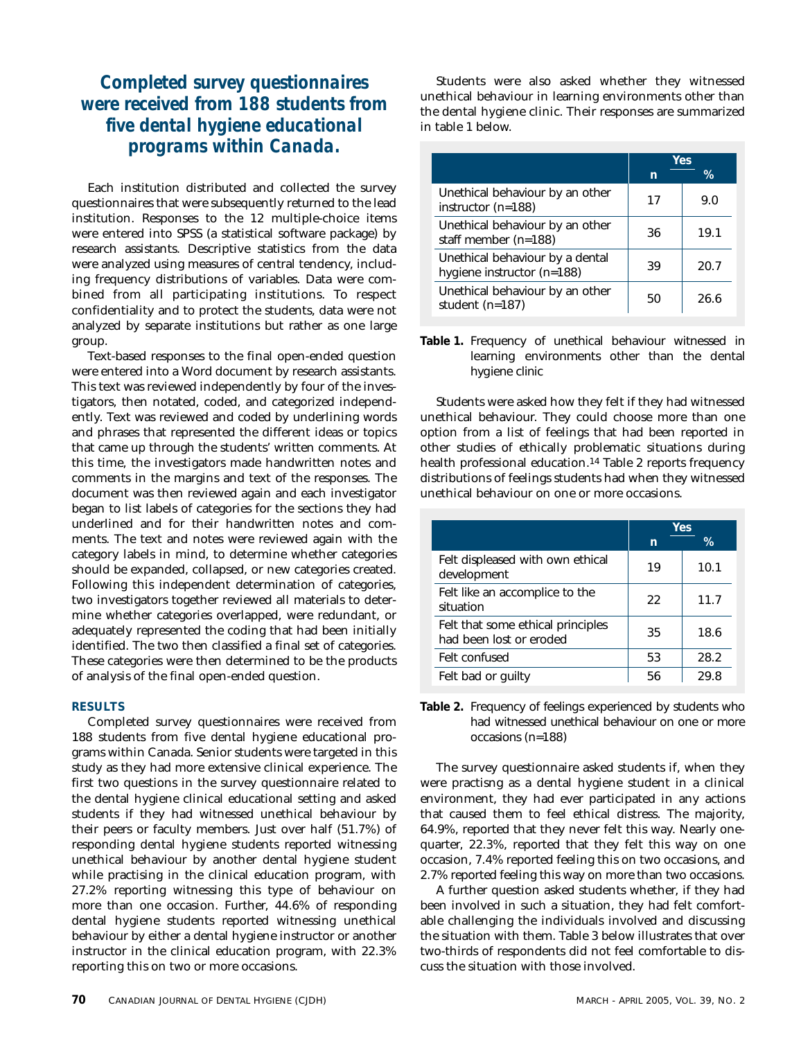### *Completed survey questionnaires were received from 188 students from five dental hygiene educational programs within Canada.*

Each institution distributed and collected the survey questionnaires that were subsequently returned to the lead institution. Responses to the 12 multiple-choice items were entered into SPSS (a statistical software package) by research assistants. Descriptive statistics from the data were analyzed using measures of central tendency, including frequency distributions of variables. Data were combined from all participating institutions. To respect confidentiality and to protect the students, data were not analyzed by separate institutions but rather as one large group.

Text-based responses to the final open-ended question were entered into a Word document by research assistants. This text was reviewed independently by four of the investigators, then notated, coded, and categorized independently. Text was reviewed and coded by underlining words and phrases that represented the different ideas or topics that came up through the students' written comments. At this time, the investigators made handwritten notes and comments in the margins and text of the responses. The document was then reviewed again and each investigator began to list labels of categories for the sections they had underlined and for their handwritten notes and comments. The text and notes were reviewed again with the category labels in mind, to determine whether categories should be expanded, collapsed, or new categories created. Following this independent determination of categories, two investigators together reviewed all materials to determine whether categories overlapped, were redundant, or adequately represented the coding that had been initially identified. The two then classified a final set of categories. These categories were then determined to be the products of analysis of the final open-ended question.

#### **RESULTS**

Completed survey questionnaires were received from 188 students from five dental hygiene educational programs within Canada. Senior students were targeted in this study as they had more extensive clinical experience. The first two questions in the survey questionnaire related to the dental hygiene clinical educational setting and asked students if they had witnessed unethical behaviour by their peers or faculty members. Just over half (51.7%) of responding dental hygiene students reported witnessing unethical behaviour by another dental hygiene student while practising in the clinical education program, with 27.2% reporting witnessing this type of behaviour on more than one occasion. Further, 44.6% of responding dental hygiene students reported witnessing unethical behaviour by either a dental hygiene instructor or another instructor in the clinical education program, with 22.3% reporting this on two or more occasions.

Students were also asked whether they witnessed unethical behaviour in learning environments other than the dental hygiene clinic. Their responses are summarized in table 1 below.

|                                                               | Yes |      |  |
|---------------------------------------------------------------|-----|------|--|
|                                                               | n   | ℅    |  |
| Unethical behaviour by an other<br>instructor $(n=188)$       | 17  | 9.N  |  |
| Unethical behaviour by an other<br>staff member (n=188)       | 36  | 19.1 |  |
| Unethical behaviour by a dental<br>hygiene instructor (n=188) | 39  | 20.7 |  |
| Unethical behaviour by an other<br>student $(n=187)$          | 50  | 26.6 |  |

**Table 1.** Frequency of unethical behaviour witnessed in learning environments other than the dental hygiene clinic

Students were asked how they felt if they had witnessed unethical behaviour. They could choose more than one option from a list of feelings that had been reported in other studies of ethically problematic situations during health professional education.14 Table 2 reports frequency distributions of feelings students had when they witnessed unethical behaviour on one or more occasions.

|                                                              | Yes |      |  |
|--------------------------------------------------------------|-----|------|--|
|                                                              | n   | $\%$ |  |
| Felt displeased with own ethical<br>development              | 19  | 10.1 |  |
| Felt like an accomplice to the<br>situation                  | 22  | 11.7 |  |
| Felt that some ethical principles<br>had been lost or eroded | 35  | 18.6 |  |
| Felt confused                                                | 53  | 28.2 |  |
| Felt bad or quilty                                           | 56  | 29 R |  |

**Table 2.** Frequency of feelings experienced by students who had witnessed unethical behaviour on one or more occasions (n=188)

The survey questionnaire asked students if, when they were practisng as a dental hygiene student in a clinical environment, they had ever participated in any actions that caused them to feel ethical distress. The majority, 64.9%, reported that they never felt this way. Nearly onequarter, 22.3%, reported that they felt this way on one occasion, 7.4% reported feeling this on two occasions, and 2.7% reported feeling this way on more than two occasions.

A further question asked students whether, if they had been involved in such a situation, they had felt comfortable challenging the individuals involved and discussing the situation with them. Table 3 below illustrates that over two-thirds of respondents did not feel comfortable to discuss the situation with those involved.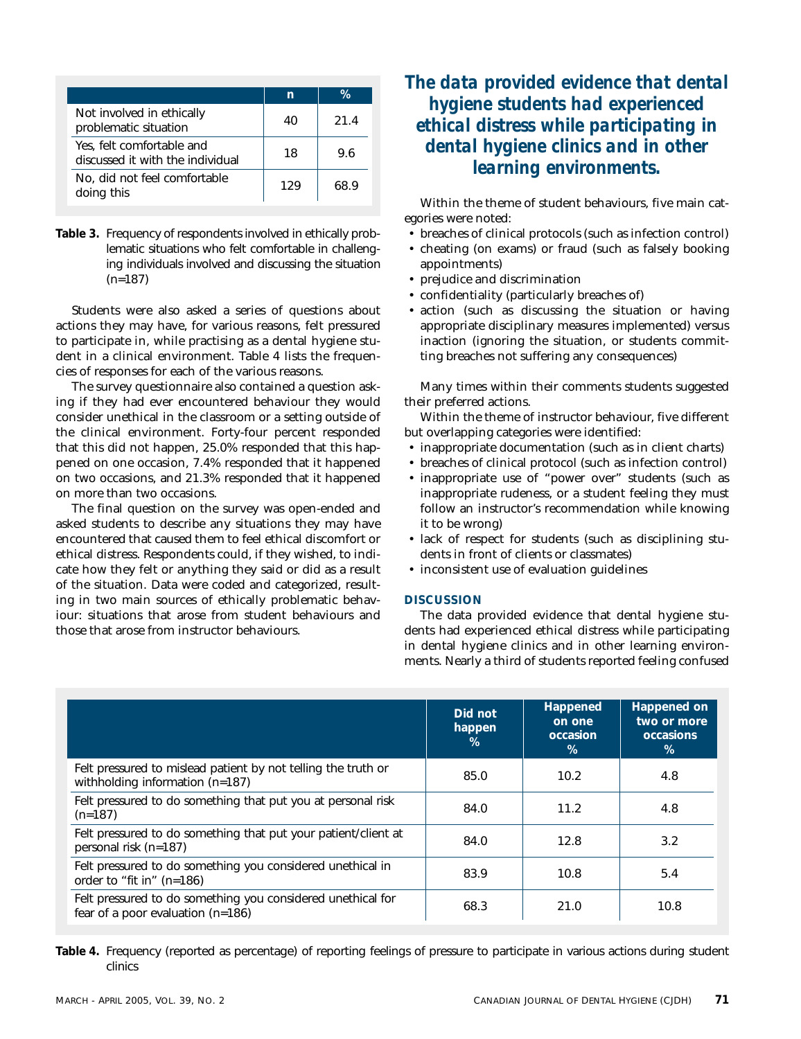|                                                               | n   | ℀    |
|---------------------------------------------------------------|-----|------|
| Not involved in ethically<br>problematic situation            | 40  | 21.4 |
| Yes, felt comfortable and<br>discussed it with the individual | 18  | 96   |
| No, did not feel comfortable<br>doing this                    | 129 | 68.9 |

**Table 3.** Frequency of respondents involved in ethically problematic situations who felt comfortable in challenging individuals involved and discussing the situation (n=187)

Students were also asked a series of questions about actions they may have, for various reasons, felt pressured to participate in, while practising as a dental hygiene student in a clinical environment. Table 4 lists the frequencies of responses for each of the various reasons.

The survey questionnaire also contained a question asking if they had ever encountered behaviour they would consider unethical in the classroom or a setting outside of the clinical environment. Forty-four percent responded that this did not happen, 25.0% responded that this happened on one occasion, 7.4% responded that it happened on two occasions, and 21.3% responded that it happened on more than two occasions.

The final question on the survey was open-ended and asked students to describe any situations they may have encountered that caused them to feel ethical discomfort or ethical distress. Respondents could, if they wished, to indicate how they felt or anything they said or did as a result of the situation. Data were coded and categorized, resulting in two main sources of ethically problematic behaviour: situations that arose from student behaviours and those that arose from instructor behaviours.

### *The data provided evidence that dental hygiene students had experienced ethical distress while participating in dental hygiene clinics and in other learning environments.*

Within the theme of student behaviours, five main categories were noted:

- breaches of clinical protocols (such as infection control)
- cheating (on exams) or fraud (such as falsely booking appointments)
- prejudice and discrimination
- confidentiality (particularly breaches of)
- action (such as discussing the situation or having appropriate disciplinary measures implemented) versus inaction (ignoring the situation, or students committing breaches not suffering any consequences)

Many times within their comments students suggested their preferred actions.

Within the theme of instructor behaviour, five different but overlapping categories were identified:

- inappropriate documentation (such as in client charts)
- breaches of clinical protocol (such as infection control)
- inappropriate use of "power over" students (such as inappropriate rudeness, or a student feeling they must follow an instructor's recommendation while knowing it to be wrong)
- lack of respect for students (such as disciplining students in front of clients or classmates)
- inconsistent use of evaluation guidelines

#### **DISCUSSION**

The data provided evidence that dental hygiene students had experienced ethical distress while participating in dental hygiene clinics and in other learning environments. Nearly a third of students reported feeling confused

|                                                                                                    | Did not<br>happen<br>$\%$ | Happened<br>on one<br>occasion<br>% | Happened on<br>two or more<br>occasions<br>$\%$ |
|----------------------------------------------------------------------------------------------------|---------------------------|-------------------------------------|-------------------------------------------------|
| Felt pressured to mislead patient by not telling the truth or<br>withholding information $(n=187)$ | 85.0                      | 10.2                                | 4.8                                             |
| Felt pressured to do something that put you at personal risk<br>$(n=187)$                          | 84.0                      | 11.2                                | 4.8                                             |
| Felt pressured to do something that put your patient/client at<br>personal risk (n=187)            | 84.0                      | 12.8                                | 3.2                                             |
| Felt pressured to do something you considered unethical in<br>order to "fit in" (n=186)            | 83.9                      | 10.8                                | 5.4                                             |
| Felt pressured to do something you considered unethical for<br>fear of a poor evaluation (n=186)   | 68.3                      | 21.0                                | 10.8                                            |

**Table 4.** Frequency (reported as percentage) of reporting feelings of pressure to participate in various actions during student clinics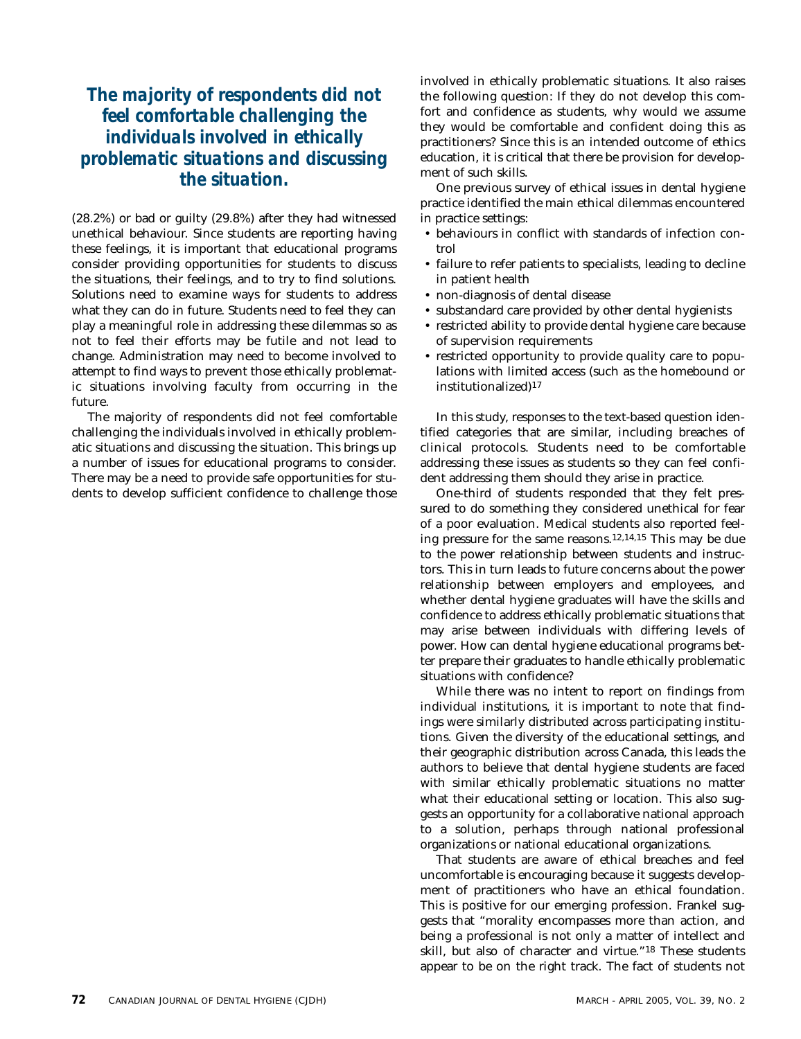### *The majority of respondents did not feel comfortable challenging the individuals involved in ethically problematic situations and discussing the situation.*

(28.2%) or bad or guilty (29.8%) after they had witnessed unethical behaviour. Since students are reporting having these feelings, it is important that educational programs consider providing opportunities for students to discuss the situations, their feelings, and to try to find solutions. Solutions need to examine ways for students to address what they can do in future. Students need to feel they can play a meaningful role in addressing these dilemmas so as not to feel their efforts may be futile and not lead to change. Administration may need to become involved to attempt to find ways to prevent those ethically problematic situations involving faculty from occurring in the future.

The majority of respondents did not feel comfortable challenging the individuals involved in ethically problematic situations and discussing the situation. This brings up a number of issues for educational programs to consider. There may be a need to provide safe opportunities for students to develop sufficient confidence to challenge those involved in ethically problematic situations. It also raises the following question: If they do not develop this comfort and confidence as students, why would we assume they would be comfortable and confident doing this as practitioners? Since this is an intended outcome of ethics education, it is critical that there be provision for development of such skills.

One previous survey of ethical issues in dental hygiene practice identified the main ethical dilemmas encountered in practice settings:

- behaviours in conflict with standards of infection control
- failure to refer patients to specialists, leading to decline in patient health
- non-diagnosis of dental disease
- substandard care provided by other dental hygienists
- restricted ability to provide dental hygiene care because of supervision requirements
- restricted opportunity to provide quality care to populations with limited access (such as the homebound or institutionalized)17

In this study, responses to the text-based question identified categories that are similar, including breaches of clinical protocols. Students need to be comfortable addressing these issues as students so they can feel confident addressing them should they arise in practice.

One-third of students responded that they felt pressured to do something they considered unethical for fear of a poor evaluation. Medical students also reported feeling pressure for the same reasons.12,14,15 This may be due to the power relationship between students and instructors. This in turn leads to future concerns about the power relationship between employers and employees, and whether dental hygiene graduates will have the skills and confidence to address ethically problematic situations that may arise between individuals with differing levels of power. How can dental hygiene educational programs better prepare their graduates to handle ethically problematic situations with confidence?

While there was no intent to report on findings from individual institutions, it is important to note that findings were similarly distributed across participating institutions. Given the diversity of the educational settings, and their geographic distribution across Canada, this leads the authors to believe that dental hygiene students are faced with similar ethically problematic situations no matter what their educational setting or location. This also suggests an opportunity for a collaborative national approach to a solution, perhaps through national professional organizations or national educational organizations.

That students are aware of ethical breaches and feel uncomfortable is encouraging because it suggests development of practitioners who have an ethical foundation. This is positive for our emerging profession. Frankel suggests that "morality encompasses more than action, and being a professional is not only a matter of intellect and skill, but also of character and virtue."18 These students appear to be on the right track. The fact of students not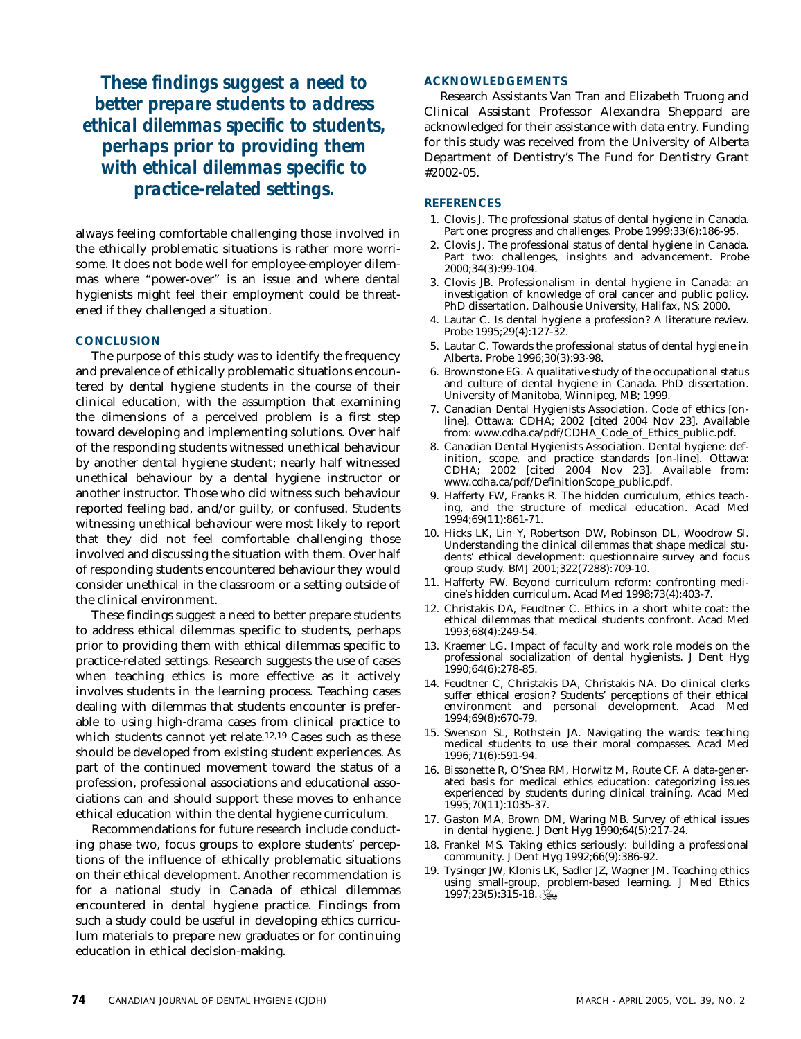*These findings suggest a need to better prepare students to address ethical dilemmas specific to students, perhaps prior to providing them with ethical dilemmas specific to practice-related settings.*

always feeling comfortable challenging those involved in the ethically problematic situations is rather more worrisome. It does not bode well for employee-employer dilemmas where "power-over" is an issue and where dental hygienists might feel their employment could be threatened if they challenged a situation.

#### **CONCLUSION**

The purpose of this study was to identify the frequency and prevalence of ethically problematic situations encountered by dental hygiene students in the course of their clinical education, with the assumption that examining the dimensions of a perceived problem is a first step toward developing and implementing solutions. Over half of the responding students witnessed unethical behaviour by another dental hygiene student; nearly half witnessed unethical behaviour by a dental hygiene instructor or another instructor. Those who did witness such behaviour reported feeling bad, and/or guilty, or confused. Students witnessing unethical behaviour were most likely to report that they did not feel comfortable challenging those involved and discussing the situation with them. Over half of responding students encountered behaviour they would consider unethical in the classroom or a setting outside of the clinical environment.

These findings suggest a need to better prepare students to address ethical dilemmas specific to students, perhaps prior to providing them with ethical dilemmas specific to practice-related settings. Research suggests the use of cases when teaching ethics is more effective as it actively involves students in the learning process. Teaching cases dealing with dilemmas that students encounter is preferable to using high-drama cases from clinical practice to which students cannot yet relate.12,19 Cases such as these should be developed from existing student experiences. As part of the continued movement toward the status of a profession, professional associations and educational associations can and should support these moves to enhance ethical education within the dental hygiene curriculum.

Recommendations for future research include conducting phase two, focus groups to explore students' perceptions of the influence of ethically problematic situations on their ethical development. Another recommendation is for a national study in Canada of ethical dilemmas encountered in dental hygiene practice. Findings from such a study could be useful in developing ethics curriculum materials to prepare new graduates or for continuing education in ethical decision-making.

#### **ACKNOWLEDGEMENTS**

Research Assistants Van Tran and Elizabeth Truong and Clinical Assistant Professor Alexandra Sheppard are acknowledged for their assistance with data entry. Funding for this study was received from the University of Alberta Department of Dentistry's The Fund for Dentistry Grant #2002-05.

#### **REFERENCES**

- 1. Clovis J. The professional status of dental hygiene in Canada. Part one: progress and challenges. Probe 1999;33(6):186-95.
- 2. Clovis J. The professional status of dental hygiene in Canada. Part two: challenges, insights and advancement. Probe 2000;34(3):99-104.
- 3. Clovis JB. Professionalism in dental hygiene in Canada: an investigation of knowledge of oral cancer and public policy. PhD dissertation. Dalhousie University, Halifax, NS; 2000.
- 4. Lautar C. Is dental hygiene a profession? A literature review. Probe 1995;29(4):127-32.
- 5. Lautar C. Towards the professional status of dental hygiene in Alberta. Probe 1996;30(3):93-98.
- 6. Brownstone EG. A qualitative study of the occupational status and culture of dental hygiene in Canada. PhD dissertation. University of Manitoba, Winnipeg, MB; 1999.
- 7. Canadian Dental Hygienists Association. Code of ethics [online]. Ottawa: CDHA; 2002 [cited 2004 Nov 23]. Available from: www.cdha.ca/pdf/CDHA\_Code\_of\_Ethics\_public.pdf.
- 8. Canadian Dental Hygienists Association. Dental hygiene: definition, scope, and practice standards [on-line]. Ottawa: CDHA; 2002 [cited 2004 Nov 23]. Available from: www.cdha.ca/pdf/DefinitionScope\_public.pdf.
- 9. Hafferty FW, Franks R. The hidden curriculum, ethics teaching, and the structure of medical education. Acad Med 1994;69(11):861-71.
- 10. Hicks LK, Lin Y, Robertson DW, Robinson DL, Woodrow SI. Understanding the clinical dilemmas that shape medical students' ethical development: questionnaire survey and focus group study. BMJ 2001;322(7288):709-10.
- 11. Hafferty FW. Beyond curriculum reform: confronting medicine's hidden curriculum. Acad Med 1998;73(4):403-7.
- 12. Christakis DA, Feudtner C. Ethics in a short white coat: the ethical dilemmas that medical students confront. Acad Med 1993;68(4):249-54.
- 13. Kraemer LG. Impact of faculty and work role models on the professional socialization of dental hygienists. J Dent Hyg 1990;64(6):278-85.
- 14. Feudtner C, Christakis DA, Christakis NA. Do clinical clerks suffer ethical erosion? Students' perceptions of their ethical environment and personal development. Acad Med 1994;69(8):670-79.
- 15. Swenson SL, Rothstein JA. Navigating the wards: teaching medical students to use their moral compasses. Acad Med 1996;71(6):591-94.
- 16. Bissonette R, O'Shea RM, Horwitz M, Route CF. A data-generated basis for medical ethics education: categorizing issues experienced by students during clinical training. Acad Med 1995;70(11):1035-37.
- 17. Gaston MA, Brown DM, Waring MB. Survey of ethical issues in dental hygiene. J Dent Hyg 1990;64(5):217-24.
- 18. Frankel MS. Taking ethics seriously: building a professional community. J Dent Hyg 1992;66(9):386-92.
- 19. Tysinger JW, Klonis LK, Sadler JZ, Wagner JM. Teaching ethics using small-group, problem-based learning. J Med Ethics 1997;23(5):315-18.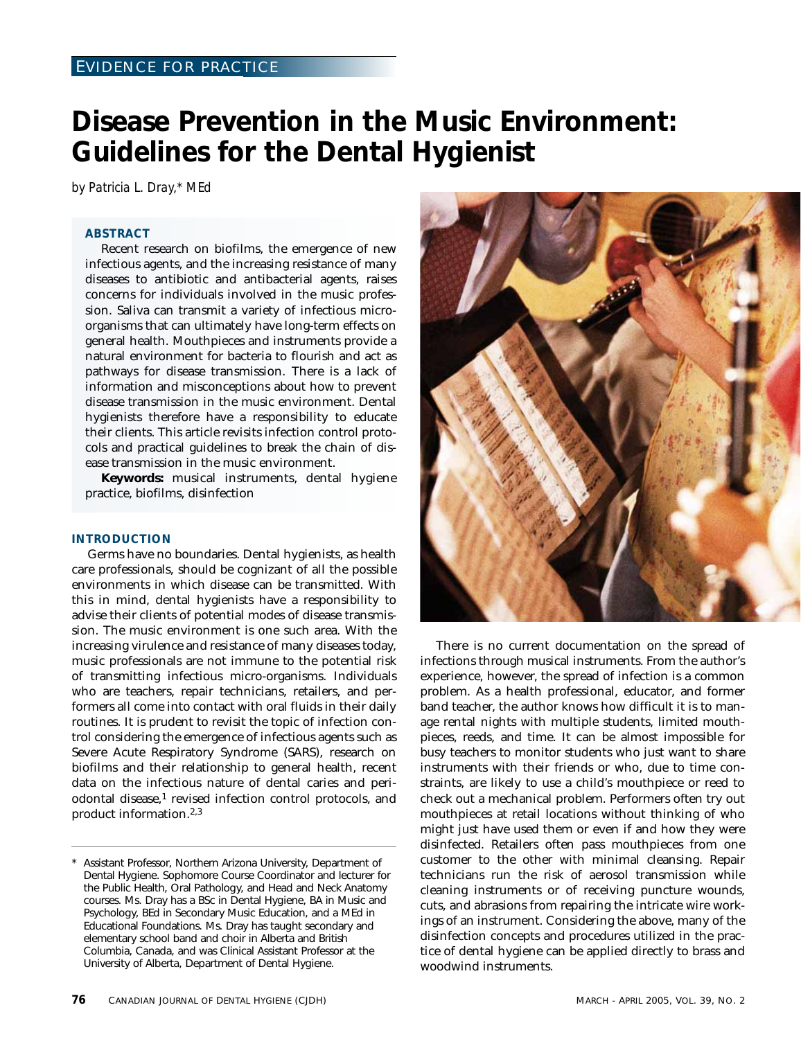## **Disease Prevention in the Music Environment: Guidelines for the Dental Hygienist**

*by Patricia L. Dray,\* MEd*

#### **ABSTRACT**

Recent research on biofilms, the emergence of new infectious agents, and the increasing resistance of many diseases to antibiotic and antibacterial agents, raises concerns for individuals involved in the music profession. Saliva can transmit a variety of infectious microorganisms that can ultimately have long-term effects on general health. Mouthpieces and instruments provide a natural environment for bacteria to flourish and act as pathways for disease transmission. There is a lack of information and misconceptions about how to prevent disease transmission in the music environment. Dental hygienists therefore have a responsibility to educate their clients. This article revisits infection control protocols and practical guidelines to break the chain of disease transmission in the music environment.

**Keywords:** musical instruments, dental hygiene practice, biofilms, disinfection

#### **INTRODUCTION**

Germs have no boundaries. Dental hygienists, as health care professionals, should be cognizant of all the possible environments in which disease can be transmitted. With this in mind, dental hygienists have a responsibility to advise their clients of potential modes of disease transmission. The music environment is one such area. With the increasing virulence and resistance of many diseases today, music professionals are not immune to the potential risk of transmitting infectious micro-organisms. Individuals who are teachers, repair technicians, retailers, and performers all come into contact with oral fluids in their daily routines. It is prudent to revisit the topic of infection control considering the emergence of infectious agents such as Severe Acute Respiratory Syndrome (SARS), research on biofilms and their relationship to general health, recent data on the infectious nature of dental caries and periodontal disease,<sup>1</sup> revised infection control protocols, and product information.2,3



There is no current documentation on the spread of infections through musical instruments. From the author's experience, however, the spread of infection is a common problem. As a health professional, educator, and former band teacher, the author knows how difficult it is to manage rental nights with multiple students, limited mouthpieces, reeds, and time. It can be almost impossible for busy teachers to monitor students who just want to share instruments with their friends or who, due to time constraints, are likely to use a child's mouthpiece or reed to check out a mechanical problem. Performers often try out mouthpieces at retail locations without thinking of who might just have used them or even if and how they were disinfected. Retailers often pass mouthpieces from one customer to the other with minimal cleansing. Repair technicians run the risk of aerosol transmission while cleaning instruments or of receiving puncture wounds, cuts, and abrasions from repairing the intricate wire workings of an instrument. Considering the above, many of the disinfection concepts and procedures utilized in the practice of dental hygiene can be applied directly to brass and woodwind instruments.

Assistant Professor, Northern Arizona University, Department of Dental Hygiene. Sophomore Course Coordinator and lecturer for the Public Health, Oral Pathology, and Head and Neck Anatomy courses. Ms. Dray has a BSc in Dental Hygiene, BA in Music and Psychology, BEd in Secondary Music Education, and a MEd in Educational Foundations. Ms. Dray has taught secondary and elementary school band and choir in Alberta and British Columbia, Canada, and was Clinical Assistant Professor at the University of Alberta, Department of Dental Hygiene.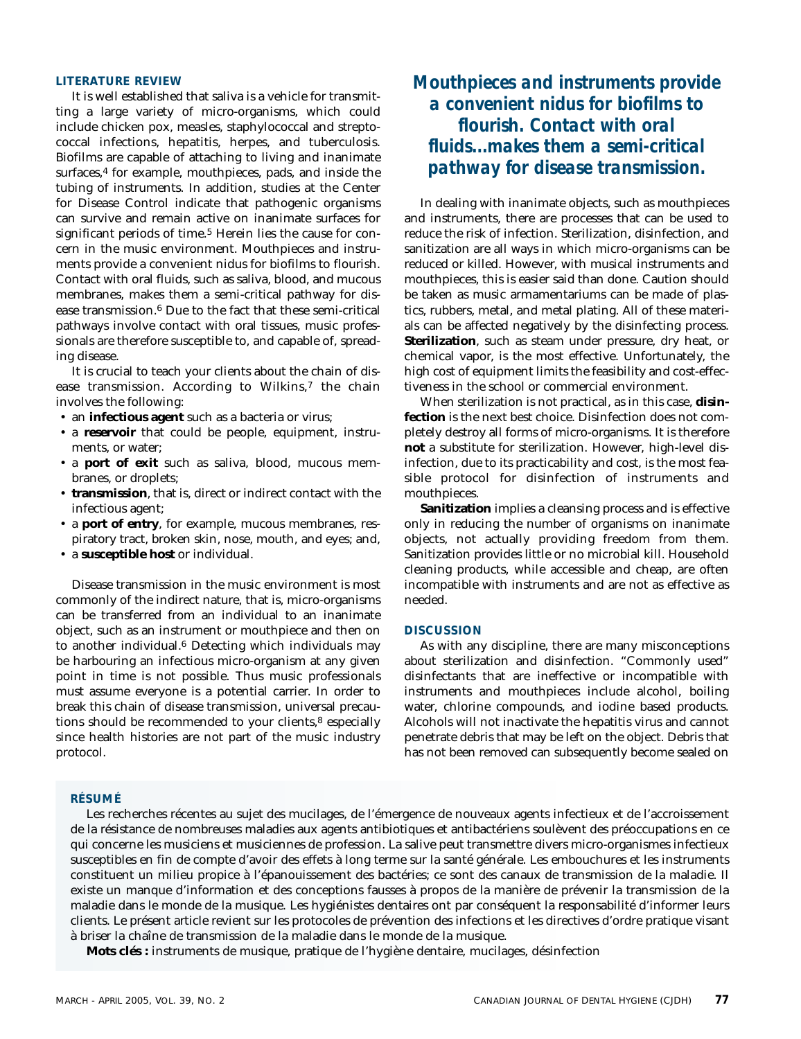#### **LITERATURE REVIEW**

It is well established that saliva is a vehicle for transmitting a large variety of micro-organisms, which could include chicken pox, measles, staphylococcal and streptococcal infections, hepatitis, herpes, and tuberculosis. Biofilms are capable of attaching to living and inanimate surfaces,<sup>4</sup> for example, mouthpieces, pads, and inside the tubing of instruments. In addition, studies at the Center for Disease Control indicate that pathogenic organisms can survive and remain active on inanimate surfaces for significant periods of time.<sup>5</sup> Herein lies the cause for concern in the music environment. Mouthpieces and instruments provide a convenient nidus for biofilms to flourish. Contact with oral fluids, such as saliva, blood, and mucous membranes, makes them a semi-critical pathway for disease transmission.6 Due to the fact that these semi-critical pathways involve contact with oral tissues, music professionals are therefore susceptible to, and capable of, spreading disease.

It is crucial to teach your clients about the chain of disease transmission. According to Wilkins,7 the chain involves the following:

- an **infectious agent** such as a bacteria or virus;
- a **reservoir** that could be people, equipment, instruments, or water;
- a **port of exit** such as saliva, blood, mucous membranes, or droplets;
- **transmission**, that is, direct or indirect contact with the infectious agent;
- a **port of entry**, for example, mucous membranes, respiratory tract, broken skin, nose, mouth, and eyes; and,
- a **susceptible host** or individual.

Disease transmission in the music environment is most commonly of the indirect nature, that is, micro-organisms can be transferred from an individual to an inanimate object, such as an instrument or mouthpiece and then on to another individual.6 Detecting which individuals may be harbouring an infectious micro-organism at any given point in time is not possible. Thus music professionals must assume everyone is a potential carrier. In order to break this chain of disease transmission, universal precautions should be recommended to your clients,<sup>8</sup> especially since health histories are not part of the music industry protocol.

### *Mouthpieces and instruments provide a convenient nidus for biofilms to flourish. Contact with oral fluids...makes them a semi-critical pathway for disease transmission.*

In dealing with inanimate objects, such as mouthpieces and instruments, there are processes that can be used to reduce the risk of infection. Sterilization, disinfection, and sanitization are all ways in which micro-organisms can be reduced or killed. However, with musical instruments and mouthpieces, this is easier said than done. Caution should be taken as music armamentariums can be made of plastics, rubbers, metal, and metal plating. All of these materials can be affected negatively by the disinfecting process. **Sterilization**, such as steam under pressure, dry heat, or chemical vapor, is the most effective. Unfortunately, the high cost of equipment limits the feasibility and cost-effectiveness in the school or commercial environment.

When sterilization is not practical, as in this case, **disinfection** is the next best choice. Disinfection does not completely destroy all forms of micro-organisms. It is therefore **not** a substitute for sterilization. However, high-level disinfection, due to its practicability and cost, is the most feasible protocol for disinfection of instruments and mouthpieces.

**Sanitization** implies a cleansing process and is effective only in reducing the number of organisms on inanimate objects, not actually providing freedom from them. Sanitization provides little or no microbial kill. Household cleaning products, while accessible and cheap, are often incompatible with instruments and are not as effective as needed.

#### **DISCUSSION**

As with any discipline, there are many misconceptions about sterilization and disinfection. "Commonly used" disinfectants that are ineffective or incompatible with instruments and mouthpieces include alcohol, boiling water, chlorine compounds, and iodine based products. Alcohols will not inactivate the hepatitis virus and cannot penetrate debris that may be left on the object. Debris that has not been removed can subsequently become sealed on

#### **RÉSUMÉ**

Les recherches récentes au sujet des mucilages, de l'émergence de nouveaux agents infectieux et de l'accroissement de la résistance de nombreuses maladies aux agents antibiotiques et antibactériens soulèvent des préoccupations en ce qui concerne les musiciens et musiciennes de profession. La salive peut transmettre divers micro-organismes infectieux susceptibles en fin de compte d'avoir des effets à long terme sur la santé générale. Les embouchures et les instruments constituent un milieu propice à l'épanouissement des bactéries; ce sont des canaux de transmission de la maladie. Il existe un manque d'information et des conceptions fausses à propos de la manière de prévenir la transmission de la maladie dans le monde de la musique. Les hygiénistes dentaires ont par conséquent la responsabilité d'informer leurs clients. Le présent article revient sur les protocoles de prévention des infections et les directives d'ordre pratique visant à briser la chaîne de transmission de la maladie dans le monde de la musique.

**Mots clés :** instruments de musique, pratique de l'hygiène dentaire, mucilages, désinfection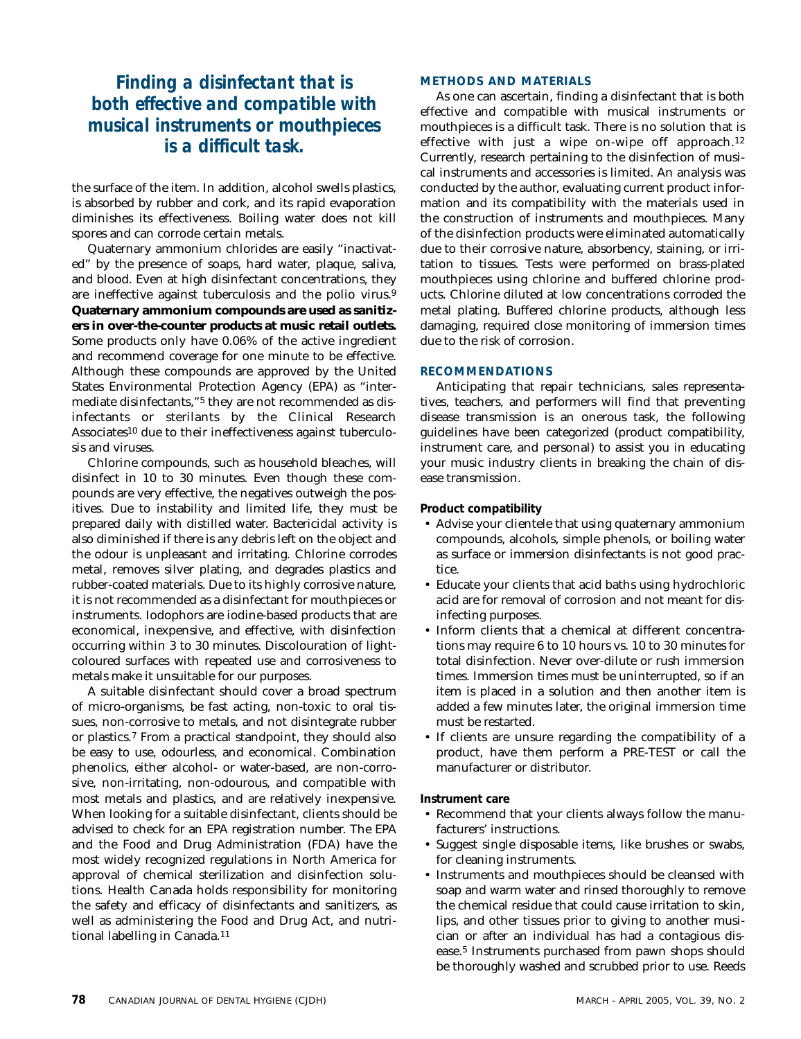### *Finding a disinfectant that is both effective and compatible with musical instruments or mouthpieces is a difficult task.*

the surface of the item. In addition, alcohol swells plastics, is absorbed by rubber and cork, and its rapid evaporation diminishes its effectiveness. Boiling water does not kill spores and can corrode certain metals.

Quaternary ammonium chlorides are easily "inactivated" by the presence of soaps, hard water, plaque, saliva, and blood. Even at high disinfectant concentrations, they are ineffective against tuberculosis and the polio virus.9 **Quaternary ammonium compounds are used as sanitizers in over-the-counter products at music retail outlets.** Some products only have 0.06% of the active ingredient and recommend coverage for one minute to be effective. Although these compounds are approved by the United States Environmental Protection Agency (EPA) as "intermediate disinfectants,"5 they are not recommended as disinfectants or sterilants by the Clinical Research Associates10 due to their ineffectiveness against tuberculosis and viruses.

Chlorine compounds, such as household bleaches, will disinfect in 10 to 30 minutes. Even though these compounds are very effective, the negatives outweigh the positives. Due to instability and limited life, they must be prepared daily with distilled water. Bactericidal activity is also diminished if there is any debris left on the object and the odour is unpleasant and irritating. Chlorine corrodes metal, removes silver plating, and degrades plastics and rubber-coated materials. Due to its highly corrosive nature, it is not recommended as a disinfectant for mouthpieces or instruments. Iodophors are iodine-based products that are economical, inexpensive, and effective, with disinfection occurring within 3 to 30 minutes. Discolouration of lightcoloured surfaces with repeated use and corrosiveness to metals make it unsuitable for our purposes.

A suitable disinfectant should cover a broad spectrum of micro-organisms, be fast acting, non-toxic to oral tissues, non-corrosive to metals, and not disintegrate rubber or plastics.7 From a practical standpoint, they should also be easy to use, odourless, and economical. Combination phenolics, either alcohol- or water-based, are non-corrosive, non-irritating, non-odourous, and compatible with most metals and plastics, and are relatively inexpensive. When looking for a suitable disinfectant, clients should be advised to check for an EPA registration number. The EPA and the Food and Drug Administration (FDA) have the most widely recognized regulations in North America for approval of chemical sterilization and disinfection solutions. Health Canada holds responsibility for monitoring the safety and efficacy of disinfectants and sanitizers, as well as administering the Food and Drug Act, and nutritional labelling in Canada.11

#### **METHODS AND MATERIALS**

As one can ascertain, finding a disinfectant that is both effective and compatible with musical instruments or mouthpieces is a difficult task. There is no solution that is effective with just a wipe on-wipe off approach.12 Currently, research pertaining to the disinfection of musical instruments and accessories is limited. An analysis was conducted by the author, evaluating current product information and its compatibility with the materials used in the construction of instruments and mouthpieces. Many of the disinfection products were eliminated automatically due to their corrosive nature, absorbency, staining, or irritation to tissues. Tests were performed on brass-plated mouthpieces using chlorine and buffered chlorine products. Chlorine diluted at low concentrations corroded the metal plating. Buffered chlorine products, although less damaging, required close monitoring of immersion times due to the risk of corrosion.

#### **RECOMMENDATIONS**

Anticipating that repair technicians, sales representatives, teachers, and performers will find that preventing disease transmission is an onerous task, the following guidelines have been categorized (product compatibility, instrument care, and personal) to assist you in educating your music industry clients in breaking the chain of disease transmission.

#### **Product compatibility**

- Advise your clientele that using quaternary ammonium compounds, alcohols, simple phenols, or boiling water as surface or immersion disinfectants is not good practice.
- Educate your clients that acid baths using hydrochloric acid are for removal of corrosion and not meant for disinfecting purposes.
- Inform clients that a chemical at different concentrations may require 6 to 10 hours vs. 10 to 30 minutes for total disinfection. Never over-dilute or rush immersion times. Immersion times must be uninterrupted, so if an item is placed in a solution and then another item is added a few minutes later, the original immersion time must be restarted.
- If clients are unsure regarding the compatibility of a product, have them perform a PRE-TEST or call the manufacturer or distributor.

#### **Instrument care**

- Recommend that your clients always follow the manufacturers' instructions.
- Suggest single disposable items, like brushes or swabs, for cleaning instruments.
- Instruments and mouthpieces should be cleansed with soap and warm water and rinsed thoroughly to remove the chemical residue that could cause irritation to skin, lips, and other tissues prior to giving to another musician or after an individual has had a contagious disease.5 Instruments purchased from pawn shops should be thoroughly washed and scrubbed prior to use. Reeds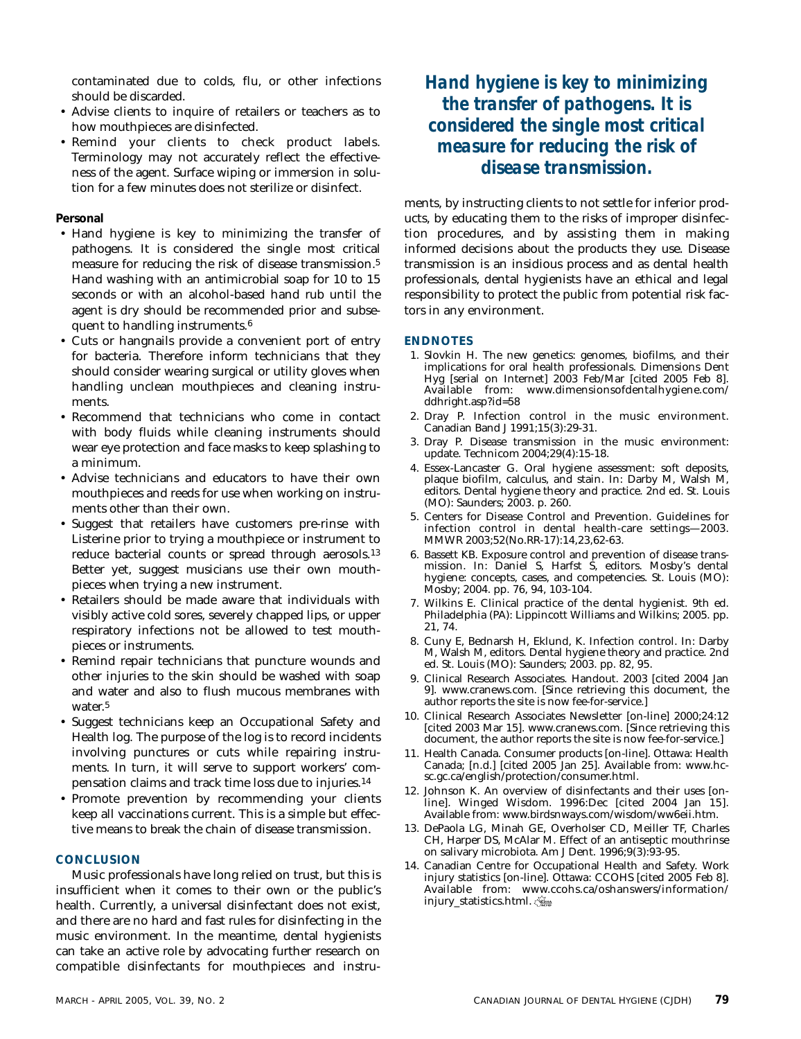contaminated due to colds, flu, or other infections should be discarded.

- Advise clients to inquire of retailers or teachers as to how mouthpieces are disinfected.
- Remind your clients to check product labels. Terminology may not accurately reflect the effectiveness of the agent. Surface wiping or immersion in solution for a few minutes does not sterilize or disinfect.

#### **Personal**

- Hand hygiene is key to minimizing the transfer of pathogens. It is considered the single most critical measure for reducing the risk of disease transmission.5 Hand washing with an antimicrobial soap for 10 to 15 seconds or with an alcohol-based hand rub until the agent is dry should be recommended prior and subsequent to handling instruments.6
- Cuts or hangnails provide a convenient port of entry for bacteria. Therefore inform technicians that they should consider wearing surgical or utility gloves when handling unclean mouthpieces and cleaning instruments.
- Recommend that technicians who come in contact with body fluids while cleaning instruments should wear eye protection and face masks to keep splashing to a minimum.
- Advise technicians and educators to have their own mouthpieces and reeds for use when working on instruments other than their own.
- Suggest that retailers have customers pre-rinse with Listerine prior to trying a mouthpiece or instrument to reduce bacterial counts or spread through aerosols.13 Better yet, suggest musicians use their own mouthpieces when trying a new instrument.
- Retailers should be made aware that individuals with visibly active cold sores, severely chapped lips, or upper respiratory infections not be allowed to test mouthpieces or instruments.
- Remind repair technicians that puncture wounds and other injuries to the skin should be washed with soap and water and also to flush mucous membranes with water.5
- Suggest technicians keep an Occupational Safety and Health log. The purpose of the log is to record incidents involving punctures or cuts while repairing instruments. In turn, it will serve to support workers' compensation claims and track time loss due to injuries.14
- Promote prevention by recommending your clients keep all vaccinations current. This is a simple but effective means to break the chain of disease transmission.

#### **CONCLUSION**

Music professionals have long relied on trust, but this is insufficient when it comes to their own or the public's health. Currently, a universal disinfectant does not exist, and there are no hard and fast rules for disinfecting in the music environment. In the meantime, dental hygienists can take an active role by advocating further research on compatible disinfectants for mouthpieces and instru*Hand hygiene is key to minimizing the transfer of pathogens. It is considered the single most critical measure for reducing the risk of disease transmission.*

ments, by instructing clients to not settle for inferior products, by educating them to the risks of improper disinfection procedures, and by assisting them in making informed decisions about the products they use. Disease transmission is an insidious process and as dental health professionals, dental hygienists have an ethical and legal responsibility to protect the public from potential risk factors in any environment.

#### **ENDNOTES**

- 1. Slovkin H. The new genetics: genomes, biofilms, and their implications for oral health professionals. Dimensions Dent Hyg [serial on Internet] 2003 Feb/Mar [cited 2005 Feb 8]. Available from: www.dimensionsofdentalhygiene.com/ ddhright.asp?id=58
- 2. Dray P. Infection control in the music environment. Canadian Band J 1991;15(3):29-31.
- 3. Dray P. Disease transmission in the music environment: update. Technicom 2004;29(4):15-18.
- 4. Essex-Lancaster G. Oral hygiene assessment: soft deposits, plaque biofilm, calculus, and stain. In: Darby M, Walsh M, editors. Dental hygiene theory and practice. 2nd ed. St. Louis (MO): Saunders; 2003. p. 260.
- 5. Centers for Disease Control and Prevention. Guidelines for infection control in dental health-care settings—2003. MMWR 2003;52(No.RR-17):14,23,62-63.
- 6. Bassett KB. Exposure control and prevention of disease transmission. In: Daniel S, Harfst S, editors. Mosby's dental hygiene: concepts, cases, and competencies. St. Louis (MO): Mosby; 2004. pp. 76, 94, 103-104.
- 7. Wilkins E. Clinical practice of the dental hygienist. 9th ed. Philadelphia (PA): Lippincott Williams and Wilkins; 2005. pp. 21, 74.
- 8. Cuny E, Bednarsh H, Eklund, K. Infection control. In: Darby M, Walsh M, editors. Dental hygiene theory and practice. 2nd ed. St. Louis (MO): Saunders; 2003. pp. 82, 95.
- 9. Clinical Research Associates. Handout. 2003 [cited 2004 Jan 9]. www.cranews.com. [Since retrieving this document, the author reports the site is now fee-for-service.]
- 10. Clinical Research Associates Newsletter [on-line] 2000;24:12 [cited 2003 Mar 15]. www.cranews.com. [Since retrieving this document, the author reports the site is now fee-for-service.]
- 11. Health Canada. Consumer products [on-line]. Ottawa: Health Canada; [n.d.] [cited 2005 Jan 25]. Available from: www.hcsc.gc.ca/english/protection/consumer.html.
- 12. Johnson K. An overview of disinfectants and their uses [online]. Winged Wisdom. 1996:Dec [cited 2004 Jan 15]. Available from: www.birdsnways.com/wisdom/ww6eii.htm.
- 13. DePaola LG, Minah GE, Overholser CD, Meiller TF, Charles CH, Harper DS, McAlar M. Effect of an antiseptic mouthrinse on salivary microbiota. Am J Dent. 1996;9(3):93-95.
- 14. Canadian Centre for Occupational Health and Safety. Work injury statistics [on-line]. Ottawa: CCOHS [cited 2005 Feb 8]. Available from: www.ccohs.ca/oshanswers/information/ injury\_statistics.html.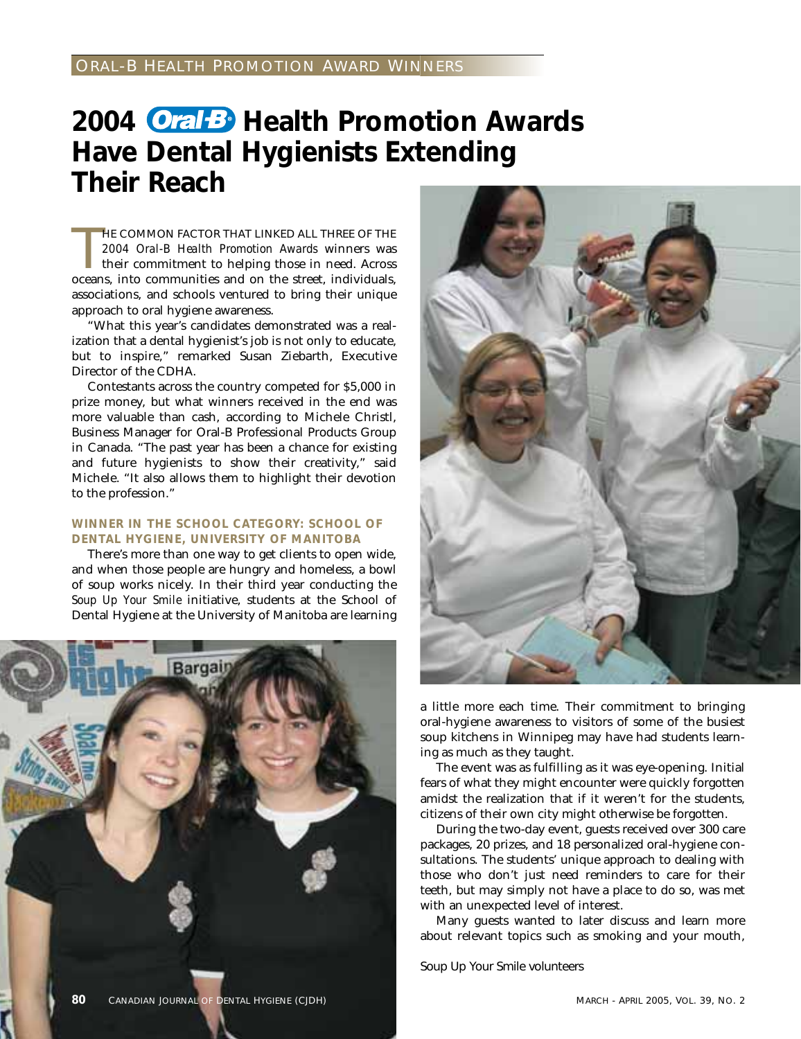## 2004 **Oral B** Health Promotion Awards **Have Dental Hygienists Extending Their Reach**

HE COMMON FACTOR THAT LINKED ALL THREE OF THE 2004 Oral-B Health Promotion Awards winners was their commitment to helping those in need. Across oceans, into communities and on the street, individuals, HE COMMON FACTOR THAT LINKED ALL THREE OF THE *2004 Oral-B Health Promotion Awards* winners was their commitment to helping those in need. Across associations, and schools ventured to bring their unique approach to oral hygiene awareness.

"What this year's candidates demonstrated was a realization that a dental hygienist's job is not only to educate, but to inspire," remarked Susan Ziebarth, Executive Director of the CDHA.

Contestants across the country competed for \$5,000 in prize money, but what winners received in the end was more valuable than cash, according to Michele Christl, Business Manager for Oral-B Professional Products Group in Canada. "The past year has been a chance for existing and future hygienists to show their creativity," said Michele. "It also allows them to highlight their devotion to the profession."

#### **WINNER IN THE SCHOOL CATEGORY: SCHOOL OF DENTAL HYGIENE, UNIVERSITY OF MANITOBA**

There's more than one way to get clients to open wide, and when those people are hungry and homeless, a bowl of soup works nicely. In their third year conducting the *Soup Up Your Smile* initiative, students at the School of Dental Hygiene at the University of Manitoba are learning





a little more each time. Their commitment to bringing oral-hygiene awareness to visitors of some of the busiest soup kitchens in Winnipeg may have had students learning as much as they taught.

The event was as fulfilling as it was eye-opening. Initial fears of what they might encounter were quickly forgotten amidst the realization that if it weren't for the students, citizens of their own city might otherwise be forgotten.

During the two-day event, guests received over 300 care packages, 20 prizes, and 18 personalized oral-hygiene consultations. The students' unique approach to dealing with those who don't just need reminders to care for their teeth, but may simply not have a place to do so, was met with an unexpected level of interest.

Many guests wanted to later discuss and learn more about relevant topics such as smoking and your mouth,

Soup Up Your Smile volunteers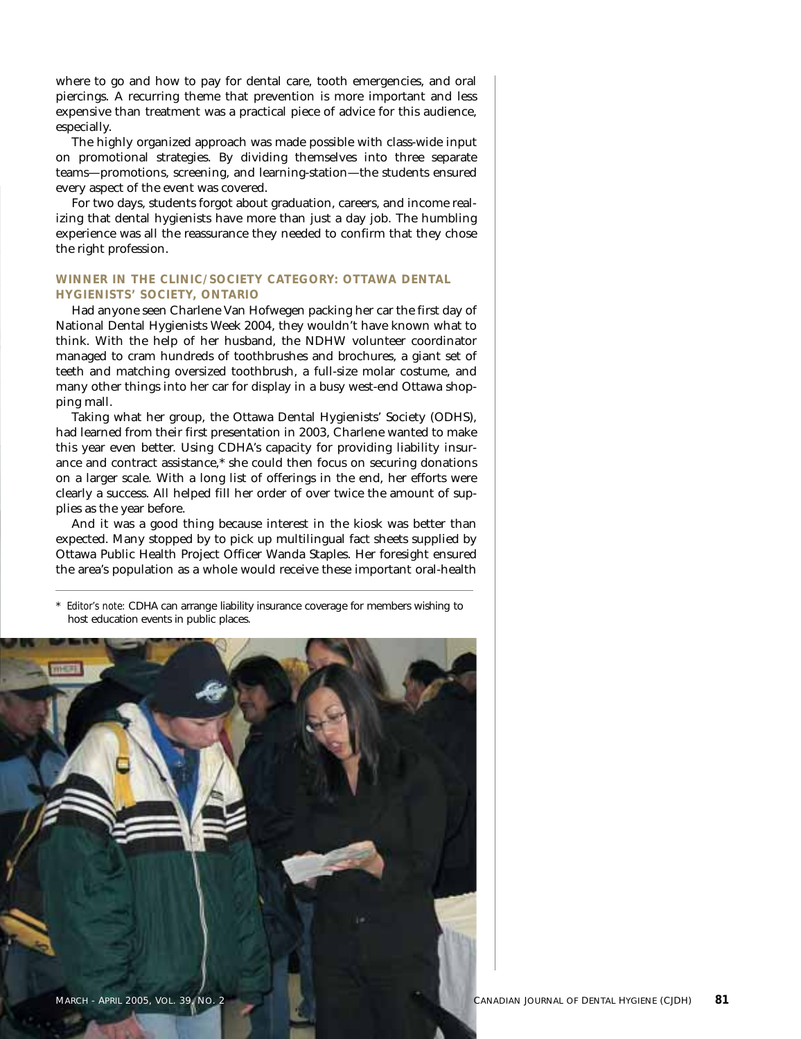where to go and how to pay for dental care, tooth emergencies, and oral piercings. A recurring theme that prevention is more important and less expensive than treatment was a practical piece of advice for this audience, especially.

The highly organized approach was made possible with class-wide input on promotional strategies. By dividing themselves into three separate teams—promotions, screening, and learning-station—the students ensured every aspect of the event was covered.

For two days, students forgot about graduation, careers, and income realizing that dental hygienists have more than just a day job. The humbling experience was all the reassurance they needed to confirm that they chose the right profession.

#### **WINNER IN THE CLINIC/SOCIETY CATEGORY: OTTAWA DENTAL HYGIENISTS' SOCIETY, ONTARIO**

Had anyone seen Charlene Van Hofwegen packing her car the first day of National Dental Hygienists Week 2004, they wouldn't have known what to think. With the help of her husband, the NDHW volunteer coordinator managed to cram hundreds of toothbrushes and brochures, a giant set of teeth and matching oversized toothbrush, a full-size molar costume, and many other things into her car for display in a busy west-end Ottawa shopping mall.

Taking what her group, the Ottawa Dental Hygienists' Society (ODHS), had learned from their first presentation in 2003, Charlene wanted to make this year even better. Using CDHA's capacity for providing liability insurance and contract assistance,\* she could then focus on securing donations on a larger scale. With a long list of offerings in the end, her efforts were clearly a success. All helped fill her order of over twice the amount of supplies as the year before.

And it was a good thing because interest in the kiosk was better than expected. Many stopped by to pick up multilingual fact sheets supplied by Ottawa Public Health Project Officer Wanda Staples. Her foresight ensured the area's population as a whole would receive these important oral-health

*Editor's note:* CDHA can arrange liability insurance coverage for members wishing to host education events in public places.

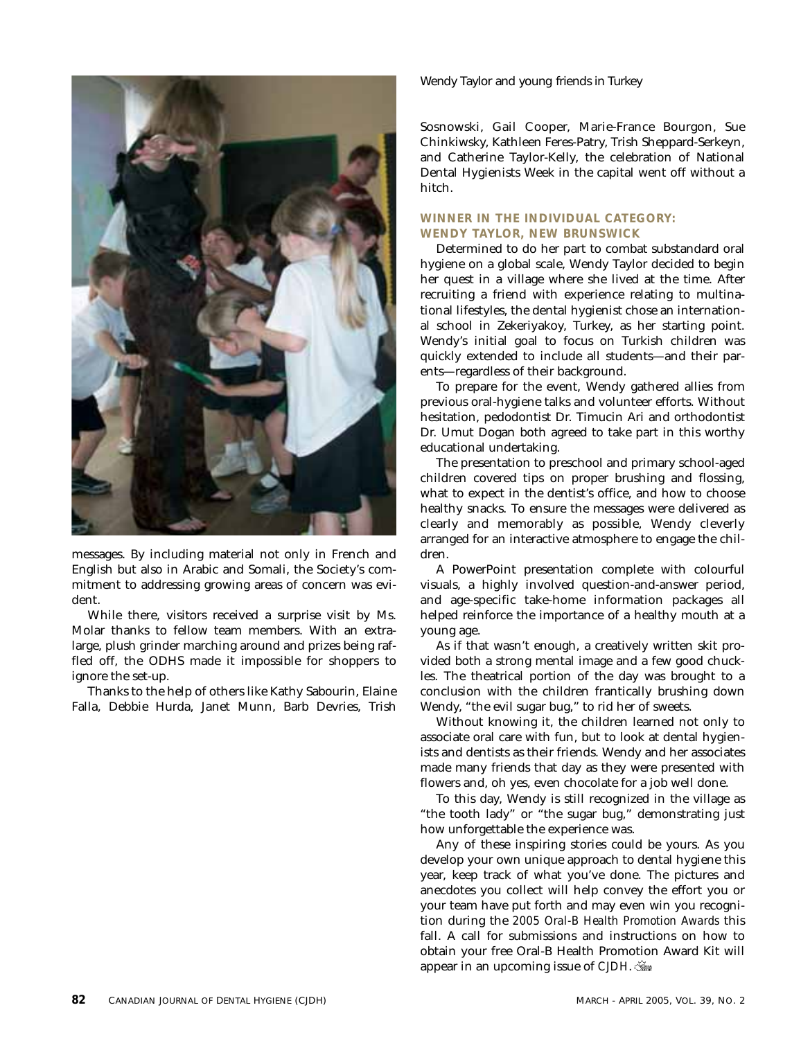

messages. By including material not only in French and English but also in Arabic and Somali, the Society's commitment to addressing growing areas of concern was evident.

While there, visitors received a surprise visit by Ms. Molar thanks to fellow team members. With an extralarge, plush grinder marching around and prizes being raffled off, the ODHS made it impossible for shoppers to ignore the set-up.

Thanks to the help of others like Kathy Sabourin, Elaine Falla, Debbie Hurda, Janet Munn, Barb Devries, Trish Wendy Taylor and young friends in Turkey

Sosnowski, Gail Cooper, Marie-France Bourgon, Sue Chinkiwsky, Kathleen Feres-Patry, Trish Sheppard-Serkeyn, and Catherine Taylor-Kelly, the celebration of National Dental Hygienists Week in the capital went off without a hitch.

#### **WINNER IN THE INDIVIDUAL CATEGORY: WENDY TAYLOR, NEW BRUNSWICK**

Determined to do her part to combat substandard oral hygiene on a global scale, Wendy Taylor decided to begin her quest in a village where she lived at the time. After recruiting a friend with experience relating to multinational lifestyles, the dental hygienist chose an international school in Zekeriyakoy, Turkey, as her starting point. Wendy's initial goal to focus on Turkish children was quickly extended to include all students—and their parents—regardless of their background.

To prepare for the event, Wendy gathered allies from previous oral-hygiene talks and volunteer efforts. Without hesitation, pedodontist Dr. Timucin Ari and orthodontist Dr. Umut Dogan both agreed to take part in this worthy educational undertaking.

The presentation to preschool and primary school-aged children covered tips on proper brushing and flossing, what to expect in the dentist's office, and how to choose healthy snacks. To ensure the messages were delivered as clearly and memorably as possible, Wendy cleverly arranged for an interactive atmosphere to engage the children.

A PowerPoint presentation complete with colourful visuals, a highly involved question-and-answer period, and age-specific take-home information packages all helped reinforce the importance of a healthy mouth at a young age.

As if that wasn't enough, a creatively written skit provided both a strong mental image and a few good chuckles. The theatrical portion of the day was brought to a conclusion with the children frantically brushing down Wendy, "the evil sugar bug," to rid her of sweets.

Without knowing it, the children learned not only to associate oral care with fun, but to look at dental hygienists and dentists as their friends. Wendy and her associates made many friends that day as they were presented with flowers and, oh yes, even chocolate for a job well done.

To this day, Wendy is still recognized in the village as "the tooth lady" or "the sugar bug," demonstrating just how unforgettable the experience was.

Any of these inspiring stories could be yours. As you develop your own unique approach to dental hygiene this year, keep track of what you've done. The pictures and anecdotes you collect will help convey the effort you or your team have put forth and may even win you recognition during the *2005 Oral-B Health Promotion Awards* this fall. A call for submissions and instructions on how to obtain your free Oral-B Health Promotion Award Kit will appear in an upcoming issue of *CJDH*.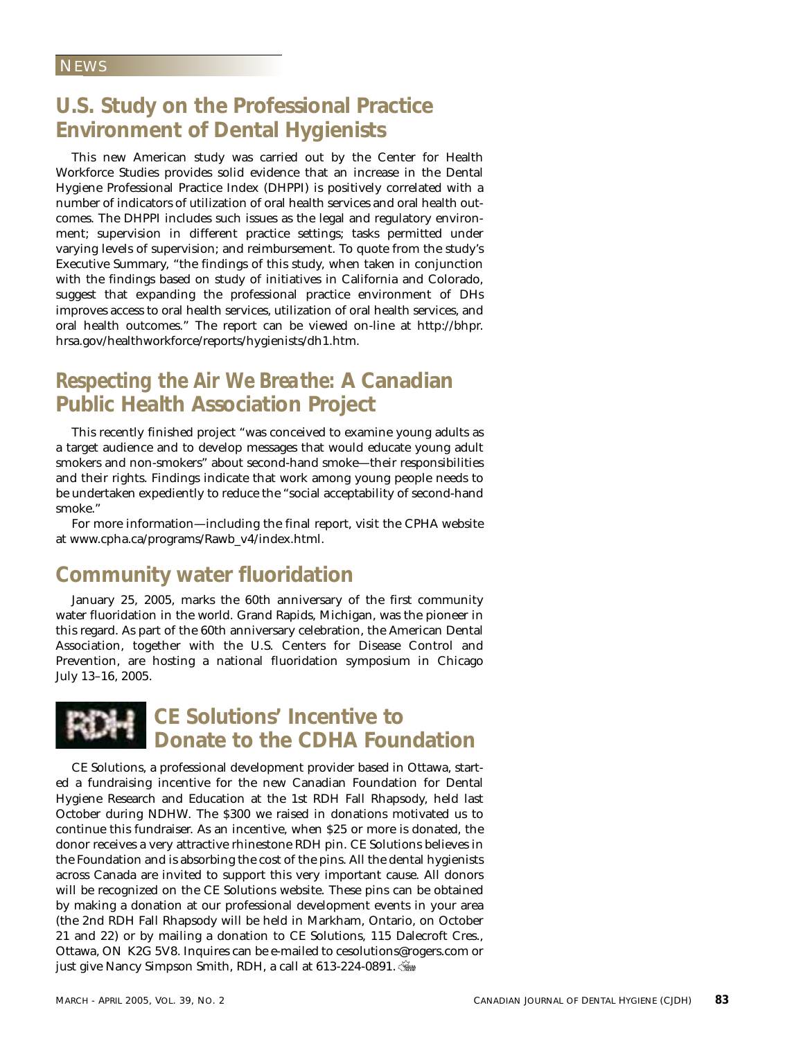### **U.S. Study on the Professional Practice Environment of Dental Hygienists**

This new American study was carried out by the Center for Health Workforce Studies provides solid evidence that an increase in the Dental Hygiene Professional Practice Index (DHPPI) is positively correlated with a number of indicators of utilization of oral health services and oral health outcomes. The DHPPI includes such issues as the legal and regulatory environment; supervision in different practice settings; tasks permitted under varying levels of supervision; and reimbursement. To quote from the study's Executive Summary, "the findings of this study, when taken in conjunction with the findings based on study of initiatives in California and Colorado, suggest that expanding the professional practice environment of DHs improves access to oral health services, utilization of oral health services, and oral health outcomes." The report can be viewed on-line at http://bhpr. hrsa.gov/healthworkforce/reports/hygienists/dh1.htm.

## *Respecting the Air We Breathe:* **A Canadian Public Health Association Project**

This recently finished project "was conceived to examine young adults as a target audience and to develop messages that would educate young adult smokers and non-smokers" about second-hand smoke—their responsibilities and their rights. Findings indicate that work among young people needs to be undertaken expediently to reduce the "social acceptability of second-hand smoke."

For more information—including the final report, visit the CPHA website at www.cpha.ca/programs/Rawb\_v4/index.html.

### **Community water fluoridation**

January 25, 2005, marks the 60th anniversary of the first community water fluoridation in the world. Grand Rapids, Michigan, was the pioneer in this regard. As part of the 60th anniversary celebration, the American Dental Association, together with the U.S. Centers for Disease Control and Prevention, are hosting a national fluoridation symposium in Chicago July 13–16, 2005.



CE Solutions, a professional development provider based in Ottawa, started a fundraising incentive for the new Canadian Foundation for Dental Hygiene Research and Education at the 1st RDH Fall Rhapsody, held last October during NDHW. The \$300 we raised in donations motivated us to continue this fundraiser. As an incentive, when \$25 or more is donated, the donor receives a very attractive rhinestone RDH pin. CE Solutions believes in the Foundation and is absorbing the cost of the pins. All the dental hygienists across Canada are invited to support this very important cause. All donors will be recognized on the CE Solutions website. These pins can be obtained by making a donation at our professional development events in your area (the 2nd RDH Fall Rhapsody will be held in Markham, Ontario, on October 21 and 22) or by mailing a donation to CE Solutions, 115 Dalecroft Cres., Ottawa, ON K2G 5V8. Inquires can be e-mailed to cesolutions@rogers.com or just give Nancy Simpson Smith, RDH, a call at 613-224-0891.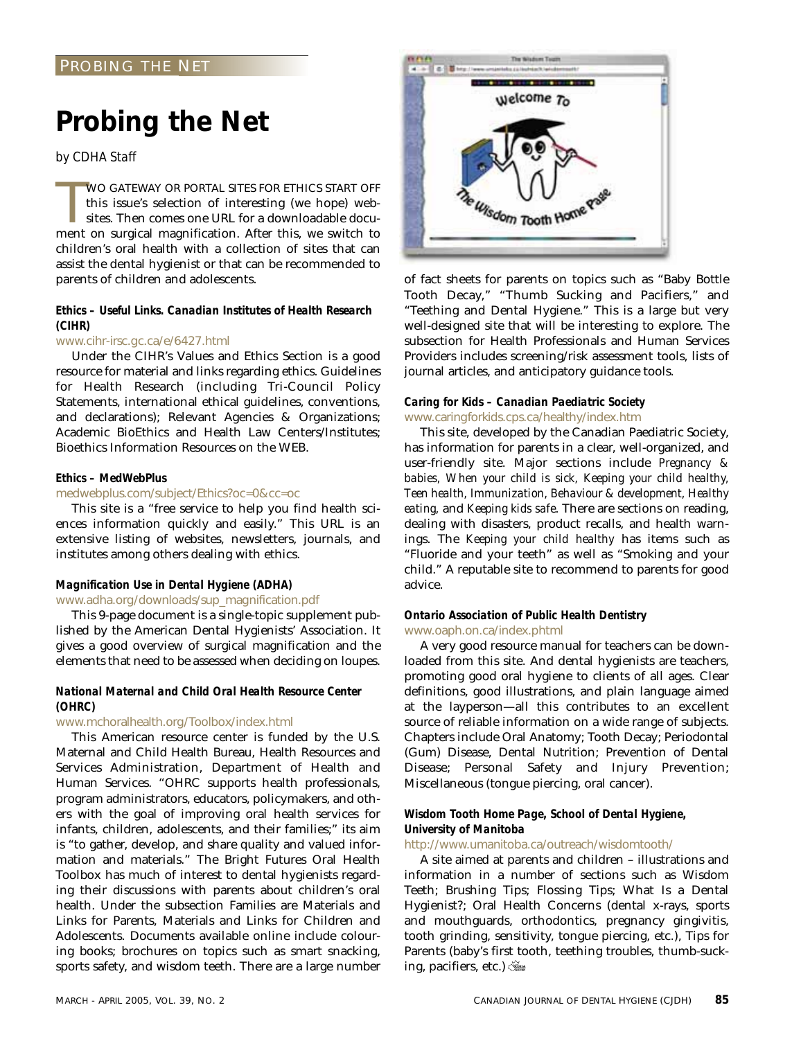## **Probing the Net**

*by CDHA Staff*

WO GATEWAY OR PORTAL SITES FOR ETHICS START OFF this issue's selection of interesting (we hope) websites. Then comes one URL for a downloadable document on surgical magnification. After this, we switch to WO GATEWAY OR PORTAL SITES FOR ETHICS START OFF this issue's selection of interesting (we hope) websites. Then comes one URL for a downloadable docuchildren's oral health with a collection of sites that can assist the dental hygienist or that can be recommended to parents of children and adolescents.

#### *Ethics – Useful Links. Canadian Institutes of Health Research (CIHR)*

#### www.cihr-irsc.gc.ca/e/6427.html

Under the CIHR's Values and Ethics Section is a good resource for material and links regarding ethics. Guidelines for Health Research (including Tri-Council Policy Statements, international ethical guidelines, conventions, and declarations); Relevant Agencies & Organizations; Academic BioEthics and Health Law Centers/Institutes; Bioethics Information Resources on the WEB.

#### *Ethics – MedWebPlus*

#### medwebplus.com/subject/Ethics?oc=0&cc=oc

This site is a "free service to help you find health sciences information quickly and easily." This URL is an extensive listing of websites, newsletters, journals, and institutes among others dealing with ethics.

#### *Magnification Use in Dental Hygiene (ADHA)*

#### www.adha.org/downloads/sup\_magnification.pdf

This 9-page document is a single-topic supplement published by the American Dental Hygienists' Association. It gives a good overview of surgical magnification and the elements that need to be assessed when deciding on loupes.

#### *National Maternal and Child Oral Health Resource Center (OHRC)*

#### www.mchoralhealth.org/Toolbox/index.html

This American resource center is funded by the U.S. Maternal and Child Health Bureau, Health Resources and Services Administration, Department of Health and Human Services. "OHRC supports health professionals, program administrators, educators, policymakers, and others with the goal of improving oral health services for infants, children, adolescents, and their families;" its aim is "to gather, develop, and share quality and valued information and materials." The Bright Futures Oral Health Toolbox has much of interest to dental hygienists regarding their discussions with parents about children's oral health. Under the subsection Families are Materials and Links for Parents, Materials and Links for Children and Adolescents. Documents available online include colouring books; brochures on topics such as smart snacking, sports safety, and wisdom teeth. There are a large number



of fact sheets for parents on topics such as "Baby Bottle Tooth Decay," "Thumb Sucking and Pacifiers," and "Teething and Dental Hygiene." This is a large but very well-designed site that will be interesting to explore. The subsection for Health Professionals and Human Services Providers includes screening/risk assessment tools, lists of journal articles, and anticipatory guidance tools.

#### *Caring for Kids – Canadian Paediatric Society* www.caringforkids.cps.ca/healthy/index.htm

This site, developed by the Canadian Paediatric Society, has information for parents in a clear, well-organized, and user-friendly site. Major sections include *Pregnancy & babies, When your child is sick, Keeping your child healthy, Teen health, Immunization, Behaviour & development, Healthy eating,* and *Keeping kids safe*. There are sections on reading, dealing with disasters, product recalls, and health warnings. The *Keeping your child healthy* has items such as "Fluoride and your teeth" as well as "Smoking and your child." A reputable site to recommend to parents for good advice.

#### *Ontario Association of Public Health Dentistry* www.oaph.on.ca/index.phtml

A very good resource manual for teachers can be downloaded from this site. And dental hygienists are teachers, promoting good oral hygiene to clients of all ages. Clear definitions, good illustrations, and plain language aimed at the layperson—all this contributes to an excellent source of reliable information on a wide range of subjects. Chapters include Oral Anatomy; Tooth Decay; Periodontal (Gum) Disease, Dental Nutrition; Prevention of Dental Disease; Personal Safety and Injury Prevention; Miscellaneous (tongue piercing, oral cancer).

#### *Wisdom Tooth Home Page, School of Dental Hygiene, University of Manitoba*

#### http://www.umanitoba.ca/outreach/wisdomtooth/

A site aimed at parents and children – illustrations and information in a number of sections such as Wisdom Teeth; Brushing Tips; Flossing Tips; What Is a Dental Hygienist?; Oral Health Concerns (dental x-rays, sports and mouthguards, orthodontics, pregnancy gingivitis, tooth grinding, sensitivity, tongue piercing, etc.), Tips for Parents (baby's first tooth, teething troubles, thumb-sucking, pacifiers, etc.)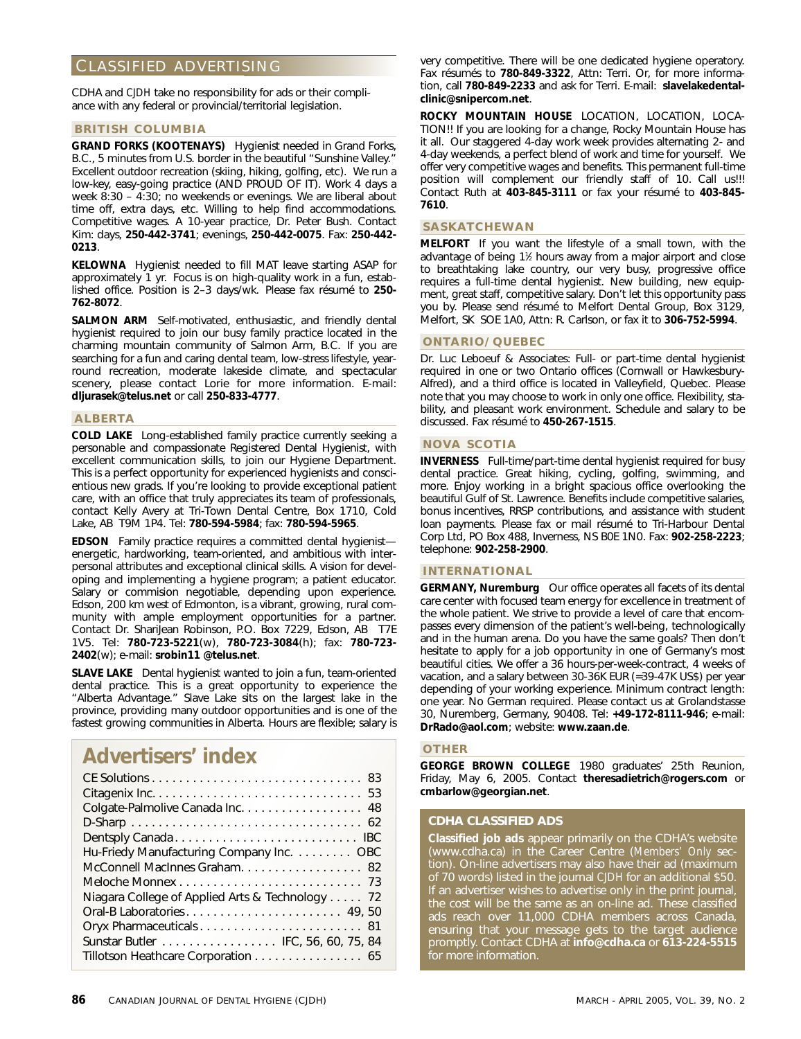### CLASSIFIED ADVERTISING

CDHA and *CJDH* take no responsibility for ads or their compliance with any federal or provincial/territorial legislation.

#### **BRITISH COLUMBIA**

**GRAND FORKS (KOOTENAYS)** Hygienist needed in Grand Forks, B.C., 5 minutes from U.S. border in the beautiful "Sunshine Valley." Excellent outdoor recreation (skiing, hiking, golfing, etc). We run a low-key, easy-going practice (AND PROUD OF IT). Work 4 days a week 8:30 – 4:30; no weekends or evenings. We are liberal about time off, extra days, etc. Willing to help find accommodations. Competitive wages. A 10-year practice, Dr. Peter Bush. Contact Kim: days, **250-442-3741**; evenings, **250-442-0075**. Fax: **250-442- 0213**.

**KELOWNA** Hygienist needed to fill MAT leave starting ASAP for approximately 1 yr. Focus is on high-quality work in a fun, established office. Position is 2–3 days/wk. Please fax résumé to **250- 762-8072**.

**SALMON ARM** Self-motivated, enthusiastic, and friendly dental hygienist required to join our busy family practice located in the charming mountain community of Salmon Arm, B.C. If you are searching for a fun and caring dental team, low-stress lifestyle, yearround recreation, moderate lakeside climate, and spectacular scenery, please contact Lorie for more information. E-mail: **dljurasek@telus.net** or call **250-833-4777**.

#### **ALBERTA**

**COLD LAKE** Long-established family practice currently seeking a personable and compassionate Registered Dental Hygienist, with excellent communication skills, to join our Hygiene Department. This is a perfect opportunity for experienced hygienists and conscientious new grads. If you're looking to provide exceptional patient care, with an office that truly appreciates its team of professionals, contact Kelly Avery at Tri-Town Dental Centre, Box 1710, Cold Lake, AB T9M 1P4. Tel: **780-594-5984**; fax: **780-594-5965**.

**EDSON** Family practice requires a committed dental hygienist energetic, hardworking, team-oriented, and ambitious with interpersonal attributes and exceptional clinical skills. A vision for developing and implementing a hygiene program; a patient educator. Salary or commision negotiable, depending upon experience. Edson, 200 km west of Edmonton, is a vibrant, growing, rural community with ample employment opportunities for a partner. Contact Dr. ShariJean Robinson, P.O. Box 7229, Edson, AB T7E 1V5. Tel: **780-723-5221**(w), **780-723-3084**(h); fax: **780-723- 2402**(w); e-mail: **srobin11 @telus.net**.

**SLAVE LAKE** Dental hygienist wanted to join a fun, team-oriented dental practice. This is a great opportunity to experience the "Alberta Advantage." Slave Lake sits on the largest lake in the province, providing many outdoor opportunities and is one of the fastest growing communities in Alberta. Hours are flexible; salary is

## **Advertisers' index**

| Colgate-Palmolive Canada Inc. 48                |
|-------------------------------------------------|
|                                                 |
|                                                 |
| Hu-Friedy Manufacturing Company Inc. OBC        |
| McConnell MacInnes Graham. 82                   |
|                                                 |
| Niagara College of Applied Arts & Technology 72 |
| Oral-B Laboratories 49,50                       |
|                                                 |
| Sunstar Butler IFC, 56, 60, 75, 84              |
| Tillotson Heathcare Corporation 65              |

**86** CANADIAN JOURNAL OF DENTAL HYGIENE (CJDH) MARCH - APRIL 2005, VOL. 39, NO. 2

very competitive. There will be one dedicated hygiene operatory. Fax résumés to **780-849-3322**, Attn: Terri. Or, for more information, call **780-849-2233** and ask for Terri. E-mail: **slavelakedentalclinic@snipercom.net**.

**ROCKY MOUNTAIN HOUSE** LOCATION, LOCATION, LOCA-TION!! If you are looking for a change, Rocky Mountain House has it all. Our staggered 4-day work week provides alternating 2- and 4-day weekends, a perfect blend of work and time for yourself. We offer very competitive wages and benefits. This permanent full-time position will complement our friendly staff of 10. Call us!!! Contact Ruth at **403-845-3111** or fax your résumé to **403-845- 7610**.

#### **SASKATCHEWAN**

**MELFORT** If you want the lifestyle of a small town, with the advantage of being 11 ⁄2 hours away from a major airport and close to breathtaking lake country, our very busy, progressive office requires a full-time dental hygienist. New building, new equipment, great staff, competitive salary. Don't let this opportunity pass you by. Please send résumé to Melfort Dental Group, Box 3129, Melfort, SK SOE 1A0, Attn: R. Carlson, or fax it to **306-752-5994**.

#### **ONTARIO/QUEBEC**

Dr. Luc Leboeuf & Associates: Full- or part-time dental hygienist required in one or two Ontario offices (Cornwall or Hawkesbury-Alfred), and a third office is located in Valleyfield, Quebec. Please note that you may choose to work in only one office. Flexibility, stability, and pleasant work environment. Schedule and salary to be discussed. Fax résumé to **450-267-1515**.

#### **NOVA SCOTIA**

**INVERNESS** Full-time/part-time dental hygienist required for busy dental practice. Great hiking, cycling, golfing, swimming, and more. Enjoy working in a bright spacious office overlooking the beautiful Gulf of St. Lawrence. Benefits include competitive salaries, bonus incentives, RRSP contributions, and assistance with student loan payments. Please fax or mail résumé to Tri-Harbour Dental Corp Ltd, PO Box 488, Inverness, NS B0E 1N0. Fax: **902-258-2223**; telephone: **902-258-2900**.

#### **INTERNATIONAL**

**GERMANY, Nuremburg** Our office operates all facets of its dental care center with focused team energy for excellence in treatment of the whole patient. We strive to provide a level of care that encompasses every dimension of the patient's well-being, technologically and in the human arena. Do you have the same goals? Then don't hesitate to apply for a job opportunity in one of Germany's most beautiful cities. We offer a 36 hours-per-week-contract, 4 weeks of vacation, and a salary between 30-36K EUR (=39-47K US\$) per year depending of your working experience. Minimum contract length: one year. No German required. Please contact us at Grolandstasse 30, Nuremberg, Germany, 90408. Tel: **+49-172-8111-946**; e-mail: **DrRado@aol.com**; website: **www.zaan.de**.

#### **OTHER**

**GEORGE BROWN COLLEGE** 1980 graduates' 25th Reunion, Friday, May 6, 2005. Contact **theresadietrich@rogers.com** or **cmbarlow@georgian.net**.

#### **CDHA CLASSIFIED ADS**

**Classified job ads** appear primarily on the CDHA's website (www.cdha.ca) in the Career Centre (*Members' Only* section). On-line advertisers may also have their ad (maximum of 70 words) listed in the journal *CJDH* for an additional \$50. If an advertiser wishes to advertise only in the print journal, the cost will be the same as an on-line ad. These classified ads reach over 11,000 CDHA members across Canada, ensuring that your message gets to the target audience promptly. Contact CDHA at **info@cdha.ca** or **613-224-5515** for more information.